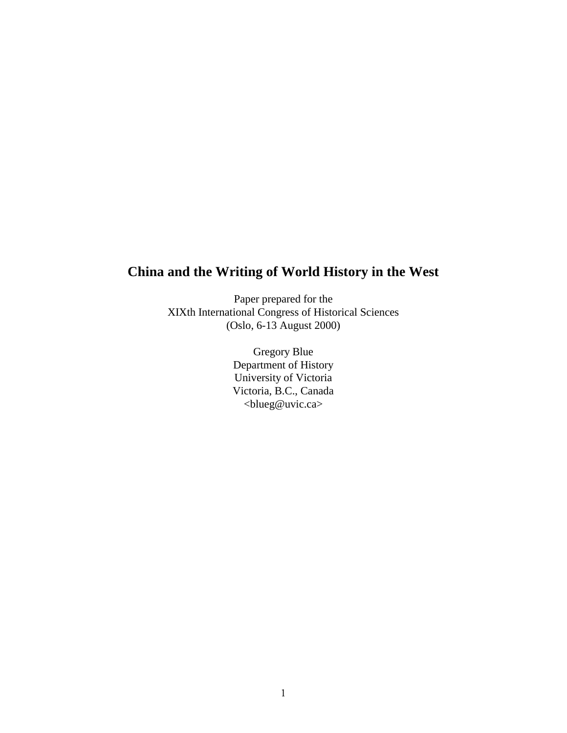# **China and the Writing of World History in the West**

Paper prepared for the XIXth International Congress of Historical Sciences (Oslo, 6-13 August 2000)

> Gregory Blue Department of History University of Victoria Victoria, B.C., Canada <blueg@uvic.ca>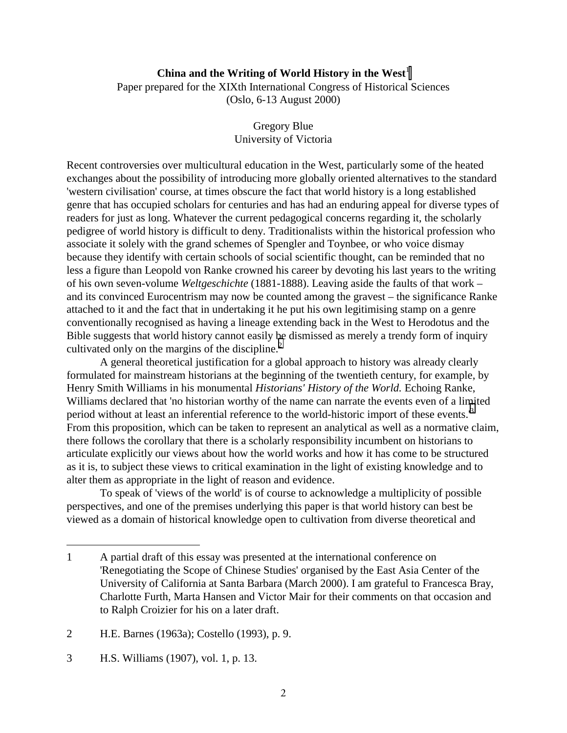## **China and the Writing of World History in the West**<sup>1</sup>

Paper prepared for the XIXth International Congress of Historical Sciences (Oslo, 6-13 August 2000)

> Gregory Blue University of Victoria

Recent controversies over multicultural education in the West, particularly some of the heated exchanges about the possibility of introducing more globally oriented alternatives to the standard 'western civilisation' course, at times obscure the fact that world history is a long established genre that has occupied scholars for centuries and has had an enduring appeal for diverse types of readers for just as long. Whatever the current pedagogical concerns regarding it, the scholarly pedigree of world history is difficult to deny. Traditionalists within the historical profession who associate it solely with the grand schemes of Spengler and Toynbee, or who voice dismay because they identify with certain schools of social scientific thought, can be reminded that no less a figure than Leopold von Ranke crowned his career by devoting his last years to the writing of his own seven-volume *Weltgeschichte* (1881-1888). Leaving aside the faults of that work – and its convinced Eurocentrism may now be counted among the gravest – the significance Ranke attached to it and the fact that in undertaking it he put his own legitimising stamp on a genre conventionally recognised as having a lineage extending back in the West to Herodotus and the Bible suggests that world history cannot easily be dismissed as merely a trendy form of inquiry cultivated only on the margins of the discipline. $<sup>2</sup>$ </sup>

A general theoretical justification for a global approach to history was already clearly formulated for mainstream historians at the beginning of the twentieth century, for example, by Henry Smith Williams in his monumental *Historians' History of the World.* Echoing Ranke, Williams declared that 'no historian worthy of the name can narrate the events even of a limited period without at least an inferential reference to the world-historic import of these events.'<sup>3</sup> From this proposition, which can be taken to represent an analytical as well as a normative claim, there follows the corollary that there is a scholarly responsibility incumbent on historians to articulate explicitly our views about how the world works and how it has come to be structured as it is, to subject these views to critical examination in the light of existing knowledge and to alter them as appropriate in the light of reason and evidence.

To speak of 'views of the world' is of course to acknowledge a multiplicity of possible perspectives, and one of the premises underlying this paper is that world history can best be viewed as a domain of historical knowledge open to cultivation from diverse theoretical and

<sup>1</sup> A partial draft of this essay was presented at the international conference on 'Renegotiating the Scope of Chinese Studies' organised by the East Asia Center of the University of California at Santa Barbara (March 2000). I am grateful to Francesca Bray, Charlotte Furth, Marta Hansen and Victor Mair for their comments on that occasion and to Ralph Croizier for his on a later draft.

<sup>2</sup> H.E. Barnes (1963a); Costello (1993), p. 9.

<sup>3</sup> H.S. Williams (1907), vol. 1, p. 13.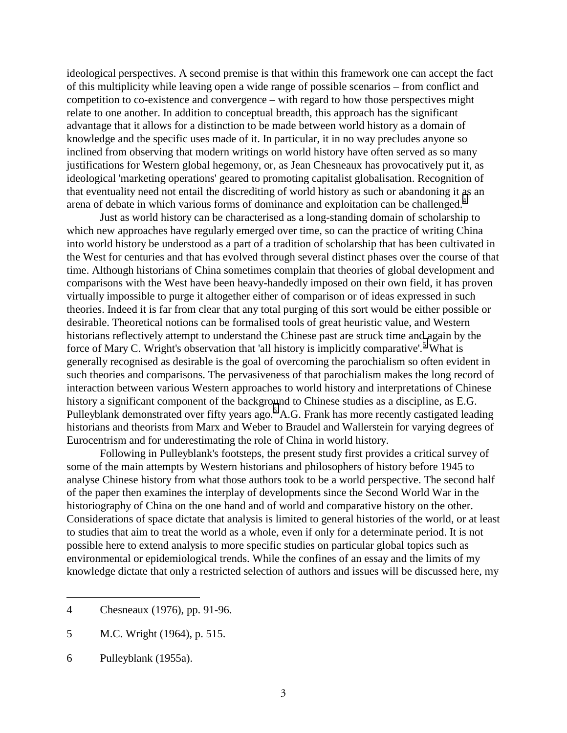ideological perspectives. A second premise is that within this framework one can accept the fact of this multiplicity while leaving open a wide range of possible scenarios – from conflict and competition to co-existence and convergence – with regard to how those perspectives might relate to one another. In addition to conceptual breadth, this approach has the significant advantage that it allows for a distinction to be made between world history as a domain of knowledge and the specific uses made of it. In particular, it in no way precludes anyone so inclined from observing that modern writings on world history have often served as so many justifications for Western global hegemony, or, as Jean Chesneaux has provocatively put it, as ideological 'marketing operations' geared to promoting capitalist globalisation. Recognition of that eventuality need not entail the discrediting of world history as such or abandoning it as an arena of debate in which various forms of dominance and exploitation can be challenged. $4$ 

Just as world history can be characterised as a long-standing domain of scholarship to which new approaches have regularly emerged over time, so can the practice of writing China into world history be understood as a part of a tradition of scholarship that has been cultivated in the West for centuries and that has evolved through several distinct phases over the course of that time. Although historians of China sometimes complain that theories of global development and comparisons with the West have been heavy-handedly imposed on their own field, it has proven virtually impossible to purge it altogether either of comparison or of ideas expressed in such theories. Indeed it is far from clear that any total purging of this sort would be either possible or desirable. Theoretical notions can be formalised tools of great heuristic value, and Western historians reflectively attempt to understand the Chinese past are struck time and again by the force of Mary C. Wright's observation that 'all history is implicitly comparative'.<sup>5</sup> What is generally recognised as desirable is the goal of overcoming the parochialism so often evident in such theories and comparisons. The pervasiveness of that parochialism makes the long record of interaction between various Western approaches to world history and interpretations of Chinese history a significant component of the background to Chinese studies as a discipline, as E.G. Pulleyblank demonstrated over fifty years ago.<sup>6</sup> A.G. Frank has more recently castigated leading historians and theorists from Marx and Weber to Braudel and Wallerstein for varying degrees of Eurocentrism and for underestimating the role of China in world history.

Following in Pulleyblank's footsteps, the present study first provides a critical survey of some of the main attempts by Western historians and philosophers of history before 1945 to analyse Chinese history from what those authors took to be a world perspective. The second half of the paper then examines the interplay of developments since the Second World War in the historiography of China on the one hand and of world and comparative history on the other. Considerations of space dictate that analysis is limited to general histories of the world, or at least to studies that aim to treat the world as a whole, even if only for a determinate period. It is not possible here to extend analysis to more specific studies on particular global topics such as environmental or epidemiological trends. While the confines of an essay and the limits of my knowledge dictate that only a restricted selection of authors and issues will be discussed here, my

<sup>4</sup> Chesneaux (1976), pp. 91-96.

<sup>5</sup> M.C. Wright (1964), p. 515.

<sup>6</sup> Pulleyblank (1955a).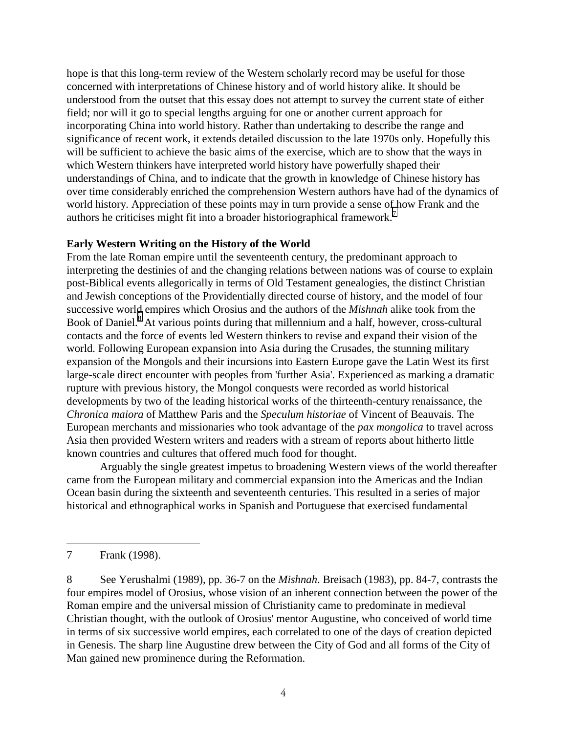hope is that this long-term review of the Western scholarly record may be useful for those concerned with interpretations of Chinese history and of world history alike. It should be understood from the outset that this essay does not attempt to survey the current state of either field; nor will it go to special lengths arguing for one or another current approach for incorporating China into world history. Rather than undertaking to describe the range and significance of recent work, it extends detailed discussion to the late 1970s only. Hopefully this will be sufficient to achieve the basic aims of the exercise, which are to show that the ways in which Western thinkers have interpreted world history have powerfully shaped their understandings of China, and to indicate that the growth in knowledge of Chinese history has over time considerably enriched the comprehension Western authors have had of the dynamics of world history. Appreciation of these points may in turn provide a sense of how Frank and the authors he criticises might fit into a broader historiographical framework.<sup>7</sup>

## **Early Western Writing on the History of the World**

From the late Roman empire until the seventeenth century, the predominant approach to interpreting the destinies of and the changing relations between nations was of course to explain post-Biblical events allegorically in terms of Old Testament genealogies, the distinct Christian and Jewish conceptions of the Providentially directed course of history, and the model of four successive world empires which Orosius and the authors of the *Mishnah* alike took from the Book of Daniel.<sup>8</sup> At various points during that millennium and a half, however, cross-cultural contacts and the force of events led Western thinkers to revise and expand their vision of the world. Following European expansion into Asia during the Crusades, the stunning military expansion of the Mongols and their incursions into Eastern Europe gave the Latin West its first large-scale direct encounter with peoples from 'further Asia'. Experienced as marking a dramatic rupture with previous history, the Mongol conquests were recorded as world historical developments by two of the leading historical works of the thirteenth-century renaissance, the *Chronica maiora* of Matthew Paris and the *Speculum historiae* of Vincent of Beauvais. The European merchants and missionaries who took advantage of the *pax mongolica* to travel across Asia then provided Western writers and readers with a stream of reports about hitherto little known countries and cultures that offered much food for thought.

Arguably the single greatest impetus to broadening Western views of the world thereafter came from the European military and commercial expansion into the Americas and the Indian Ocean basin during the sixteenth and seventeenth centuries. This resulted in a series of major historical and ethnographical works in Spanish and Portuguese that exercised fundamental

<sup>7</sup> Frank (1998).

<sup>8</sup> See Yerushalmi (1989), pp. 36-7 on the *Mishnah*. Breisach (1983), pp. 84-7, contrasts the four empires model of Orosius, whose vision of an inherent connection between the power of the Roman empire and the universal mission of Christianity came to predominate in medieval Christian thought, with the outlook of Orosius' mentor Augustine, who conceived of world time in terms of six successive world empires, each correlated to one of the days of creation depicted in Genesis. The sharp line Augustine drew between the City of God and all forms of the City of Man gained new prominence during the Reformation.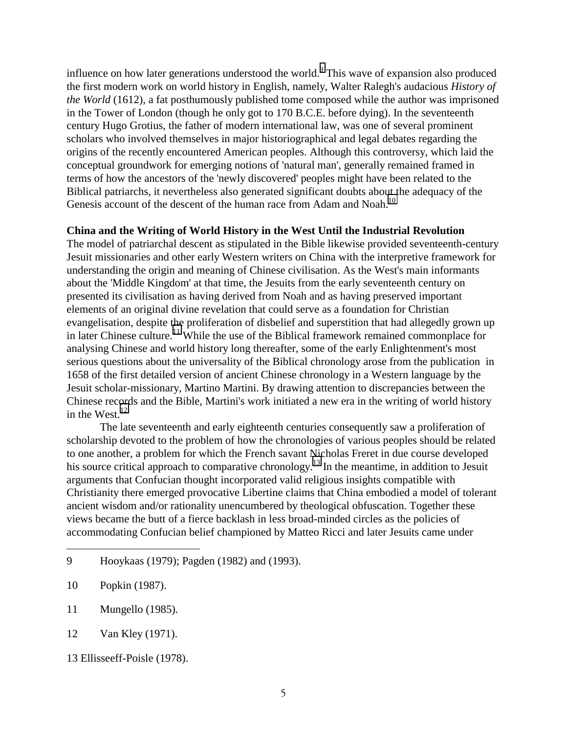influence on how later generations understood the world. This wave of expansion also produced the first modern work on world history in English, namely, Walter Ralegh's audacious *History of the World* (1612), a fat posthumously published tome composed while the author was imprisoned in the Tower of London (though he only got to 170 B.C.E. before dying). In the seventeenth century Hugo Grotius, the father of modern international law, was one of several prominent scholars who involved themselves in major historiographical and legal debates regarding the origins of the recently encountered American peoples. Although this controversy, which laid the conceptual groundwork for emerging notions of 'natural man', generally remained framed in terms of how the ancestors of the 'newly discovered' peoples might have been related to the Biblical patriarchs, it nevertheless also generated significant doubts about the adequacy of the Genesis account of the descent of the human race from Adam and Noah.<sup>10</sup>

## **China and the Writing of World History in the West Until the Industrial Revolution**

The model of patriarchal descent as stipulated in the Bible likewise provided seventeenth-century Jesuit missionaries and other early Western writers on China with the interpretive framework for understanding the origin and meaning of Chinese civilisation. As the West's main informants about the 'Middle Kingdom' at that time, the Jesuits from the early seventeenth century on presented its civilisation as having derived from Noah and as having preserved important elements of an original divine revelation that could serve as a foundation for Christian evangelisation, despite the proliferation of disbelief and superstition that had allegedly grown up in later Chinese culture.<sup>11</sup> While the use of the Biblical framework remained commonplace for analysing Chinese and world history long thereafter, some of the early Enlightenment's most serious questions about the universality of the Biblical chronology arose from the publication in 1658 of the first detailed version of ancient Chinese chronology in a Western language by the Jesuit scholar-missionary, Martino Martini. By drawing attention to discrepancies between the Chinese records and the Bible, Martini's work initiated a new era in the writing of world history in the West. $^{12}$ 

The late seventeenth and early eighteenth centuries consequently saw a proliferation of scholarship devoted to the problem of how the chronologies of various peoples should be related to one another, a problem for which the French savant Nicholas Freret in due course developed his source critical approach to comparative chronology.<sup>13</sup> In the meantime, in addition to Jesuit arguments that Confucian thought incorporated valid religious insights compatible with Christianity there emerged provocative Libertine claims that China embodied a model of tolerant ancient wisdom and/or rationality unencumbered by theological obfuscation. Together these views became the butt of a fierce backlash in less broad-minded circles as the policies of accommodating Confucian belief championed by Matteo Ricci and later Jesuits came under

9 Hooykaas (1979); Pagden (1982) and (1993).

- 11 Mungello (1985).
- 12 Van Kley (1971).

<sup>10</sup> Popkin (1987).

<sup>13</sup> Ellisseeff-Poisle (1978).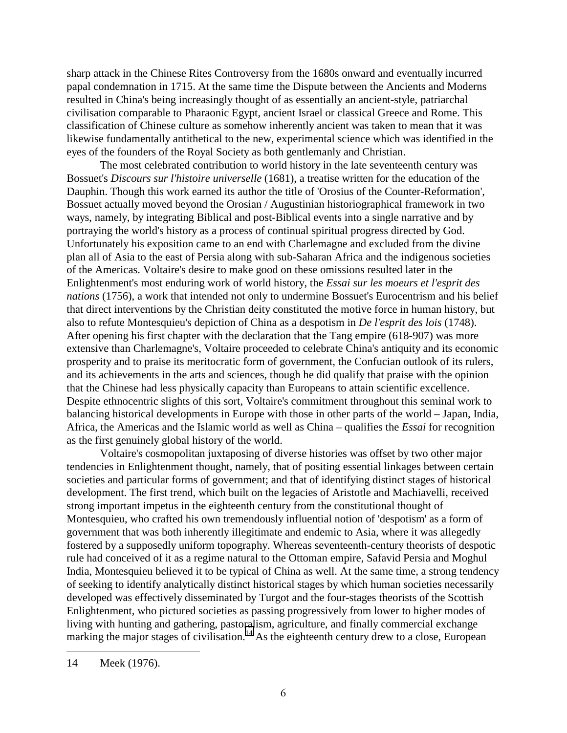sharp attack in the Chinese Rites Controversy from the 1680s onward and eventually incurred papal condemnation in 1715. At the same time the Dispute between the Ancients and Moderns resulted in China's being increasingly thought of as essentially an ancient-style, patriarchal civilisation comparable to Pharaonic Egypt, ancient Israel or classical Greece and Rome. This classification of Chinese culture as somehow inherently ancient was taken to mean that it was likewise fundamentally antithetical to the new, experimental science which was identified in the eyes of the founders of the Royal Society as both gentlemanly and Christian.

The most celebrated contribution to world history in the late seventeenth century was Bossuet's *Discours sur l'histoire universelle* (1681), a treatise written for the education of the Dauphin. Though this work earned its author the title of 'Orosius of the Counter-Reformation', Bossuet actually moved beyond the Orosian / Augustinian historiographical framework in two ways, namely, by integrating Biblical and post-Biblical events into a single narrative and by portraying the world's history as a process of continual spiritual progress directed by God. Unfortunately his exposition came to an end with Charlemagne and excluded from the divine plan all of Asia to the east of Persia along with sub-Saharan Africa and the indigenous societies of the Americas. Voltaire's desire to make good on these omissions resulted later in the Enlightenment's most enduring work of world history, the *Essai sur les moeurs et l'esprit des nations* (1756), a work that intended not only to undermine Bossuet's Eurocentrism and his belief that direct interventions by the Christian deity constituted the motive force in human history, but also to refute Montesquieu's depiction of China as a despotism in *De l'esprit des lois* (1748). After opening his first chapter with the declaration that the Tang empire (618-907) was more extensive than Charlemagne's, Voltaire proceeded to celebrate China's antiquity and its economic prosperity and to praise its meritocratic form of government, the Confucian outlook of its rulers, and its achievements in the arts and sciences, though he did qualify that praise with the opinion that the Chinese had less physically capacity than Europeans to attain scientific excellence. Despite ethnocentric slights of this sort, Voltaire's commitment throughout this seminal work to balancing historical developments in Europe with those in other parts of the world – Japan, India, Africa, the Americas and the Islamic world as well as China – qualifies the *Essai* for recognition as the first genuinely global history of the world.

Voltaire's cosmopolitan juxtaposing of diverse histories was offset by two other major tendencies in Enlightenment thought, namely, that of positing essential linkages between certain societies and particular forms of government; and that of identifying distinct stages of historical development. The first trend, which built on the legacies of Aristotle and Machiavelli, received strong important impetus in the eighteenth century from the constitutional thought of Montesquieu, who crafted his own tremendously influential notion of 'despotism' as a form of government that was both inherently illegitimate and endemic to Asia, where it was allegedly fostered by a supposedly uniform topography. Whereas seventeenth-century theorists of despotic rule had conceived of it as a regime natural to the Ottoman empire, Safavid Persia and Moghul India, Montesquieu believed it to be typical of China as well. At the same time, a strong tendency of seeking to identify analytically distinct historical stages by which human societies necessarily developed was effectively disseminated by Turgot and the four-stages theorists of the Scottish Enlightenment, who pictured societies as passing progressively from lower to higher modes of living with hunting and gathering, pastoralism, agriculture, and finally commercial exchange marking the major stages of civilisation.<sup>14</sup> As the eighteenth century drew to a close, European

<sup>14</sup> Meek (1976).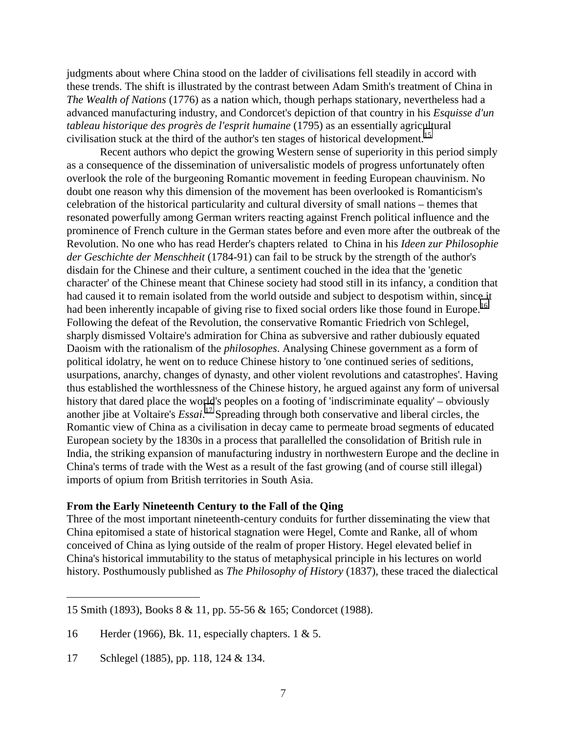judgments about where China stood on the ladder of civilisations fell steadily in accord with these trends. The shift is illustrated by the contrast between Adam Smith's treatment of China in *The Wealth of Nations* (1776) as a nation which, though perhaps stationary, nevertheless had a advanced manufacturing industry, and Condorcet's depiction of that country in his *Esquisse d'un tableau historique des progrès de l'esprit humaine* (1795) as an essentially agricultural civilisation stuck at the third of the author's ten stages of historical development.<sup>15</sup>

Recent authors who depict the growing Western sense of superiority in this period simply as a consequence of the dissemination of universalistic models of progress unfortunately often overlook the role of the burgeoning Romantic movement in feeding European chauvinism. No doubt one reason why this dimension of the movement has been overlooked is Romanticism's celebration of the historical particularity and cultural diversity of small nations – themes that resonated powerfully among German writers reacting against French political influence and the prominence of French culture in the German states before and even more after the outbreak of the Revolution. No one who has read Herder's chapters related to China in his *Ideen zur Philosophie der Geschichte der Menschheit* (1784-91) can fail to be struck by the strength of the author's disdain for the Chinese and their culture, a sentiment couched in the idea that the 'genetic character' of the Chinese meant that Chinese society had stood still in its infancy, a condition that had caused it to remain isolated from the world outside and subject to despotism within, since it had been inherently incapable of giving rise to fixed social orders like those found in Europe.<sup>16</sup> Following the defeat of the Revolution, the conservative Romantic Friedrich von Schlegel, sharply dismissed Voltaire's admiration for China as subversive and rather dubiously equated Daoism with the rationalism of the *philosophes*. Analysing Chinese government as a form of political idolatry, he went on to reduce Chinese history to 'one continued series of seditions, usurpations, anarchy, changes of dynasty, and other violent revolutions and catastrophes'. Having thus established the worthlessness of the Chinese history, he argued against any form of universal history that dared place the world's peoples on a footing of 'indiscriminate equality' – obviously another jibe at Voltaire's *Essai*. 17 Spreading through both conservative and liberal circles, the Romantic view of China as a civilisation in decay came to permeate broad segments of educated European society by the 1830s in a process that parallelled the consolidation of British rule in India, the striking expansion of manufacturing industry in northwestern Europe and the decline in China's terms of trade with the West as a result of the fast growing (and of course still illegal) imports of opium from British territories in South Asia.

## **From the Early Nineteenth Century to the Fall of the Qing**

Three of the most important nineteenth-century conduits for further disseminating the view that China epitomised a state of historical stagnation were Hegel, Comte and Ranke, all of whom conceived of China as lying outside of the realm of proper History. Hegel elevated belief in China's historical immutability to the status of metaphysical principle in his lectures on world history. Posthumously published as *The Philosophy of History* (1837), these traced the dialectical

<sup>15</sup> Smith (1893), Books 8 & 11, pp. 55-56 & 165; Condorcet (1988).

<sup>16</sup> Herder (1966), Bk. 11, especially chapters. 1 & 5.

<sup>17</sup> Schlegel (1885), pp. 118, 124 & 134.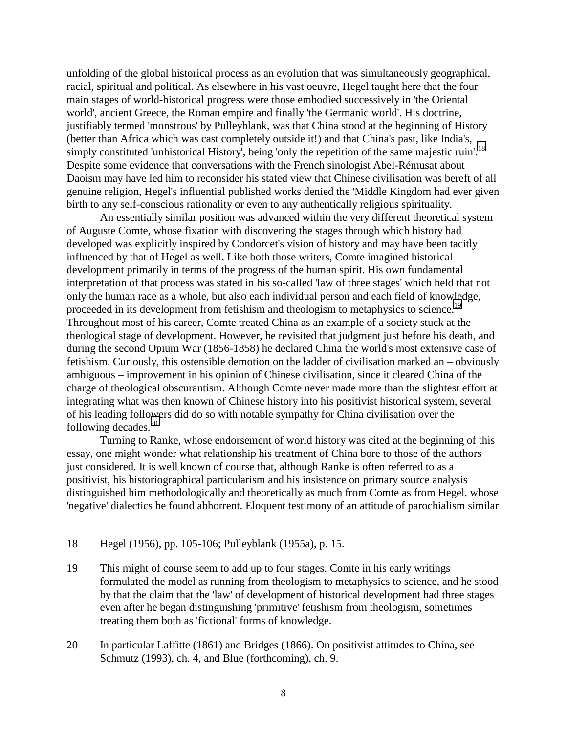unfolding of the global historical process as an evolution that was simultaneously geographical, racial, spiritual and political. As elsewhere in his vast oeuvre, Hegel taught here that the four main stages of world-historical progress were those embodied successively in 'the Oriental world', ancient Greece, the Roman empire and finally 'the Germanic world'. His doctrine, justifiably termed 'monstrous' by Pulleyblank, was that China stood at the beginning of History (better than Africa which was cast completely outside it!) and that China's past, like India's, simply constituted 'unhistorical History', being 'only the repetition of the same majestic ruin'.<sup>18</sup> Despite some evidence that conversations with the French sinologist Abel-Rémusat about Daoism may have led him to reconsider his stated view that Chinese civilisation was bereft of all genuine religion, Hegel's influential published works denied the 'Middle Kingdom had ever given birth to any self-conscious rationality or even to any authentically religious spirituality.

An essentially similar position was advanced within the very different theoretical system of Auguste Comte, whose fixation with discovering the stages through which history had developed was explicitly inspired by Condorcet's vision of history and may have been tacitly influenced by that of Hegel as well. Like both those writers, Comte imagined historical development primarily in terms of the progress of the human spirit. His own fundamental interpretation of that process was stated in his so-called 'law of three stages' which held that not only the human race as a whole, but also each individual person and each field of knowledge, proceeded in its development from fetishism and theologism to metaphysics to science.<sup>19</sup> Throughout most of his career, Comte treated China as an example of a society stuck at the theological stage of development. However, he revisited that judgment just before his death, and during the second Opium War (1856-1858) he declared China the world's most extensive case of fetishism. Curiously, this ostensible demotion on the ladder of civilisation marked an – obviously ambiguous – improvement in his opinion of Chinese civilisation, since it cleared China of the charge of theological obscurantism. Although Comte never made more than the slightest effort at integrating what was then known of Chinese history into his positivist historical system, several of his leading followers did do so with notable sympathy for China civilisation over the following decades. $^{20}$ 

Turning to Ranke, whose endorsement of world history was cited at the beginning of this essay, one might wonder what relationship his treatment of China bore to those of the authors just considered. It is well known of course that, although Ranke is often referred to as a positivist, his historiographical particularism and his insistence on primary source analysis distinguished him methodologically and theoretically as much from Comte as from Hegel, whose 'negative' dialectics he found abhorrent. Eloquent testimony of an attitude of parochialism similar

<sup>18</sup> Hegel (1956), pp. 105-106; Pulleyblank (1955a), p. 15.

<sup>19</sup> This might of course seem to add up to four stages. Comte in his early writings formulated the model as running from theologism to metaphysics to science, and he stood by that the claim that the 'law' of development of historical development had three stages even after he began distinguishing 'primitive' fetishism from theologism, sometimes treating them both as 'fictional' forms of knowledge.

<sup>20</sup> In particular Laffitte (1861) and Bridges (1866). On positivist attitudes to China, see Schmutz (1993), ch. 4, and Blue (forthcoming), ch. 9.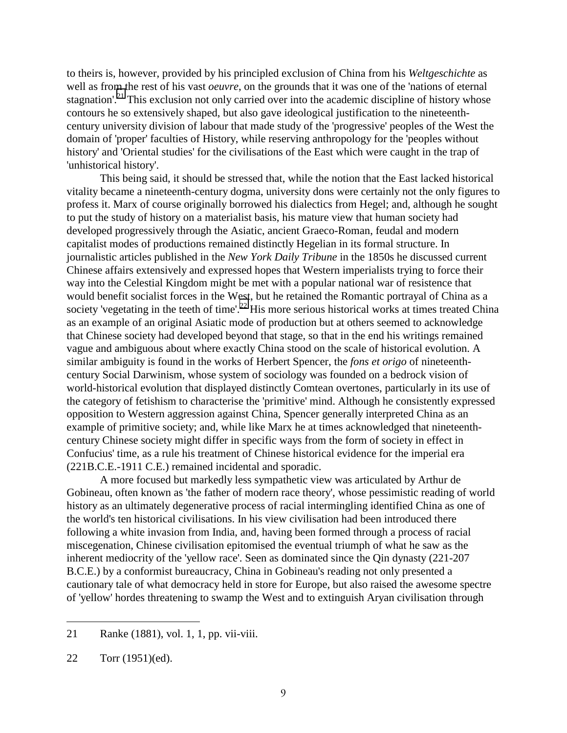to theirs is, however, provided by his principled exclusion of China from his *Weltgeschichte* as well as from the rest of his vast *oeuvre*, on the grounds that it was one of the 'nations of eternal stagnation'.<sup>21</sup> This exclusion not only carried over into the academic discipline of history whose contours he so extensively shaped, but also gave ideological justification to the nineteenthcentury university division of labour that made study of the 'progressive' peoples of the West the domain of 'proper' faculties of History, while reserving anthropology for the 'peoples without history' and 'Oriental studies' for the civilisations of the East which were caught in the trap of 'unhistorical history'.

This being said, it should be stressed that, while the notion that the East lacked historical vitality became a nineteenth-century dogma, university dons were certainly not the only figures to profess it. Marx of course originally borrowed his dialectics from Hegel; and, although he sought to put the study of history on a materialist basis, his mature view that human society had developed progressively through the Asiatic, ancient Graeco-Roman, feudal and modern capitalist modes of productions remained distinctly Hegelian in its formal structure. In journalistic articles published in the *New York Daily Tribune* in the 1850s he discussed current Chinese affairs extensively and expressed hopes that Western imperialists trying to force their way into the Celestial Kingdom might be met with a popular national war of resistence that would benefit socialist forces in the West, but he retained the Romantic portrayal of China as a society 'vegetating in the teeth of time'.<sup>22</sup> His more serious historical works at times treated China as an example of an original Asiatic mode of production but at others seemed to acknowledge that Chinese society had developed beyond that stage, so that in the end his writings remained vague and ambiguous about where exactly China stood on the scale of historical evolution. A similar ambiguity is found in the works of Herbert Spencer, the *fons et origo* of nineteenthcentury Social Darwinism, whose system of sociology was founded on a bedrock vision of world-historical evolution that displayed distinctly Comtean overtones, particularly in its use of the category of fetishism to characterise the 'primitive' mind. Although he consistently expressed opposition to Western aggression against China, Spencer generally interpreted China as an example of primitive society; and, while like Marx he at times acknowledged that nineteenthcentury Chinese society might differ in specific ways from the form of society in effect in Confucius' time, as a rule his treatment of Chinese historical evidence for the imperial era (221B.C.E.-1911 C.E.) remained incidental and sporadic.

A more focused but markedly less sympathetic view was articulated by Arthur de Gobineau, often known as 'the father of modern race theory', whose pessimistic reading of world history as an ultimately degenerative process of racial intermingling identified China as one of the world's ten historical civilisations. In his view civilisation had been introduced there following a white invasion from India, and, having been formed through a process of racial miscegenation, Chinese civilisation epitomised the eventual triumph of what he saw as the inherent mediocrity of the 'yellow race'. Seen as dominated since the Qin dynasty (221-207 B.C.E.) by a conformist bureaucracy, China in Gobineau's reading not only presented a cautionary tale of what democracy held in store for Europe, but also raised the awesome spectre of 'yellow' hordes threatening to swamp the West and to extinguish Aryan civilisation through

<sup>21</sup> Ranke (1881), vol. 1, 1, pp. vii-viii.

<sup>22</sup> Torr (1951)(ed).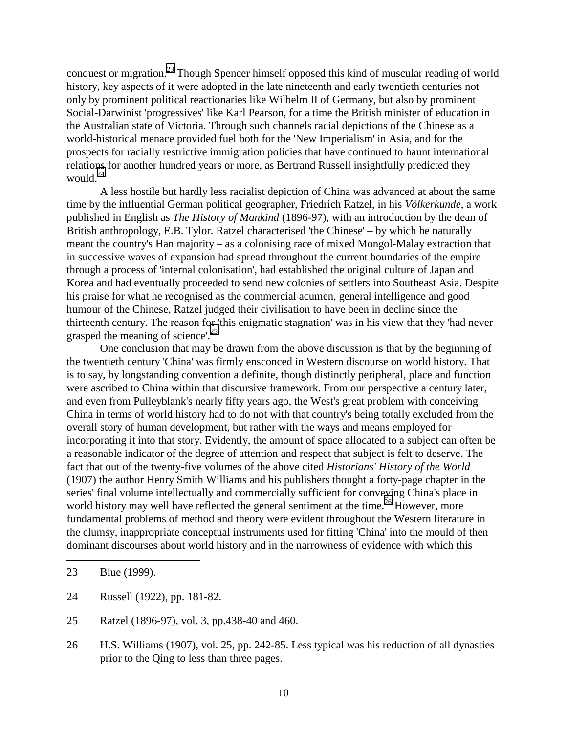conquest or migration.23 Though Spencer himself opposed this kind of muscular reading of world history, key aspects of it were adopted in the late nineteenth and early twentieth centuries not only by prominent political reactionaries like Wilhelm II of Germany, but also by prominent Social-Darwinist 'progressives' like Karl Pearson, for a time the British minister of education in the Australian state of Victoria. Through such channels racial depictions of the Chinese as a world-historical menace provided fuel both for the 'New Imperialism' in Asia, and for the prospects for racially restrictive immigration policies that have continued to haunt international relations for another hundred years or more, as Bertrand Russell insightfully predicted they would. $^{24}$ 

A less hostile but hardly less racialist depiction of China was advanced at about the same time by the influential German political geographer, Friedrich Ratzel, in his *Völkerkunde*, a work published in English as *The History of Mankind* (1896-97), with an introduction by the dean of British anthropology, E.B. Tylor. Ratzel characterised 'the Chinese' – by which he naturally meant the country's Han majority – as a colonising race of mixed Mongol-Malay extraction that in successive waves of expansion had spread throughout the current boundaries of the empire through a process of 'internal colonisation', had established the original culture of Japan and Korea and had eventually proceeded to send new colonies of settlers into Southeast Asia. Despite his praise for what he recognised as the commercial acumen, general intelligence and good humour of the Chinese, Ratzel judged their civilisation to have been in decline since the thirteenth century. The reason for 'this enigmatic stagnation' was in his view that they 'had never grasped the meaning of science'.<sup>25</sup>

One conclusion that may be drawn from the above discussion is that by the beginning of the twentieth century 'China' was firmly ensconced in Western discourse on world history. That is to say, by longstanding convention a definite, though distinctly peripheral, place and function were ascribed to China within that discursive framework. From our perspective a century later, and even from Pulleyblank's nearly fifty years ago, the West's great problem with conceiving China in terms of world history had to do not with that country's being totally excluded from the overall story of human development, but rather with the ways and means employed for incorporating it into that story. Evidently, the amount of space allocated to a subject can often be a reasonable indicator of the degree of attention and respect that subject is felt to deserve. The fact that out of the twenty-five volumes of the above cited *Historians' History of the World* (1907) the author Henry Smith Williams and his publishers thought a forty-page chapter in the series' final volume intellectually and commercially sufficient for conveying China's place in world history may well have reflected the general sentiment at the time.<sup>26</sup> However, more fundamental problems of method and theory were evident throughout the Western literature in the clumsy, inappropriate conceptual instruments used for fitting 'China' into the mould of then dominant discourses about world history and in the narrowness of evidence with which this

<sup>23</sup> Blue (1999).

<sup>24</sup> Russell (1922), pp. 181-82.

<sup>25</sup> Ratzel (1896-97), vol. 3, pp.438-40 and 460.

<sup>26</sup> H.S. Williams (1907), vol. 25, pp. 242-85. Less typical was his reduction of all dynasties prior to the Qing to less than three pages.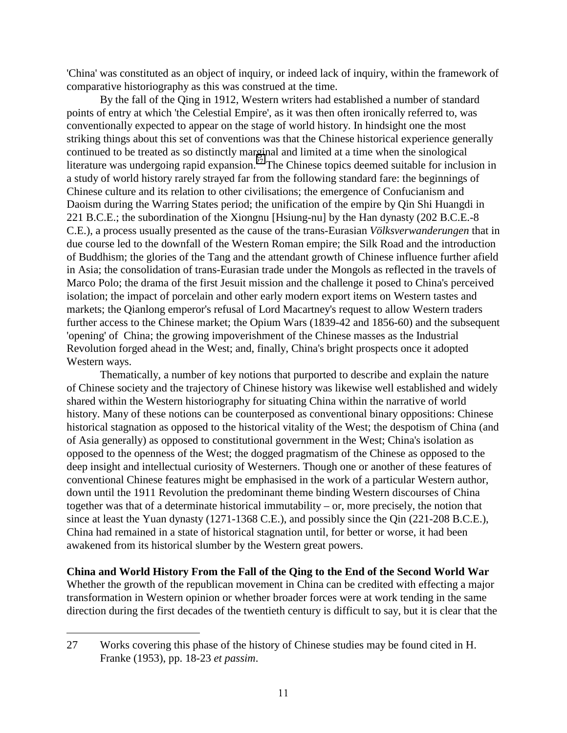'China' was constituted as an object of inquiry, or indeed lack of inquiry, within the framework of comparative historiography as this was construed at the time.

By the fall of the Qing in 1912, Western writers had established a number of standard points of entry at which 'the Celestial Empire', as it was then often ironically referred to, was conventionally expected to appear on the stage of world history. In hindsight one the most striking things about this set of conventions was that the Chinese historical experience generally continued to be treated as so distinctly marginal and limited at a time when the sinological literature was undergoing rapid expansion.<sup> $27$ </sup> The Chinese topics deemed suitable for inclusion in a study of world history rarely strayed far from the following standard fare: the beginnings of Chinese culture and its relation to other civilisations; the emergence of Confucianism and Daoism during the Warring States period; the unification of the empire by Qin Shi Huangdi in 221 B.C.E.; the subordination of the Xiongnu [Hsiung-nu] by the Han dynasty (202 B.C.E.-8 C.E.), a process usually presented as the cause of the trans-Eurasian *Völksverwanderungen* that in due course led to the downfall of the Western Roman empire; the Silk Road and the introduction of Buddhism; the glories of the Tang and the attendant growth of Chinese influence further afield in Asia; the consolidation of trans-Eurasian trade under the Mongols as reflected in the travels of Marco Polo; the drama of the first Jesuit mission and the challenge it posed to China's perceived isolation; the impact of porcelain and other early modern export items on Western tastes and markets; the Qianlong emperor's refusal of Lord Macartney's request to allow Western traders further access to the Chinese market; the Opium Wars (1839-42 and 1856-60) and the subsequent 'opening' of China; the growing impoverishment of the Chinese masses as the Industrial Revolution forged ahead in the West; and, finally, China's bright prospects once it adopted Western ways.

Thematically, a number of key notions that purported to describe and explain the nature of Chinese society and the trajectory of Chinese history was likewise well established and widely shared within the Western historiography for situating China within the narrative of world history. Many of these notions can be counterposed as conventional binary oppositions: Chinese historical stagnation as opposed to the historical vitality of the West; the despotism of China (and of Asia generally) as opposed to constitutional government in the West; China's isolation as opposed to the openness of the West; the dogged pragmatism of the Chinese as opposed to the deep insight and intellectual curiosity of Westerners. Though one or another of these features of conventional Chinese features might be emphasised in the work of a particular Western author, down until the 1911 Revolution the predominant theme binding Western discourses of China together was that of a determinate historical immutability – or, more precisely, the notion that since at least the Yuan dynasty (1271-1368 C.E.), and possibly since the Qin (221-208 B.C.E.), China had remained in a state of historical stagnation until, for better or worse, it had been awakened from its historical slumber by the Western great powers.

**China and World History From the Fall of the Qing to the End of the Second World War** Whether the growth of the republican movement in China can be credited with effecting a major transformation in Western opinion or whether broader forces were at work tending in the same direction during the first decades of the twentieth century is difficult to say, but it is clear that the

 $\overline{a}$ 27 Works covering this phase of the history of Chinese studies may be found cited in H. Franke (1953), pp. 18-23 *et passim*.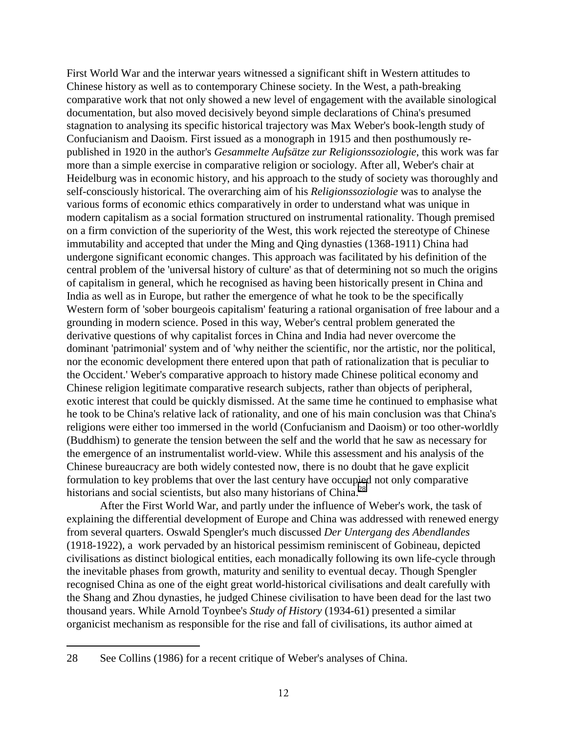First World War and the interwar years witnessed a significant shift in Western attitudes to Chinese history as well as to contemporary Chinese society. In the West, a path-breaking comparative work that not only showed a new level of engagement with the available sinological documentation, but also moved decisively beyond simple declarations of China's presumed stagnation to analysing its specific historical trajectory was Max Weber's book-length study of Confucianism and Daoism. First issued as a monograph in 1915 and then posthumously republished in 1920 in the author's *Gesammelte Aufsätze zur Religionssoziologie*, this work was far more than a simple exercise in comparative religion or sociology. After all, Weber's chair at Heidelburg was in economic history, and his approach to the study of society was thoroughly and self-consciously historical. The overarching aim of his *Religionssoziologie* was to analyse the various forms of economic ethics comparatively in order to understand what was unique in modern capitalism as a social formation structured on instrumental rationality. Though premised on a firm conviction of the superiority of the West, this work rejected the stereotype of Chinese immutability and accepted that under the Ming and Qing dynasties (1368-1911) China had undergone significant economic changes. This approach was facilitated by his definition of the central problem of the 'universal history of culture' as that of determining not so much the origins of capitalism in general, which he recognised as having been historically present in China and India as well as in Europe, but rather the emergence of what he took to be the specifically Western form of 'sober bourgeois capitalism' featuring a rational organisation of free labour and a grounding in modern science. Posed in this way, Weber's central problem generated the derivative questions of why capitalist forces in China and India had never overcome the dominant 'patrimonial' system and of 'why neither the scientific, nor the artistic, nor the political, nor the economic development there entered upon that path of rationalization that is peculiar to the Occident.' Weber's comparative approach to history made Chinese political economy and Chinese religion legitimate comparative research subjects, rather than objects of peripheral, exotic interest that could be quickly dismissed. At the same time he continued to emphasise what he took to be China's relative lack of rationality, and one of his main conclusion was that China's religions were either too immersed in the world (Confucianism and Daoism) or too other-worldly (Buddhism) to generate the tension between the self and the world that he saw as necessary for the emergence of an instrumentalist world-view. While this assessment and his analysis of the Chinese bureaucracy are both widely contested now, there is no doubt that he gave explicit formulation to key problems that over the last century have occupied not only comparative historians and social scientists, but also many historians of China.<sup>28</sup>

After the First World War, and partly under the influence of Weber's work, the task of explaining the differential development of Europe and China was addressed with renewed energy from several quarters. Oswald Spengler's much discussed *Der Untergang des Abendlandes* (1918-1922), a work pervaded by an historical pessimism reminiscent of Gobineau, depicted civilisations as distinct biological entities, each monadically following its own life-cycle through the inevitable phases from growth, maturity and senility to eventual decay. Though Spengler recognised China as one of the eight great world-historical civilisations and dealt carefully with the Shang and Zhou dynasties, he judged Chinese civilisation to have been dead for the last two thousand years. While Arnold Toynbee's *Study of History* (1934-61) presented a similar organicist mechanism as responsible for the rise and fall of civilisations, its author aimed at

<sup>28</sup> See Collins (1986) for a recent critique of Weber's analyses of China.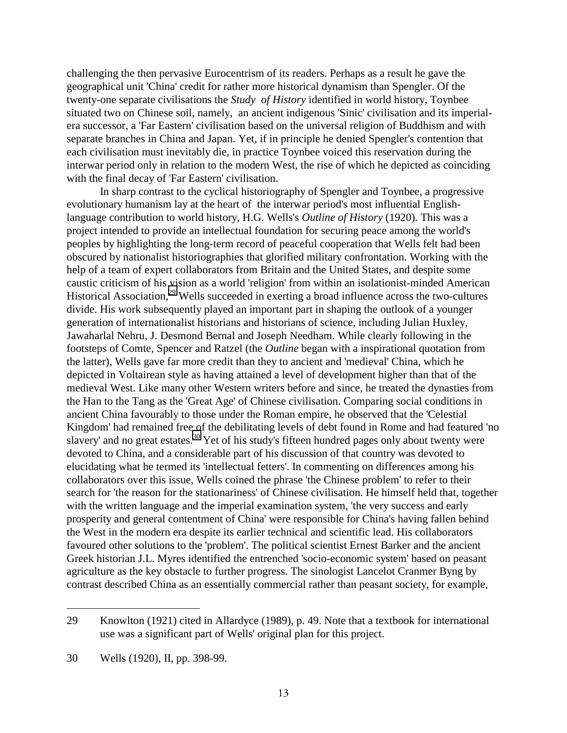challenging the then pervasive Eurocentrism of its readers. Perhaps as a result he gave the geographical unit 'China' credit for rather more historical dynamism than Spengler. Of the twenty-one separate civilisations the *Study of History* identified in world history, Toynbee situated two on Chinese soil, namely, an ancient indigenous 'Sinic' civilisation and its imperialera successor, a 'Far Eastern' civilisation based on the universal religion of Buddhism and with separate branches in China and Japan. Yet, if in principle he denied Spengler's contention that each civilisation must inevitably die, in practice Toynbee voiced this reservation during the interwar period only in relation to the modern West, the rise of which he depicted as coinciding with the final decay of 'Far Eastern' civilisation.

In sharp contrast to the cyclical historiography of Spengler and Toynbee, a progressive evolutionary humanism lay at the heart of the interwar period's most influential Englishlanguage contribution to world history, H.G. Wells's *Outline of History* (1920). This was a project intended to provide an intellectual foundation for securing peace among the world's peoples by highlighting the long-term record of peaceful cooperation that Wells felt had been obscured by nationalist historiographies that glorified military confrontation. Working with the help of a team of expert collaborators from Britain and the United States, and despite some caustic criticism of his vision as a world 'religion' from within an isolationist-minded American Historical Association,<sup>29</sup> Wells succeeded in exerting a broad influence across the two-cultures divide. His work subsequently played an important part in shaping the outlook of a younger generation of internationalist historians and historians of science, including Julian Huxley, Jawaharlal Nehru, J. Desmond Bernal and Joseph Needham. While clearly following in the footsteps of Comte, Spencer and Ratzel (the *Outline* began with a inspirational quotation from the latter), Wells gave far more credit than they to ancient and 'medieval' China, which he depicted in Voltairean style as having attained a level of development higher than that of the medieval West. Like many other Western writers before and since, he treated the dynasties from the Han to the Tang as the 'Great Age' of Chinese civilisation. Comparing social conditions in ancient China favourably to those under the Roman empire, he observed that the 'Celestial Kingdom' had remained free of the debilitating levels of debt found in Rome and had featured 'no slavery' and no great estates.<sup>30</sup> Yet of his study's fifteen hundred pages only about twenty were devoted to China, and a considerable part of his discussion of that country was devoted to elucidating what he termed its 'intellectual fetters'. In commenting on differences among his collaborators over this issue, Wells coined the phrase 'the Chinese problem' to refer to their search for 'the reason for the stationariness' of Chinese civilisation. He himself held that, together with the written language and the imperial examination system, 'the very success and early prosperity and general contentment of China' were responsible for China's having fallen behind the West in the modern era despite its earlier technical and scientific lead. His collaborators favoured other solutions to the 'problem'. The political scientist Ernest Barker and the ancient Greek historian J.L. Myres identified the entrenched 'socio-economic system' based on peasant agriculture as the key obstacle to further progress. The sinologist Lancelot Cranmer Byng by contrast described China as an essentially commercial rather than peasant society, for example,

<sup>29</sup> Knowlton (1921) cited in Allardyce (1989), p. 49. Note that a textbook for international use was a significant part of Wells' original plan for this project.

<sup>30</sup> Wells (1920), II, pp. 398-99.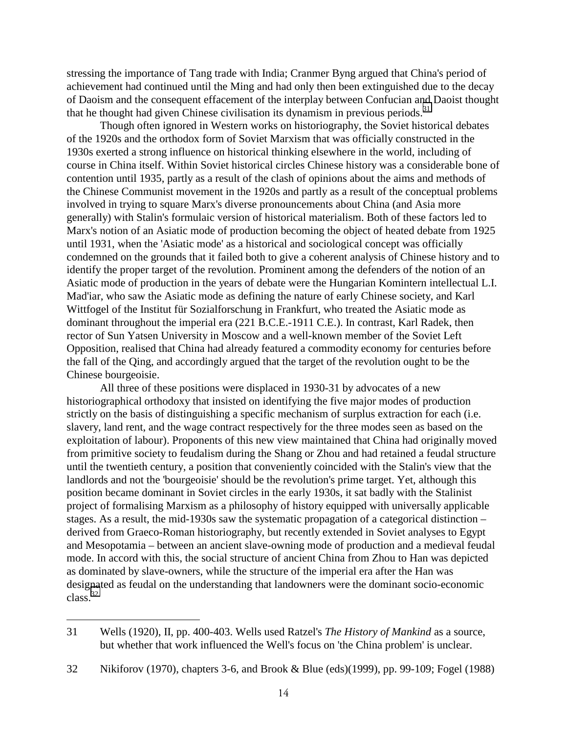stressing the importance of Tang trade with India; Cranmer Byng argued that China's period of achievement had continued until the Ming and had only then been extinguished due to the decay of Daoism and the consequent effacement of the interplay between Confucian and Daoist thought that he thought had given Chinese civilisation its dynamism in previous periods.<sup>31</sup>

Though often ignored in Western works on historiography, the Soviet historical debates of the 1920s and the orthodox form of Soviet Marxism that was officially constructed in the 1930s exerted a strong influence on historical thinking elsewhere in the world, including of course in China itself. Within Soviet historical circles Chinese history was a considerable bone of contention until 1935, partly as a result of the clash of opinions about the aims and methods of the Chinese Communist movement in the 1920s and partly as a result of the conceptual problems involved in trying to square Marx's diverse pronouncements about China (and Asia more generally) with Stalin's formulaic version of historical materialism. Both of these factors led to Marx's notion of an Asiatic mode of production becoming the object of heated debate from 1925 until 1931, when the 'Asiatic mode' as a historical and sociological concept was officially condemned on the grounds that it failed both to give a coherent analysis of Chinese history and to identify the proper target of the revolution. Prominent among the defenders of the notion of an Asiatic mode of production in the years of debate were the Hungarian Komintern intellectual L.I. Mad'iar, who saw the Asiatic mode as defining the nature of early Chinese society, and Karl Wittfogel of the Institut für Sozialforschung in Frankfurt, who treated the Asiatic mode as dominant throughout the imperial era (221 B.C.E.-1911 C.E.). In contrast, Karl Radek, then rector of Sun Yatsen University in Moscow and a well-known member of the Soviet Left Opposition, realised that China had already featured a commodity economy for centuries before the fall of the Qing, and accordingly argued that the target of the revolution ought to be the Chinese bourgeoisie.

All three of these positions were displaced in 1930-31 by advocates of a new historiographical orthodoxy that insisted on identifying the five major modes of production strictly on the basis of distinguishing a specific mechanism of surplus extraction for each (i.e. slavery, land rent, and the wage contract respectively for the three modes seen as based on the exploitation of labour). Proponents of this new view maintained that China had originally moved from primitive society to feudalism during the Shang or Zhou and had retained a feudal structure until the twentieth century, a position that conveniently coincided with the Stalin's view that the landlords and not the 'bourgeoisie' should be the revolution's prime target. Yet, although this position became dominant in Soviet circles in the early 1930s, it sat badly with the Stalinist project of formalising Marxism as a philosophy of history equipped with universally applicable stages. As a result, the mid-1930s saw the systematic propagation of a categorical distinction – derived from Graeco-Roman historiography, but recently extended in Soviet analyses to Egypt and Mesopotamia – between an ancient slave-owning mode of production and a medieval feudal mode. In accord with this, the social structure of ancient China from Zhou to Han was depicted as dominated by slave-owners, while the structure of the imperial era after the Han was designated as feudal on the understanding that landowners were the dominant socio-economic  $class.<sup>32</sup>$ 

<sup>31</sup> Wells (1920), II, pp. 400-403. Wells used Ratzel's *The History of Mankind* as a source, but whether that work influenced the Well's focus on 'the China problem' is unclear.

<sup>32</sup> Nikiforov (1970), chapters 3-6, and Brook & Blue (eds)(1999), pp. 99-109; Fogel (1988)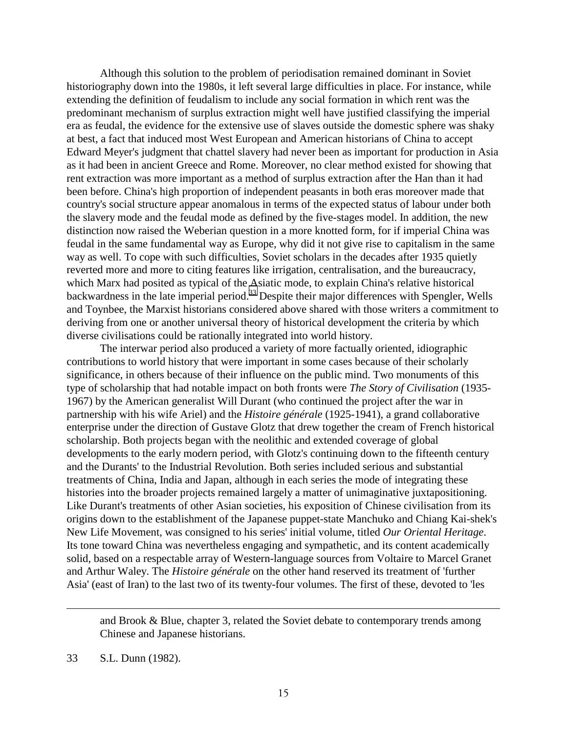Although this solution to the problem of periodisation remained dominant in Soviet historiography down into the 1980s, it left several large difficulties in place. For instance, while extending the definition of feudalism to include any social formation in which rent was the predominant mechanism of surplus extraction might well have justified classifying the imperial era as feudal, the evidence for the extensive use of slaves outside the domestic sphere was shaky at best, a fact that induced most West European and American historians of China to accept Edward Meyer's judgment that chattel slavery had never been as important for production in Asia as it had been in ancient Greece and Rome. Moreover, no clear method existed for showing that rent extraction was more important as a method of surplus extraction after the Han than it had been before. China's high proportion of independent peasants in both eras moreover made that country's social structure appear anomalous in terms of the expected status of labour under both the slavery mode and the feudal mode as defined by the five-stages model. In addition, the new distinction now raised the Weberian question in a more knotted form, for if imperial China was feudal in the same fundamental way as Europe, why did it not give rise to capitalism in the same way as well. To cope with such difficulties, Soviet scholars in the decades after 1935 quietly reverted more and more to citing features like irrigation, centralisation, and the bureaucracy, which Marx had posited as typical of the Asiatic mode, to explain China's relative historical backwardness in the late imperial period.<sup>33</sup> Despite their major differences with Spengler, Wells and Toynbee, the Marxist historians considered above shared with those writers a commitment to deriving from one or another universal theory of historical development the criteria by which diverse civilisations could be rationally integrated into world history.

The interwar period also produced a variety of more factually oriented, idiographic contributions to world history that were important in some cases because of their scholarly significance, in others because of their influence on the public mind. Two monuments of this type of scholarship that had notable impact on both fronts were *The Story of Civilisation* (1935- 1967) by the American generalist Will Durant (who continued the project after the war in partnership with his wife Ariel) and the *Histoire générale* (1925-1941), a grand collaborative enterprise under the direction of Gustave Glotz that drew together the cream of French historical scholarship. Both projects began with the neolithic and extended coverage of global developments to the early modern period, with Glotz's continuing down to the fifteenth century and the Durants' to the Industrial Revolution. Both series included serious and substantial treatments of China, India and Japan, although in each series the mode of integrating these histories into the broader projects remained largely a matter of unimaginative juxtapositioning. Like Durant's treatments of other Asian societies, his exposition of Chinese civilisation from its origins down to the establishment of the Japanese puppet-state Manchuko and Chiang Kai-shek's New Life Movement, was consigned to his series' initial volume, titled *Our Oriental Heritage*. Its tone toward China was nevertheless engaging and sympathetic, and its content academically solid, based on a respectable array of Western-language sources from Voltaire to Marcel Granet and Arthur Waley. The *Histoire générale* on the other hand reserved its treatment of 'further Asia' (east of Iran) to the last two of its twenty-four volumes. The first of these, devoted to 'les

and Brook & Blue, chapter 3, related the Soviet debate to contemporary trends among Chinese and Japanese historians.

<sup>33</sup> S.L. Dunn (1982).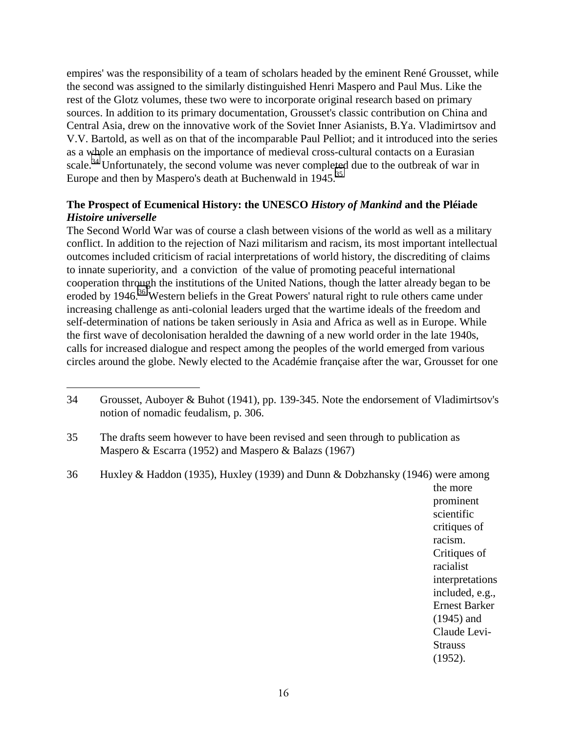empires' was the responsibility of a team of scholars headed by the eminent René Grousset, while the second was assigned to the similarly distinguished Henri Maspero and Paul Mus. Like the rest of the Glotz volumes, these two were to incorporate original research based on primary sources. In addition to its primary documentation, Grousset's classic contribution on China and Central Asia, drew on the innovative work of the Soviet Inner Asianists, B.Ya. Vladimirtsov and V.V. Bartold, as well as on that of the incomparable Paul Pelliot; and it introduced into the series as a whole an emphasis on the importance of medieval cross-cultural contacts on a Eurasian scale.<sup>34</sup> Unfortunately, the second volume was never completed due to the outbreak of war in Europe and then by Maspero's death at Buchenwald in 1945.<sup>35</sup>

# **The Prospect of Ecumenical History: the UNESCO** *History of Mankind* **and the Pléiade** *Histoire universelle*

The Second World War was of course a clash between visions of the world as well as a military conflict. In addition to the rejection of Nazi militarism and racism, its most important intellectual outcomes included criticism of racial interpretations of world history, the discrediting of claims to innate superiority, and a conviction of the value of promoting peaceful international cooperation through the institutions of the United Nations, though the latter already began to be eroded by 1946.<sup>36</sup> Western beliefs in the Great Powers' natural right to rule others came under increasing challenge as anti-colonial leaders urged that the wartime ideals of the freedom and self-determination of nations be taken seriously in Asia and Africa as well as in Europe. While the first wave of decolonisation heralded the dawning of a new world order in the late 1940s, calls for increased dialogue and respect among the peoples of the world emerged from various circles around the globe. Newly elected to the Académie française after the war, Grousset for one

 $\overline{a}$ 

the more prominent scientific critiques of racism. Critiques of racialist interpretations included, e.g., Ernest Barker (1945) and Claude Levi-**Strauss** (1952).

<sup>34</sup> Grousset, Auboyer & Buhot (1941), pp. 139-345. Note the endorsement of Vladimirtsov's notion of nomadic feudalism, p. 306.

<sup>35</sup> The drafts seem however to have been revised and seen through to publication as Maspero & Escarra (1952) and Maspero & Balazs (1967)

<sup>36</sup> Huxley & Haddon (1935), Huxley (1939) and Dunn & Dobzhansky (1946) were among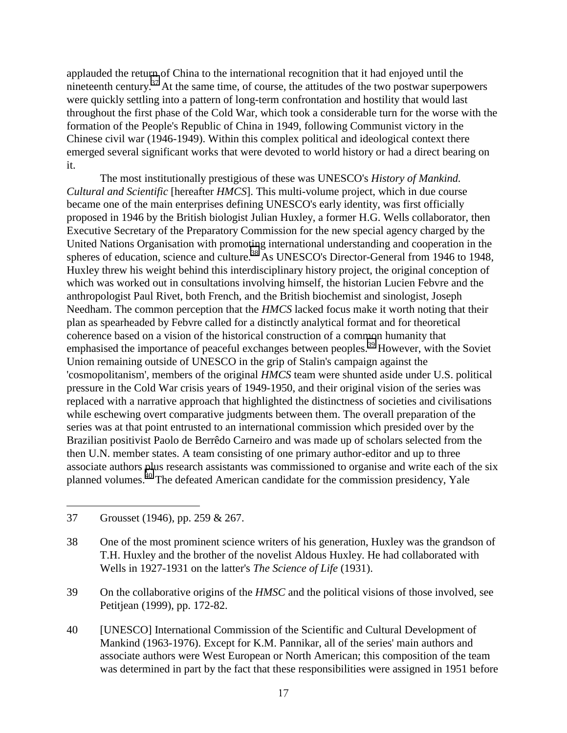applauded the return of China to the international recognition that it had enjoyed until the nineteenth century. $37$  At the same time, of course, the attitudes of the two postwar superpowers were quickly settling into a pattern of long-term confrontation and hostility that would last throughout the first phase of the Cold War, which took a considerable turn for the worse with the formation of the People's Republic of China in 1949, following Communist victory in the Chinese civil war (1946-1949). Within this complex political and ideological context there emerged several significant works that were devoted to world history or had a direct bearing on it.

The most institutionally prestigious of these was UNESCO's *History of Mankind. Cultural and Scientific* [hereafter *HMCS*]. This multi-volume project, which in due course became one of the main enterprises defining UNESCO's early identity, was first officially proposed in 1946 by the British biologist Julian Huxley, a former H.G. Wells collaborator, then Executive Secretary of the Preparatory Commission for the new special agency charged by the United Nations Organisation with promoting international understanding and cooperation in the spheres of education, science and culture.<sup>38</sup> As UNESCO's Director-General from 1946 to 1948, Huxley threw his weight behind this interdisciplinary history project, the original conception of which was worked out in consultations involving himself, the historian Lucien Febvre and the anthropologist Paul Rivet, both French, and the British biochemist and sinologist, Joseph Needham. The common perception that the *HMCS* lacked focus make it worth noting that their plan as spearheaded by Febvre called for a distinctly analytical format and for theoretical coherence based on a vision of the historical construction of a common humanity that emphasised the importance of peaceful exchanges between peoples.<sup>39</sup> However, with the Soviet Union remaining outside of UNESCO in the grip of Stalin's campaign against the 'cosmopolitanism', members of the original *HMCS* team were shunted aside under U.S. political pressure in the Cold War crisis years of 1949-1950, and their original vision of the series was replaced with a narrative approach that highlighted the distinctness of societies and civilisations while eschewing overt comparative judgments between them. The overall preparation of the series was at that point entrusted to an international commission which presided over by the Brazilian positivist Paolo de Berrêdo Carneiro and was made up of scholars selected from the then U.N. member states. A team consisting of one primary author-editor and up to three associate authors plus research assistants was commissioned to organise and write each of the six planned volumes.40 The defeated American candidate for the commission presidency, Yale

 $\overline{a}$ 

40 [UNESCO] International Commission of the Scientific and Cultural Development of Mankind (1963-1976). Except for K.M. Pannikar, all of the series' main authors and associate authors were West European or North American; this composition of the team was determined in part by the fact that these responsibilities were assigned in 1951 before

<sup>37</sup> Grousset (1946), pp. 259 & 267.

<sup>38</sup> One of the most prominent science writers of his generation, Huxley was the grandson of T.H. Huxley and the brother of the novelist Aldous Huxley. He had collaborated with Wells in 1927-1931 on the latter's *The Science of Life* (1931).

<sup>39</sup> On the collaborative origins of the *HMSC* and the political visions of those involved, see Petitjean (1999), pp. 172-82.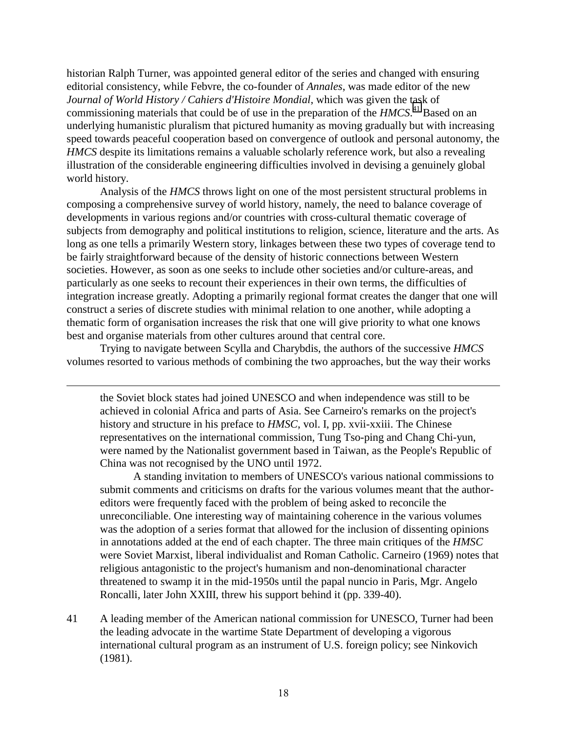historian Ralph Turner, was appointed general editor of the series and changed with ensuring editorial consistency, while Febvre, the co-founder of *Annales*, was made editor of the new *Journal of World History / Cahiers d'Histoire Mondial*, which was given the task of commissioning materials that could be of use in the preparation of the *HMCS*. 41 Based on an underlying humanistic pluralism that pictured humanity as moving gradually but with increasing speed towards peaceful cooperation based on convergence of outlook and personal autonomy, the *HMCS* despite its limitations remains a valuable scholarly reference work, but also a revealing illustration of the considerable engineering difficulties involved in devising a genuinely global world history.

Analysis of the *HMCS* throws light on one of the most persistent structural problems in composing a comprehensive survey of world history, namely, the need to balance coverage of developments in various regions and/or countries with cross-cultural thematic coverage of subjects from demography and political institutions to religion, science, literature and the arts. As long as one tells a primarily Western story, linkages between these two types of coverage tend to be fairly straightforward because of the density of historic connections between Western societies. However, as soon as one seeks to include other societies and/or culture-areas, and particularly as one seeks to recount their experiences in their own terms, the difficulties of integration increase greatly. Adopting a primarily regional format creates the danger that one will construct a series of discrete studies with minimal relation to one another, while adopting a thematic form of organisation increases the risk that one will give priority to what one knows best and organise materials from other cultures around that central core.

Trying to navigate between Scylla and Charybdis, the authors of the successive *HMCS* volumes resorted to various methods of combining the two approaches, but the way their works

 $\overline{a}$ 

the Soviet block states had joined UNESCO and when independence was still to be achieved in colonial Africa and parts of Asia. See Carneiro's remarks on the project's history and structure in his preface to *HMSC*, vol. I, pp. xvii-xxiii. The Chinese representatives on the international commission, Tung Tso-ping and Chang Chi-yun, were named by the Nationalist government based in Taiwan, as the People's Republic of China was not recognised by the UNO until 1972.

A standing invitation to members of UNESCO's various national commissions to submit comments and criticisms on drafts for the various volumes meant that the authoreditors were frequently faced with the problem of being asked to reconcile the unreconciliable. One interesting way of maintaining coherence in the various volumes was the adoption of a series format that allowed for the inclusion of dissenting opinions in annotations added at the end of each chapter. The three main critiques of the *HMSC* were Soviet Marxist, liberal individualist and Roman Catholic. Carneiro (1969) notes that religious antagonistic to the project's humanism and non-denominational character threatened to swamp it in the mid-1950s until the papal nuncio in Paris, Mgr. Angelo Roncalli, later John XXIII, threw his support behind it (pp. 339-40).

41 A leading member of the American national commission for UNESCO, Turner had been the leading advocate in the wartime State Department of developing a vigorous international cultural program as an instrument of U.S. foreign policy; see Ninkovich (1981).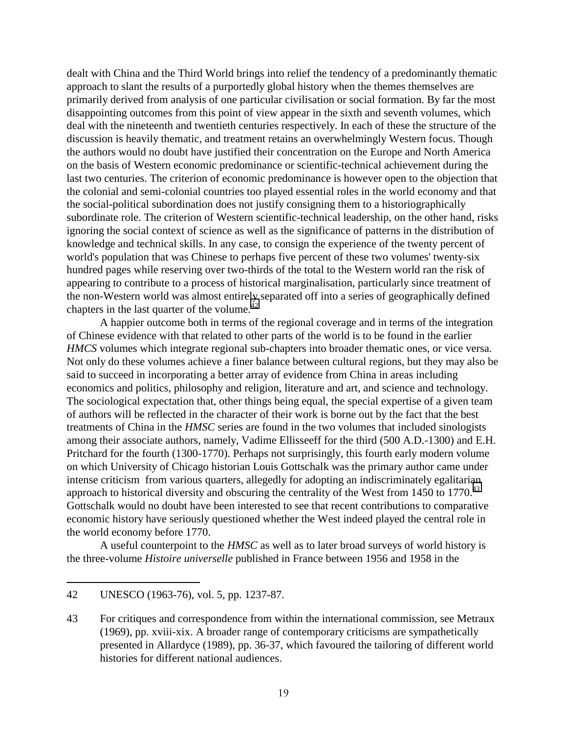dealt with China and the Third World brings into relief the tendency of a predominantly thematic approach to slant the results of a purportedly global history when the themes themselves are primarily derived from analysis of one particular civilisation or social formation. By far the most disappointing outcomes from this point of view appear in the sixth and seventh volumes, which deal with the nineteenth and twentieth centuries respectively. In each of these the structure of the discussion is heavily thematic, and treatment retains an overwhelmingly Western focus. Though the authors would no doubt have justified their concentration on the Europe and North America on the basis of Western economic predominance or scientific-technical achievement during the last two centuries. The criterion of economic predominance is however open to the objection that the colonial and semi-colonial countries too played essential roles in the world economy and that the social-political subordination does not justify consigning them to a historiographically subordinate role. The criterion of Western scientific-technical leadership, on the other hand, risks ignoring the social context of science as well as the significance of patterns in the distribution of knowledge and technical skills. In any case, to consign the experience of the twenty percent of world's population that was Chinese to perhaps five percent of these two volumes' twenty-six hundred pages while reserving over two-thirds of the total to the Western world ran the risk of appearing to contribute to a process of historical marginalisation, particularly since treatment of the non-Western world was almost entirely separated off into a series of geographically defined chapters in the last quarter of the volume. $^{42}$ 

A happier outcome both in terms of the regional coverage and in terms of the integration of Chinese evidence with that related to other parts of the world is to be found in the earlier *HMCS* volumes which integrate regional sub-chapters into broader thematic ones, or vice versa. Not only do these volumes achieve a finer balance between cultural regions, but they may also be said to succeed in incorporating a better array of evidence from China in areas including economics and politics, philosophy and religion, literature and art, and science and technology. The sociological expectation that, other things being equal, the special expertise of a given team of authors will be reflected in the character of their work is borne out by the fact that the best treatments of China in the *HMSC* series are found in the two volumes that included sinologists among their associate authors, namely, Vadime Ellisseeff for the third (500 A.D.-1300) and E.H. Pritchard for the fourth (1300-1770). Perhaps not surprisingly, this fourth early modern volume on which University of Chicago historian Louis Gottschalk was the primary author came under intense criticism from various quarters, allegedly for adopting an indiscriminately egalitarian approach to historical diversity and obscuring the centrality of the West from 1450 to 1770.<sup>43</sup> Gottschalk would no doubt have been interested to see that recent contributions to comparative economic history have seriously questioned whether the West indeed played the central role in the world economy before 1770.

A useful counterpoint to the *HMSC* as well as to later broad surveys of world history is the three-volume *Histoire universelle* published in France between 1956 and 1958 in the

<sup>42</sup> UNESCO (1963-76), vol. 5, pp. 1237-87.

<sup>43</sup> For critiques and correspondence from within the international commission, see Metraux (1969), pp. xviii-xix. A broader range of contemporary criticisms are sympathetically presented in Allardyce (1989), pp. 36-37, which favoured the tailoring of different world histories for different national audiences.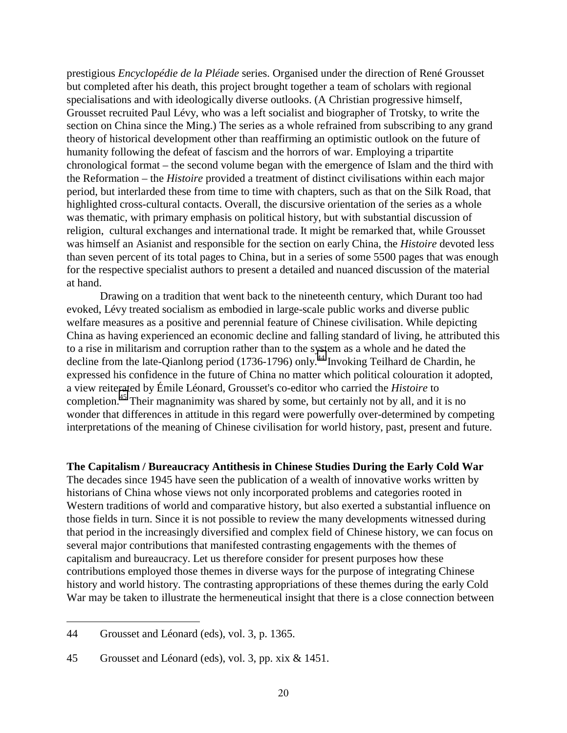prestigious *Encyclopédie de la Pléiade* series. Organised under the direction of René Grousset but completed after his death, this project brought together a team of scholars with regional specialisations and with ideologically diverse outlooks. (A Christian progressive himself, Grousset recruited Paul Lévy, who was a left socialist and biographer of Trotsky, to write the section on China since the Ming.) The series as a whole refrained from subscribing to any grand theory of historical development other than reaffirming an optimistic outlook on the future of humanity following the defeat of fascism and the horrors of war. Employing a tripartite chronological format – the second volume began with the emergence of Islam and the third with the Reformation – the *Histoire* provided a treatment of distinct civilisations within each major period, but interlarded these from time to time with chapters, such as that on the Silk Road, that highlighted cross-cultural contacts. Overall, the discursive orientation of the series as a whole was thematic, with primary emphasis on political history, but with substantial discussion of religion, cultural exchanges and international trade. It might be remarked that, while Grousset was himself an Asianist and responsible for the section on early China, the *Histoire* devoted less than seven percent of its total pages to China, but in a series of some 5500 pages that was enough for the respective specialist authors to present a detailed and nuanced discussion of the material at hand.

Drawing on a tradition that went back to the nineteenth century, which Durant too had evoked, Lévy treated socialism as embodied in large-scale public works and diverse public welfare measures as a positive and perennial feature of Chinese civilisation. While depicting China as having experienced an economic decline and falling standard of living, he attributed this to a rise in militarism and corruption rather than to the system as a whole and he dated the decline from the late-Qianlong period (1736-1796) only.<sup>44</sup> Invoking Teilhard de Chardin, he expressed his confidence in the future of China no matter which political colouration it adopted, a view reiterated by Émile Léonard, Grousset's co-editor who carried the *Histoire* to completion.<sup>45</sup> Their magnanimity was shared by some, but certainly not by all, and it is no wonder that differences in attitude in this regard were powerfully over-determined by competing interpretations of the meaning of Chinese civilisation for world history, past, present and future.

**The Capitalism / Bureaucracy Antithesis in Chinese Studies During the Early Cold War**

The decades since 1945 have seen the publication of a wealth of innovative works written by historians of China whose views not only incorporated problems and categories rooted in Western traditions of world and comparative history, but also exerted a substantial influence on those fields in turn. Since it is not possible to review the many developments witnessed during that period in the increasingly diversified and complex field of Chinese history, we can focus on several major contributions that manifested contrasting engagements with the themes of capitalism and bureaucracy. Let us therefore consider for present purposes how these contributions employed those themes in diverse ways for the purpose of integrating Chinese history and world history. The contrasting appropriations of these themes during the early Cold War may be taken to illustrate the hermeneutical insight that there is a close connection between

<sup>44</sup> Grousset and Léonard (eds), vol. 3, p. 1365.

<sup>45</sup> Grousset and Léonard (eds), vol. 3, pp. xix & 1451.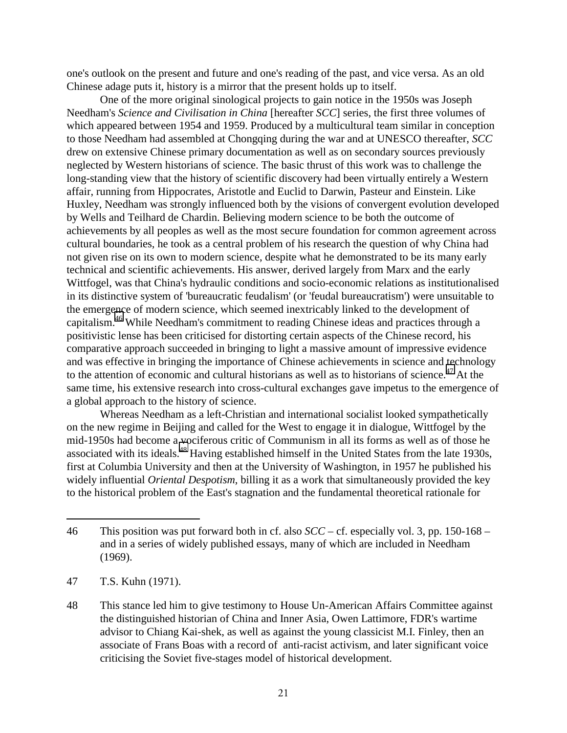one's outlook on the present and future and one's reading of the past, and vice versa. As an old Chinese adage puts it, history is a mirror that the present holds up to itself.

One of the more original sinological projects to gain notice in the 1950s was Joseph Needham's *Science and Civilisation in China* [hereafter *SCC*] series, the first three volumes of which appeared between 1954 and 1959. Produced by a multicultural team similar in conception to those Needham had assembled at Chongqing during the war and at UNESCO thereafter, *SCC* drew on extensive Chinese primary documentation as well as on secondary sources previously neglected by Western historians of science. The basic thrust of this work was to challenge the long-standing view that the history of scientific discovery had been virtually entirely a Western affair, running from Hippocrates, Aristotle and Euclid to Darwin, Pasteur and Einstein. Like Huxley, Needham was strongly influenced both by the visions of convergent evolution developed by Wells and Teilhard de Chardin. Believing modern science to be both the outcome of achievements by all peoples as well as the most secure foundation for common agreement across cultural boundaries, he took as a central problem of his research the question of why China had not given rise on its own to modern science, despite what he demonstrated to be its many early technical and scientific achievements. His answer, derived largely from Marx and the early Wittfogel, was that China's hydraulic conditions and socio-economic relations as institutionalised in its distinctive system of 'bureaucratic feudalism' (or 'feudal bureaucratism') were unsuitable to the emergence of modern science, which seemed inextricably linked to the development of capitalism.46 While Needham's commitment to reading Chinese ideas and practices through a positivistic lense has been criticised for distorting certain aspects of the Chinese record, his comparative approach succeeded in bringing to light a massive amount of impressive evidence and was effective in bringing the importance of Chinese achievements in science and technology to the attention of economic and cultural historians as well as to historians of science.<sup>47</sup> At the same time, his extensive research into cross-cultural exchanges gave impetus to the emergence of a global approach to the history of science.

Whereas Needham as a left-Christian and international socialist looked sympathetically on the new regime in Beijing and called for the West to engage it in dialogue, Wittfogel by the mid-1950s had become a vociferous critic of Communism in all its forms as well as of those he associated with its ideals.<sup>48</sup> Having established himself in the United States from the late 1930s, first at Columbia University and then at the University of Washington, in 1957 he published his widely influential *Oriental Despotism*, billing it as a work that simultaneously provided the key to the historical problem of the East's stagnation and the fundamental theoretical rationale for

47 T.S. Kuhn (1971).

 $\overline{a}$ 

48 This stance led him to give testimony to House Un-American Affairs Committee against the distinguished historian of China and Inner Asia, Owen Lattimore, FDR's wartime advisor to Chiang Kai-shek, as well as against the young classicist M.I. Finley, then an associate of Frans Boas with a record of anti-racist activism, and later significant voice criticising the Soviet five-stages model of historical development.

<sup>46</sup> This position was put forward both in cf. also *SCC* – cf. especially vol. 3, pp. 150-168 – and in a series of widely published essays, many of which are included in Needham (1969).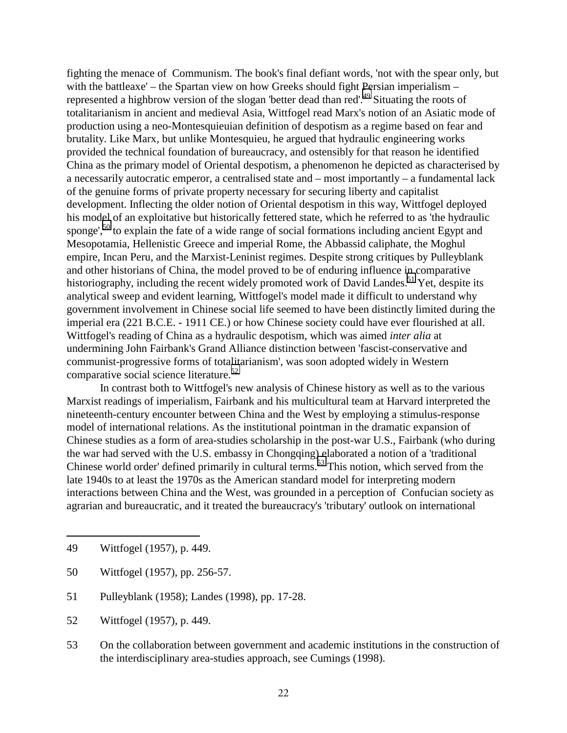fighting the menace of Communism. The book's final defiant words, 'not with the spear only, but with the battleaxe' – the Spartan view on how Greeks should fight Persian imperialism – represented a highbrow version of the slogan 'better dead than red'.<sup>49</sup> Situating the roots of totalitarianism in ancient and medieval Asia, Wittfogel read Marx's notion of an Asiatic mode of production using a neo-Montesquieuian definition of despotism as a regime based on fear and brutality. Like Marx, but unlike Montesquieu, he argued that hydraulic engineering works provided the technical foundation of bureaucracy, and ostensibly for that reason he identified China as the primary model of Oriental despotism, a phenomenon he depicted as characterised by a necessarily autocratic emperor, a centralised state and – most importantly – a fundamental lack of the genuine forms of private property necessary for securing liberty and capitalist development. Inflecting the older notion of Oriental despotism in this way, Wittfogel deployed his model of an exploitative but historically fettered state, which he referred to as 'the hydraulic sponge',<sup>50</sup> to explain the fate of a wide range of social formations including ancient Egypt and Mesopotamia, Hellenistic Greece and imperial Rome, the Abbassid caliphate, the Moghul empire, Incan Peru, and the Marxist-Leninist regimes. Despite strong critiques by Pulleyblank and other historians of China, the model proved to be of enduring influence in comparative historiography, including the recent widely promoted work of David Landes.<sup>51</sup> Yet, despite its analytical sweep and evident learning, Wittfogel's model made it difficult to understand why government involvement in Chinese social life seemed to have been distinctly limited during the imperial era (221 B.C.E. - 1911 CE.) or how Chinese society could have ever flourished at all. Wittfogel's reading of China as a hydraulic despotism, which was aimed *inter alia* at undermining John Fairbank's Grand Alliance distinction between 'fascist-conservative and communist-progressive forms of totalitarianism', was soon adopted widely in Western comparative social science literature.<sup>52</sup>

In contrast both to Wittfogel's new analysis of Chinese history as well as to the various Marxist readings of imperialism, Fairbank and his multicultural team at Harvard interpreted the nineteenth-century encounter between China and the West by employing a stimulus-response model of international relations. As the institutional pointman in the dramatic expansion of Chinese studies as a form of area-studies scholarship in the post-war U.S., Fairbank (who during the war had served with the U.S. embassy in Chongqing) elaborated a notion of a 'traditional Chinese world order' defined primarily in cultural terms.<sup>53</sup> This notion, which served from the late 1940s to at least the 1970s as the American standard model for interpreting modern interactions between China and the West, was grounded in a perception of Confucian society as agrarian and bureaucratic, and it treated the bureaucracy's 'tributary' outlook on international

 $\overline{a}$ 

53 On the collaboration between government and academic institutions in the construction of the interdisciplinary area-studies approach, see Cumings (1998).

<sup>49</sup> Wittfogel (1957), p. 449.

<sup>50</sup> Wittfogel (1957), pp. 256-57.

<sup>51</sup> Pulleyblank (1958); Landes (1998), pp. 17-28.

<sup>52</sup> Wittfogel (1957), p. 449.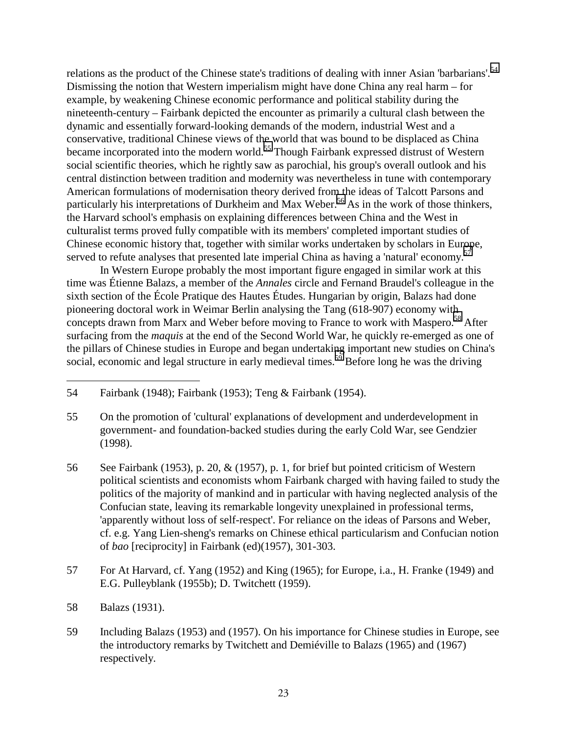relations as the product of the Chinese state's traditions of dealing with inner Asian 'barbarians'.<sup>54</sup> Dismissing the notion that Western imperialism might have done China any real harm – for example, by weakening Chinese economic performance and political stability during the nineteenth-century – Fairbank depicted the encounter as primarily a cultural clash between the dynamic and essentially forward-looking demands of the modern, industrial West and a conservative, traditional Chinese views of the world that was bound to be displaced as China became incorporated into the modern world.<sup>55</sup> Though Fairbank expressed distrust of Western social scientific theories, which he rightly saw as parochial, his group's overall outlook and his central distinction between tradition and modernity was nevertheless in tune with contemporary American formulations of modernisation theory derived from the ideas of Talcott Parsons and particularly his interpretations of Durkheim and Max Weber.<sup>56</sup> As in the work of those thinkers, the Harvard school's emphasis on explaining differences between China and the West in culturalist terms proved fully compatible with its members' completed important studies of Chinese economic history that, together with similar works undertaken by scholars in Europe, served to refute analyses that presented late imperial China as having a 'natural' economy.<sup>57</sup>

In Western Europe probably the most important figure engaged in similar work at this time was Étienne Balazs, a member of the *Annales* circle and Fernand Braudel's colleague in the sixth section of the École Pratique des Hautes Études. Hungarian by origin, Balazs had done pioneering doctoral work in Weimar Berlin analysing the Tang (618-907) economy with concepts drawn from Marx and Weber before moving to France to work with Maspero.<sup>58</sup> After surfacing from the *maquis* at the end of the Second World War, he quickly re-emerged as one of the pillars of Chinese studies in Europe and began undertaking important new studies on China's social, economic and legal structure in early medieval times.<sup>59</sup> Before long he was the driving

 $\overline{a}$ 

59 Including Balazs (1953) and (1957). On his importance for Chinese studies in Europe, see the introductory remarks by Twitchett and Demiéville to Balazs (1965) and (1967) respectively.

<sup>54</sup> Fairbank (1948); Fairbank (1953); Teng & Fairbank (1954).

<sup>55</sup> On the promotion of 'cultural' explanations of development and underdevelopment in government- and foundation-backed studies during the early Cold War, see Gendzier (1998).

<sup>56</sup> See Fairbank (1953), p. 20, & (1957), p. 1, for brief but pointed criticism of Western political scientists and economists whom Fairbank charged with having failed to study the politics of the majority of mankind and in particular with having neglected analysis of the Confucian state, leaving its remarkable longevity unexplained in professional terms, 'apparently without loss of self-respect'. For reliance on the ideas of Parsons and Weber, cf. e.g. Yang Lien-sheng's remarks on Chinese ethical particularism and Confucian notion of *bao* [reciprocity] in Fairbank (ed)(1957), 301-303.

<sup>57</sup> For At Harvard, cf. Yang (1952) and King (1965); for Europe, i.a., H. Franke (1949) and E.G. Pulleyblank (1955b); D. Twitchett (1959).

<sup>58</sup> Balazs (1931).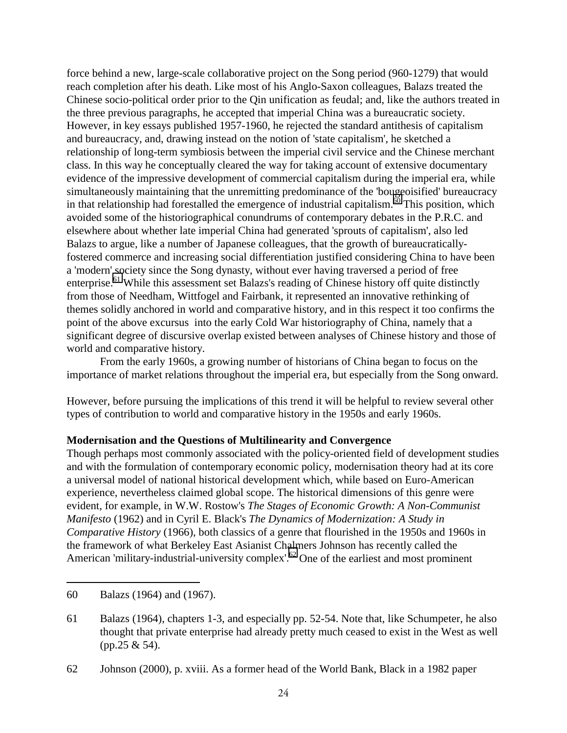force behind a new, large-scale collaborative project on the Song period (960-1279) that would reach completion after his death. Like most of his Anglo-Saxon colleagues, Balazs treated the Chinese socio-political order prior to the Qin unification as feudal; and, like the authors treated in the three previous paragraphs, he accepted that imperial China was a bureaucratic society. However, in key essays published 1957-1960, he rejected the standard antithesis of capitalism and bureaucracy, and, drawing instead on the notion of 'state capitalism', he sketched a relationship of long-term symbiosis between the imperial civil service and the Chinese merchant class. In this way he conceptually cleared the way for taking account of extensive documentary evidence of the impressive development of commercial capitalism during the imperial era, while simultaneously maintaining that the unremitting predominance of the 'bougeoisified' bureaucracy in that relationship had forestalled the emergence of industrial capitalism. $\frac{60}{10}$  This position, which avoided some of the historiographical conundrums of contemporary debates in the P.R.C. and elsewhere about whether late imperial China had generated 'sprouts of capitalism', also led Balazs to argue, like a number of Japanese colleagues, that the growth of bureaucraticallyfostered commerce and increasing social differentiation justified considering China to have been a 'modern' society since the Song dynasty, without ever having traversed a period of free enterprise.<sup>61</sup> While this assessment set Balazs's reading of Chinese history off quite distinctly from those of Needham, Wittfogel and Fairbank, it represented an innovative rethinking of themes solidly anchored in world and comparative history, and in this respect it too confirms the point of the above excursus into the early Cold War historiography of China, namely that a significant degree of discursive overlap existed between analyses of Chinese history and those of world and comparative history.

From the early 1960s, a growing number of historians of China began to focus on the importance of market relations throughout the imperial era, but especially from the Song onward.

However, before pursuing the implications of this trend it will be helpful to review several other types of contribution to world and comparative history in the 1950s and early 1960s.

#### **Modernisation and the Questions of Multilinearity and Convergence**

Though perhaps most commonly associated with the policy-oriented field of development studies and with the formulation of contemporary economic policy, modernisation theory had at its core a universal model of national historical development which, while based on Euro-American experience, nevertheless claimed global scope. The historical dimensions of this genre were evident, for example, in W.W. Rostow's *The Stages of Economic Growth: A Non-Communist Manifesto* (1962) and in Cyril E. Black's *The Dynamics of Modernization: A Study in Comparative History* (1966), both classics of a genre that flourished in the 1950s and 1960s in the framework of what Berkeley East Asianist Chalmers Johnson has recently called the American 'military-industrial-university complex'.<sup>62</sup> One of the earliest and most prominent

<sup>60</sup> Balazs (1964) and (1967).

<sup>61</sup> Balazs (1964), chapters 1-3, and especially pp. 52-54. Note that, like Schumpeter, he also thought that private enterprise had already pretty much ceased to exist in the West as well (pp.25 & 54).

<sup>62</sup> Johnson (2000), p. xviii. As a former head of the World Bank, Black in a 1982 paper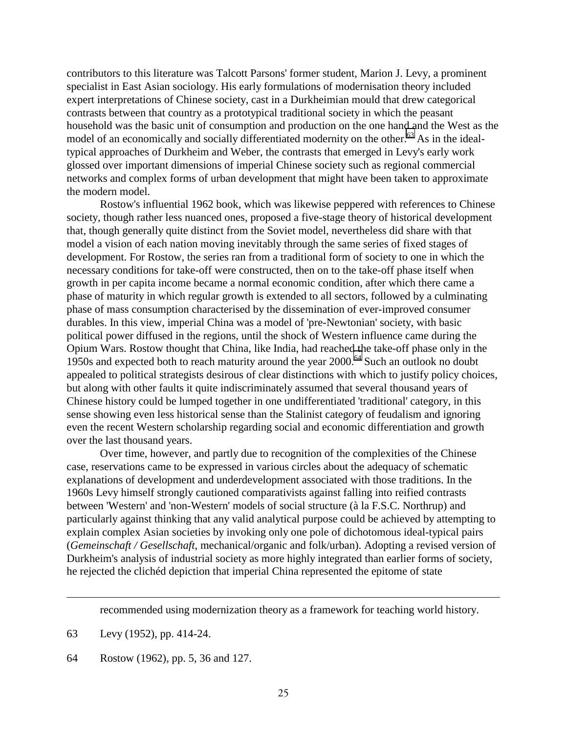contributors to this literature was Talcott Parsons' former student, Marion J. Levy, a prominent specialist in East Asian sociology. His early formulations of modernisation theory included expert interpretations of Chinese society, cast in a Durkheimian mould that drew categorical contrasts between that country as a prototypical traditional society in which the peasant household was the basic unit of consumption and production on the one hand and the West as the model of an economically and socially differentiated modernity on the other.<sup>63</sup> As in the idealtypical approaches of Durkheim and Weber, the contrasts that emerged in Levy's early work glossed over important dimensions of imperial Chinese society such as regional commercial networks and complex forms of urban development that might have been taken to approximate the modern model.

Rostow's influential 1962 book, which was likewise peppered with references to Chinese society, though rather less nuanced ones, proposed a five-stage theory of historical development that, though generally quite distinct from the Soviet model, nevertheless did share with that model a vision of each nation moving inevitably through the same series of fixed stages of development. For Rostow, the series ran from a traditional form of society to one in which the necessary conditions for take-off were constructed, then on to the take-off phase itself when growth in per capita income became a normal economic condition, after which there came a phase of maturity in which regular growth is extended to all sectors, followed by a culminating phase of mass consumption characterised by the dissemination of ever-improved consumer durables. In this view, imperial China was a model of 'pre-Newtonian' society, with basic political power diffused in the regions, until the shock of Western influence came during the Opium Wars. Rostow thought that China, like India, had reached the take-off phase only in the 1950s and expected both to reach maturity around the year 2000.64 Such an outlook no doubt appealed to political strategists desirous of clear distinctions with which to justify policy choices, but along with other faults it quite indiscriminately assumed that several thousand years of Chinese history could be lumped together in one undifferentiated 'traditional' category, in this sense showing even less historical sense than the Stalinist category of feudalism and ignoring even the recent Western scholarship regarding social and economic differentiation and growth over the last thousand years.

Over time, however, and partly due to recognition of the complexities of the Chinese case, reservations came to be expressed in various circles about the adequacy of schematic explanations of development and underdevelopment associated with those traditions. In the 1960s Levy himself strongly cautioned comparativists against falling into reified contrasts between 'Western' and 'non-Western' models of social structure (à la F.S.C. Northrup) and particularly against thinking that any valid analytical purpose could be achieved by attempting to explain complex Asian societies by invoking only one pole of dichotomous ideal-typical pairs (*Gemeinschaft / Gesellschaft*, mechanical/organic and folk/urban). Adopting a revised version of Durkheim's analysis of industrial society as more highly integrated than earlier forms of society, he rejected the clichéd depiction that imperial China represented the epitome of state

recommended using modernization theory as a framework for teaching world history.

63 Levy (1952), pp. 414-24.

 $\overline{a}$ 

64 Rostow (1962), pp. 5, 36 and 127.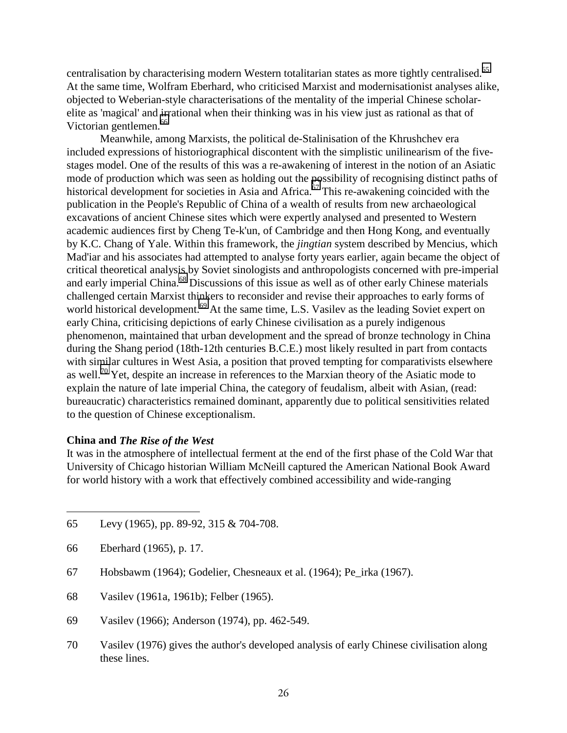centralisation by characterising modern Western totalitarian states as more tightly centralised.<sup>65</sup> At the same time, Wolfram Eberhard, who criticised Marxist and modernisationist analyses alike, objected to Weberian-style characterisations of the mentality of the imperial Chinese scholarelite as 'magical' and irrational when their thinking was in his view just as rational as that of Victorian gentlemen.<sup>66</sup>

Meanwhile, among Marxists, the political de-Stalinisation of the Khrushchev era included expressions of historiographical discontent with the simplistic unilinearism of the fivestages model. One of the results of this was a re-awakening of interest in the notion of an Asiatic mode of production which was seen as holding out the possibility of recognising distinct paths of historical development for societies in Asia and Africa.<sup>67</sup> This re-awakening coincided with the publication in the People's Republic of China of a wealth of results from new archaeological excavations of ancient Chinese sites which were expertly analysed and presented to Western academic audiences first by Cheng Te-k'un, of Cambridge and then Hong Kong, and eventually by K.C. Chang of Yale. Within this framework, the *jingtian* system described by Mencius, which Mad'iar and his associates had attempted to analyse forty years earlier, again became the object of critical theoretical analysis by Soviet sinologists and anthropologists concerned with pre-imperial and early imperial China.<sup>68</sup> Discussions of this issue as well as of other early Chinese materials challenged certain Marxist thinkers to reconsider and revise their approaches to early forms of world historical development.<sup>69</sup> At the same time, L.S. Vasilev as the leading Soviet expert on early China, criticising depictions of early Chinese civilisation as a purely indigenous phenomenon, maintained that urban development and the spread of bronze technology in China during the Shang period (18th-12th centuries B.C.E.) most likely resulted in part from contacts with similar cultures in West Asia, a position that proved tempting for comparativists elsewhere as well.<sup>70</sup> Yet, despite an increase in references to the Marxian theory of the Asiatic mode to explain the nature of late imperial China, the category of feudalism, albeit with Asian, (read: bureaucratic) characteristics remained dominant, apparently due to political sensitivities related to the question of Chinese exceptionalism.

#### **China and** *The Rise of the West*

It was in the atmosphere of intellectual ferment at the end of the first phase of the Cold War that University of Chicago historian William McNeill captured the American National Book Award for world history with a work that effectively combined accessibility and wide-ranging

66 Eberhard (1965), p. 17.

- 67 Hobsbawm (1964); Godelier, Chesneaux et al. (1964); Pe\_irka (1967).
- 68 Vasilev (1961a, 1961b); Felber (1965).
- 69 Vasilev (1966); Anderson (1974), pp. 462-549.
- 70 Vasilev (1976) gives the author's developed analysis of early Chinese civilisation along these lines.

<sup>65</sup> Levy (1965), pp. 89-92, 315 & 704-708.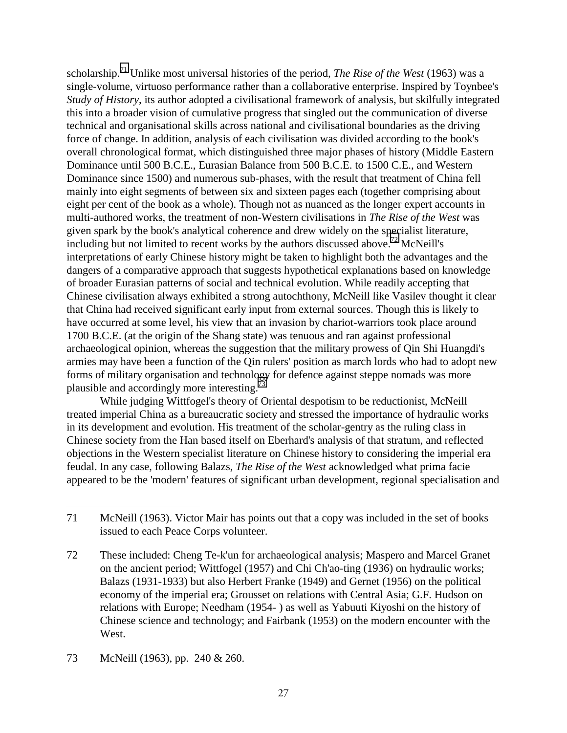scholarship.71 Unlike most universal histories of the period, *The Rise of the West* (1963) was a single-volume, virtuoso performance rather than a collaborative enterprise. Inspired by Toynbee's *Study of History*, its author adopted a civilisational framework of analysis, but skilfully integrated this into a broader vision of cumulative progress that singled out the communication of diverse technical and organisational skills across national and civilisational boundaries as the driving force of change. In addition, analysis of each civilisation was divided according to the book's overall chronological format, which distinguished three major phases of history (Middle Eastern Dominance until 500 B.C.E., Eurasian Balance from 500 B.C.E. to 1500 C.E., and Western Dominance since 1500) and numerous sub-phases, with the result that treatment of China fell mainly into eight segments of between six and sixteen pages each (together comprising about eight per cent of the book as a whole). Though not as nuanced as the longer expert accounts in multi-authored works, the treatment of non-Western civilisations in *The Rise of the West* was given spark by the book's analytical coherence and drew widely on the specialist literature, including but not limited to recent works by the authors discussed above.<sup>72</sup> McNeill's interpretations of early Chinese history might be taken to highlight both the advantages and the dangers of a comparative approach that suggests hypothetical explanations based on knowledge of broader Eurasian patterns of social and technical evolution. While readily accepting that Chinese civilisation always exhibited a strong autochthony, McNeill like Vasilev thought it clear that China had received significant early input from external sources. Though this is likely to have occurred at some level, his view that an invasion by chariot-warriors took place around 1700 B.C.E. (at the origin of the Shang state) was tenuous and ran against professional archaeological opinion, whereas the suggestion that the military prowess of Qin Shi Huangdi's armies may have been a function of the Qin rulers' position as march lords who had to adopt new forms of military organisation and technology for defence against steppe nomads was more plausible and accordingly more interesting.<sup>73</sup>

While judging Wittfogel's theory of Oriental despotism to be reductionist, McNeill treated imperial China as a bureaucratic society and stressed the importance of hydraulic works in its development and evolution. His treatment of the scholar-gentry as the ruling class in Chinese society from the Han based itself on Eberhard's analysis of that stratum, and reflected objections in the Western specialist literature on Chinese history to considering the imperial era feudal. In any case, following Balazs, *The Rise of the West* acknowledged what prima facie appeared to be the 'modern' features of significant urban development, regional specialisation and

<sup>71</sup> McNeill (1963). Victor Mair has points out that a copy was included in the set of books issued to each Peace Corps volunteer.

<sup>72</sup> These included: Cheng Te-k'un for archaeological analysis; Maspero and Marcel Granet on the ancient period; Wittfogel (1957) and Chi Ch'ao-ting (1936) on hydraulic works; Balazs (1931-1933) but also Herbert Franke (1949) and Gernet (1956) on the political economy of the imperial era; Grousset on relations with Central Asia; G.F. Hudson on relations with Europe; Needham (1954- ) as well as Yabuuti Kiyoshi on the history of Chinese science and technology; and Fairbank (1953) on the modern encounter with the West.

<sup>73</sup> McNeill (1963), pp. 240 & 260.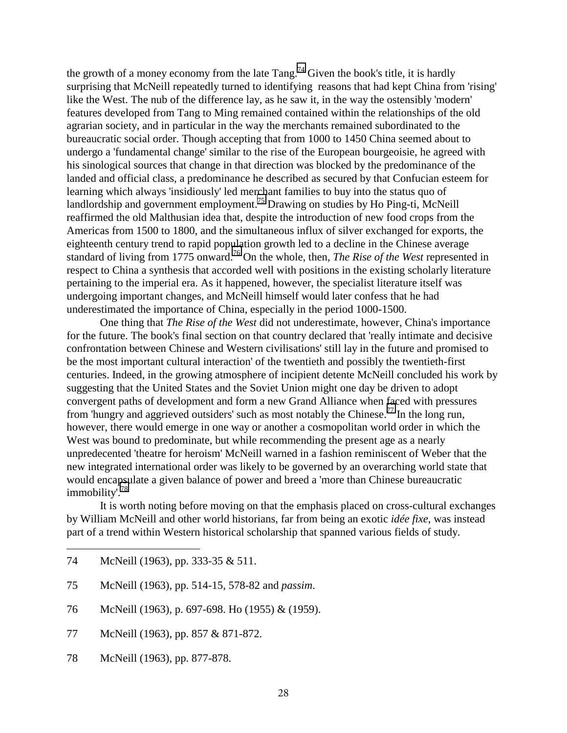the growth of a money economy from the late  $Tang.<sup>74</sup>$  Given the book's title, it is hardly surprising that McNeill repeatedly turned to identifying reasons that had kept China from 'rising' like the West. The nub of the difference lay, as he saw it, in the way the ostensibly 'modern' features developed from Tang to Ming remained contained within the relationships of the old agrarian society, and in particular in the way the merchants remained subordinated to the bureaucratic social order. Though accepting that from 1000 to 1450 China seemed about to undergo a 'fundamental change' similar to the rise of the European bourgeoisie, he agreed with his sinological sources that change in that direction was blocked by the predominance of the landed and official class, a predominance he described as secured by that Confucian esteem for learning which always 'insidiously' led merchant families to buy into the status quo of landlordship and government employment.<sup>75</sup> Drawing on studies by Ho Ping-ti, McNeill reaffirmed the old Malthusian idea that, despite the introduction of new food crops from the Americas from 1500 to 1800, and the simultaneous influx of silver exchanged for exports, the eighteenth century trend to rapid population growth led to a decline in the Chinese average standard of living from 1775 onward.76 On the whole, then, *The Rise of the West* represented in respect to China a synthesis that accorded well with positions in the existing scholarly literature pertaining to the imperial era. As it happened, however, the specialist literature itself was undergoing important changes, and McNeill himself would later confess that he had underestimated the importance of China, especially in the period 1000-1500.

One thing that *The Rise of the West* did not underestimate, however, China's importance for the future. The book's final section on that country declared that 'really intimate and decisive confrontation between Chinese and Western civilisations' still lay in the future and promised to be the most important cultural interaction' of the twentieth and possibly the twentieth-first centuries. Indeed, in the growing atmosphere of incipient detente McNeill concluded his work by suggesting that the United States and the Soviet Union might one day be driven to adopt convergent paths of development and form a new Grand Alliance when faced with pressures from 'hungry and aggrieved outsiders' such as most notably the Chinese.<sup>77</sup> In the long run, however, there would emerge in one way or another a cosmopolitan world order in which the West was bound to predominate, but while recommending the present age as a nearly unpredecented 'theatre for heroism' McNeill warned in a fashion reminiscent of Weber that the new integrated international order was likely to be governed by an overarching world state that would encapsulate a given balance of power and breed a 'more than Chinese bureaucratic immobility'.78

It is worth noting before moving on that the emphasis placed on cross-cultural exchanges by William McNeill and other world historians, far from being an exotic *idée fixe*, was instead part of a trend within Western historical scholarship that spanned various fields of study.

- 75 McNeill (1963), pp. 514-15, 578-82 and *passim*.
- 76 McNeill (1963), p. 697-698. Ho (1955) & (1959).
- 77 McNeill (1963), pp. 857 & 871-872.
- 78 McNeill (1963), pp. 877-878.

<sup>74</sup> McNeill (1963), pp. 333-35 & 511.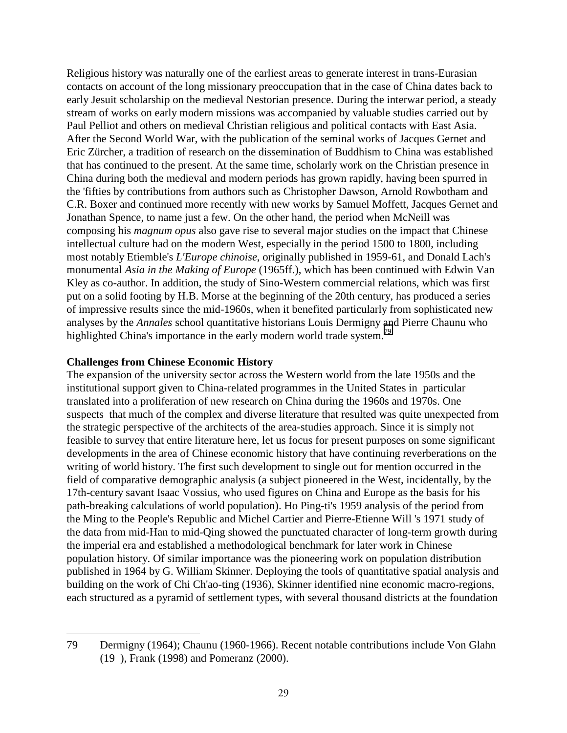Religious history was naturally one of the earliest areas to generate interest in trans-Eurasian contacts on account of the long missionary preoccupation that in the case of China dates back to early Jesuit scholarship on the medieval Nestorian presence. During the interwar period, a steady stream of works on early modern missions was accompanied by valuable studies carried out by Paul Pelliot and others on medieval Christian religious and political contacts with East Asia. After the Second World War, with the publication of the seminal works of Jacques Gernet and Eric Zürcher, a tradition of research on the dissemination of Buddhism to China was established that has continued to the present. At the same time, scholarly work on the Christian presence in China during both the medieval and modern periods has grown rapidly, having been spurred in the 'fifties by contributions from authors such as Christopher Dawson, Arnold Rowbotham and C.R. Boxer and continued more recently with new works by Samuel Moffett, Jacques Gernet and Jonathan Spence, to name just a few. On the other hand, the period when McNeill was composing his *magnum opus* also gave rise to several major studies on the impact that Chinese intellectual culture had on the modern West, especially in the period 1500 to 1800, including most notably Etiemble's *L'Europe chinoise*, originally published in 1959-61, and Donald Lach's monumental *Asia in the Making of Europe* (1965ff.), which has been continued with Edwin Van Kley as co-author. In addition, the study of Sino-Western commercial relations, which was first put on a solid footing by H.B. Morse at the beginning of the 20th century, has produced a series of impressive results since the mid-1960s, when it benefited particularly from sophisticated new analyses by the *Annales* school quantitative historians Louis Dermigny and Pierre Chaunu who highlighted China's importance in the early modern world trade system.<sup>79</sup>

## **Challenges from Chinese Economic History**

 $\overline{a}$ 

The expansion of the university sector across the Western world from the late 1950s and the institutional support given to China-related programmes in the United States in particular translated into a proliferation of new research on China during the 1960s and 1970s. One suspects that much of the complex and diverse literature that resulted was quite unexpected from the strategic perspective of the architects of the area-studies approach. Since it is simply not feasible to survey that entire literature here, let us focus for present purposes on some significant developments in the area of Chinese economic history that have continuing reverberations on the writing of world history. The first such development to single out for mention occurred in the field of comparative demographic analysis (a subject pioneered in the West, incidentally, by the 17th-century savant Isaac Vossius, who used figures on China and Europe as the basis for his path-breaking calculations of world population). Ho Ping-ti's 1959 analysis of the period from the Ming to the People's Republic and Michel Cartier and Pierre-Etienne Will 's 1971 study of the data from mid-Han to mid-Qing showed the punctuated character of long-term growth during the imperial era and established a methodological benchmark for later work in Chinese population history. Of similar importance was the pioneering work on population distribution published in 1964 by G. William Skinner. Deploying the tools of quantitative spatial analysis and building on the work of Chi Ch'ao-ting (1936), Skinner identified nine economic macro-regions, each structured as a pyramid of settlement types, with several thousand districts at the foundation

<sup>79</sup> Dermigny (1964); Chaunu (1960-1966). Recent notable contributions include Von Glahn (19 ), Frank (1998) and Pomeranz (2000).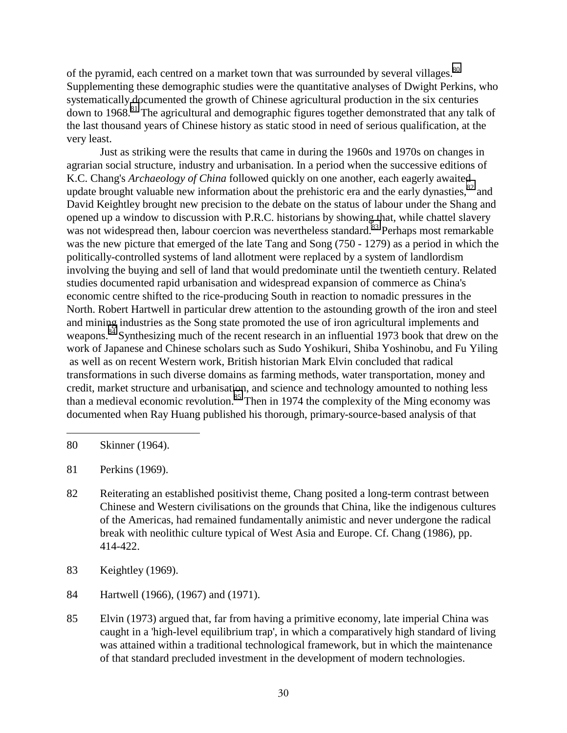of the pyramid, each centred on a market town that was surrounded by several villages.<sup>80</sup> Supplementing these demographic studies were the quantitative analyses of Dwight Perkins, who systematically documented the growth of Chinese agricultural production in the six centuries down to 1968.<sup>81</sup> The agricultural and demographic figures together demonstrated that any talk of the last thousand years of Chinese history as static stood in need of serious qualification, at the very least.

Just as striking were the results that came in during the 1960s and 1970s on changes in agrarian social structure, industry and urbanisation. In a period when the successive editions of K.C. Chang's *Archaeology of China* followed quickly on one another, each eagerly awaited update brought valuable new information about the prehistoric era and the early dynasties, $82$  and David Keightley brought new precision to the debate on the status of labour under the Shang and opened up a window to discussion with P.R.C. historians by showing that, while chattel slavery was not widespread then, labour coercion was nevertheless standard.<sup>83</sup> Perhaps most remarkable was the new picture that emerged of the late Tang and Song (750 - 1279) as a period in which the politically-controlled systems of land allotment were replaced by a system of landlordism involving the buying and sell of land that would predominate until the twentieth century. Related studies documented rapid urbanisation and widespread expansion of commerce as China's economic centre shifted to the rice-producing South in reaction to nomadic pressures in the North. Robert Hartwell in particular drew attention to the astounding growth of the iron and steel and mining industries as the Song state promoted the use of iron agricultural implements and weapons.<sup>84</sup> Synthesizing much of the recent research in an influential 1973 book that drew on the work of Japanese and Chinese scholars such as Sudo Yoshikuri, Shiba Yoshinobu, and Fu Yiling as well as on recent Western work, British historian Mark Elvin concluded that radical transformations in such diverse domains as farming methods, water transportation, money and credit, market structure and urbanisation, and science and technology amounted to nothing less than a medieval economic revolution.<sup>85</sup> Then in 1974 the complexity of the Ming economy was documented when Ray Huang published his thorough, primary-source-based analysis of that

80 Skinner (1964).

- 81 Perkins (1969).
- 82 Reiterating an established positivist theme, Chang posited a long-term contrast between Chinese and Western civilisations on the grounds that China, like the indigenous cultures of the Americas, had remained fundamentally animistic and never undergone the radical break with neolithic culture typical of West Asia and Europe. Cf. Chang (1986), pp. 414-422.
- 83 Keightley (1969).
- 84 Hartwell (1966), (1967) and (1971).
- 85 Elvin (1973) argued that, far from having a primitive economy, late imperial China was caught in a 'high-level equilibrium trap', in which a comparatively high standard of living was attained within a traditional technological framework, but in which the maintenance of that standard precluded investment in the development of modern technologies.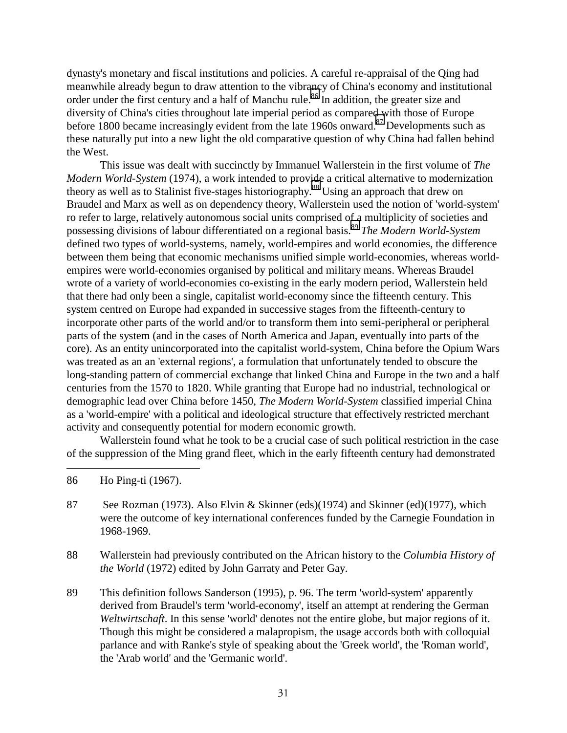dynasty's monetary and fiscal institutions and policies. A careful re-appraisal of the Qing had meanwhile already begun to draw attention to the vibrancy of China's economy and institutional order under the first century and a half of Manchu rule.<sup>86</sup> In addition, the greater size and diversity of China's cities throughout late imperial period as compared with those of Europe before 1800 became increasingly evident from the late 1960s onward.<sup>87</sup> Developments such as these naturally put into a new light the old comparative question of why China had fallen behind the West.

This issue was dealt with succinctly by Immanuel Wallerstein in the first volume of *The Modern World-System* (1974), a work intended to provide a critical alternative to modernization theory as well as to Stalinist five-stages historiography.88 Using an approach that drew on Braudel and Marx as well as on dependency theory, Wallerstein used the notion of 'world-system' ro refer to large, relatively autonomous social units comprised of a multiplicity of societies and possessing divisions of labour differentiated on a regional basis.89 *The Modern World-System* defined two types of world-systems, namely, world-empires and world economies, the difference between them being that economic mechanisms unified simple world-economies, whereas worldempires were world-economies organised by political and military means. Whereas Braudel wrote of a variety of world-economies co-existing in the early modern period, Wallerstein held that there had only been a single, capitalist world-economy since the fifteenth century. This system centred on Europe had expanded in successive stages from the fifteenth-century to incorporate other parts of the world and/or to transform them into semi-peripheral or peripheral parts of the system (and in the cases of North America and Japan, eventually into parts of the core). As an entity unincorporated into the capitalist world-system, China before the Opium Wars was treated as an an 'external regions', a formulation that unfortunately tended to obscure the long-standing pattern of commercial exchange that linked China and Europe in the two and a half centuries from the 1570 to 1820. While granting that Europe had no industrial, technological or demographic lead over China before 1450, *The Modern World-System* classified imperial China as a 'world-empire' with a political and ideological structure that effectively restricted merchant activity and consequently potential for modern economic growth.

Wallerstein found what he took to be a crucial case of such political restriction in the case of the suppression of the Ming grand fleet, which in the early fifteenth century had demonstrated

86 Ho Ping-ti (1967).

- 87 See Rozman (1973). Also Elvin & Skinner (eds)(1974) and Skinner (ed)(1977), which were the outcome of key international conferences funded by the Carnegie Foundation in 1968-1969.
- 88 Wallerstein had previously contributed on the African history to the *Columbia History of the World* (1972) edited by John Garraty and Peter Gay.
- 89 This definition follows Sanderson (1995), p. 96. The term 'world-system' apparently derived from Braudel's term 'world-economy', itself an attempt at rendering the German *Weltwirtschaft*. In this sense 'world' denotes not the entire globe, but major regions of it. Though this might be considered a malapropism, the usage accords both with colloquial parlance and with Ranke's style of speaking about the 'Greek world', the 'Roman world', the 'Arab world' and the 'Germanic world'.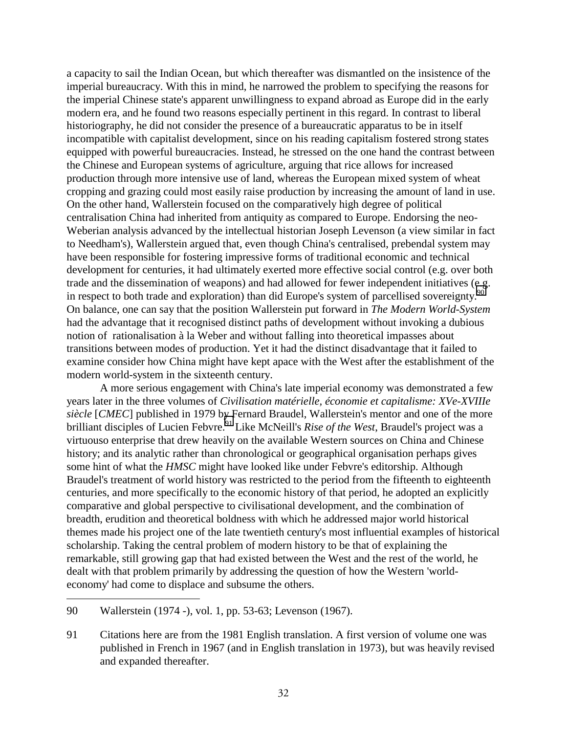a capacity to sail the Indian Ocean, but which thereafter was dismantled on the insistence of the imperial bureaucracy. With this in mind, he narrowed the problem to specifying the reasons for the imperial Chinese state's apparent unwillingness to expand abroad as Europe did in the early modern era, and he found two reasons especially pertinent in this regard. In contrast to liberal historiography, he did not consider the presence of a bureaucratic apparatus to be in itself incompatible with capitalist development, since on his reading capitalism fostered strong states equipped with powerful bureaucracies. Instead, he stressed on the one hand the contrast between the Chinese and European systems of agriculture, arguing that rice allows for increased production through more intensive use of land, whereas the European mixed system of wheat cropping and grazing could most easily raise production by increasing the amount of land in use. On the other hand, Wallerstein focused on the comparatively high degree of political centralisation China had inherited from antiquity as compared to Europe. Endorsing the neo-Weberian analysis advanced by the intellectual historian Joseph Levenson (a view similar in fact to Needham's), Wallerstein argued that, even though China's centralised, prebendal system may have been responsible for fostering impressive forms of traditional economic and technical development for centuries, it had ultimately exerted more effective social control (e.g. over both trade and the dissemination of weapons) and had allowed for fewer independent initiatives (e.g. in respect to both trade and exploration) than did Europe's system of parcellised sovereignty.<sup>90</sup> On balance, one can say that the position Wallerstein put forward in *The Modern World-System* had the advantage that it recognised distinct paths of development without invoking a dubious notion of rationalisation à la Weber and without falling into theoretical impasses about transitions between modes of production. Yet it had the distinct disadvantage that it failed to examine consider how China might have kept apace with the West after the establishment of the modern world-system in the sixteenth century.

A more serious engagement with China's late imperial economy was demonstrated a few years later in the three volumes of *Civilisation matérielle, économie et capitalisme: XVe-XVIIIe siècle* [*CMEC*] published in 1979 by Fernard Braudel, Wallerstein's mentor and one of the more brilliant disciples of Lucien Febvre.<sup>91</sup> Like McNeill's *Rise of the West*, Braudel's project was a virtuouso enterprise that drew heavily on the available Western sources on China and Chinese history; and its analytic rather than chronological or geographical organisation perhaps gives some hint of what the *HMSC* might have looked like under Febvre's editorship. Although Braudel's treatment of world history was restricted to the period from the fifteenth to eighteenth centuries, and more specifically to the economic history of that period, he adopted an explicitly comparative and global perspective to civilisational development, and the combination of breadth, erudition and theoretical boldness with which he addressed major world historical themes made his project one of the late twentieth century's most influential examples of historical scholarship. Taking the central problem of modern history to be that of explaining the remarkable, still growing gap that had existed between the West and the rest of the world, he dealt with that problem primarily by addressing the question of how the Western 'worldeconomy' had come to displace and subsume the others.

<sup>90</sup> Wallerstein (1974 -), vol. 1, pp. 53-63; Levenson (1967).

<sup>91</sup> Citations here are from the 1981 English translation. A first version of volume one was published in French in 1967 (and in English translation in 1973), but was heavily revised and expanded thereafter.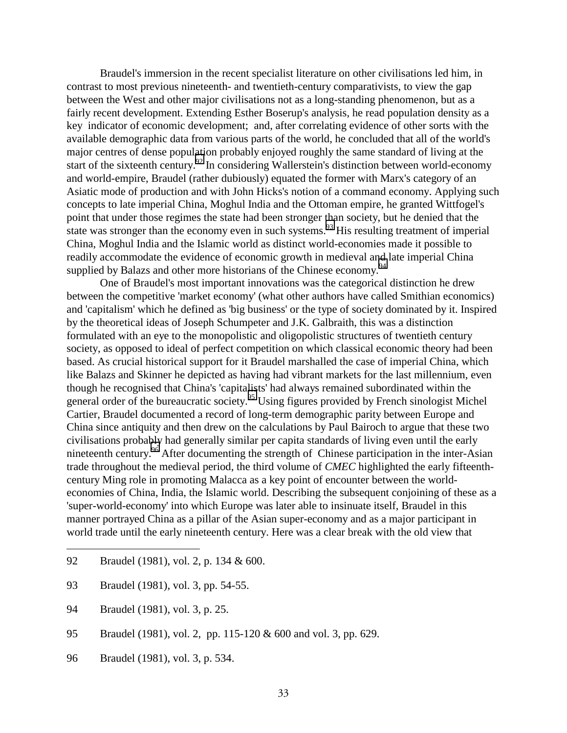Braudel's immersion in the recent specialist literature on other civilisations led him, in contrast to most previous nineteenth- and twentieth-century comparativists, to view the gap between the West and other major civilisations not as a long-standing phenomenon, but as a fairly recent development. Extending Esther Boserup's analysis, he read population density as a key indicator of economic development; and, after correlating evidence of other sorts with the available demographic data from various parts of the world, he concluded that all of the world's major centres of dense population probably enjoyed roughly the same standard of living at the start of the sixteenth century.<sup>92</sup> In considering Wallerstein's distinction between world-economy and world-empire, Braudel (rather dubiously) equated the former with Marx's category of an Asiatic mode of production and with John Hicks's notion of a command economy. Applying such concepts to late imperial China, Moghul India and the Ottoman empire, he granted Wittfogel's point that under those regimes the state had been stronger than society, but he denied that the state was stronger than the economy even in such systems.<sup>93</sup> His resulting treatment of imperial China, Moghul India and the Islamic world as distinct world-economies made it possible to readily accommodate the evidence of economic growth in medieval and late imperial China supplied by Balazs and other more historians of the Chinese economy.<sup>94</sup>

One of Braudel's most important innovations was the categorical distinction he drew between the competitive 'market economy' (what other authors have called Smithian economics) and 'capitalism' which he defined as 'big business' or the type of society dominated by it. Inspired by the theoretical ideas of Joseph Schumpeter and J.K. Galbraith, this was a distinction formulated with an eye to the monopolistic and oligopolistic structures of twentieth century society, as opposed to ideal of perfect competition on which classical economic theory had been based. As crucial historical support for it Braudel marshalled the case of imperial China, which like Balazs and Skinner he depicted as having had vibrant markets for the last millennium, even though he recognised that China's 'capitalists' had always remained subordinated within the general order of the bureaucratic society.<sup>95</sup> Using figures provided by French sinologist Michel Cartier, Braudel documented a record of long-term demographic parity between Europe and China since antiquity and then drew on the calculations by Paul Bairoch to argue that these two civilisations probably had generally similar per capita standards of living even until the early nineteenth century.<sup>96</sup> After documenting the strength of Chinese participation in the inter-Asian trade throughout the medieval period, the third volume of *CMEC* highlighted the early fifteenthcentury Ming role in promoting Malacca as a key point of encounter between the worldeconomies of China, India, the Islamic world. Describing the subsequent conjoining of these as a 'super-world-economy' into which Europe was later able to insinuate itself, Braudel in this manner portrayed China as a pillar of the Asian super-economy and as a major participant in world trade until the early nineteenth century. Here was a clear break with the old view that

- 93 Braudel (1981), vol. 3, pp. 54-55.
- 94 Braudel (1981), vol. 3, p. 25.

- 95 Braudel (1981), vol. 2, pp. 115-120 & 600 and vol. 3, pp. 629.
- 96 Braudel (1981), vol. 3, p. 534.

<sup>92</sup> Braudel (1981), vol. 2, p. 134 & 600.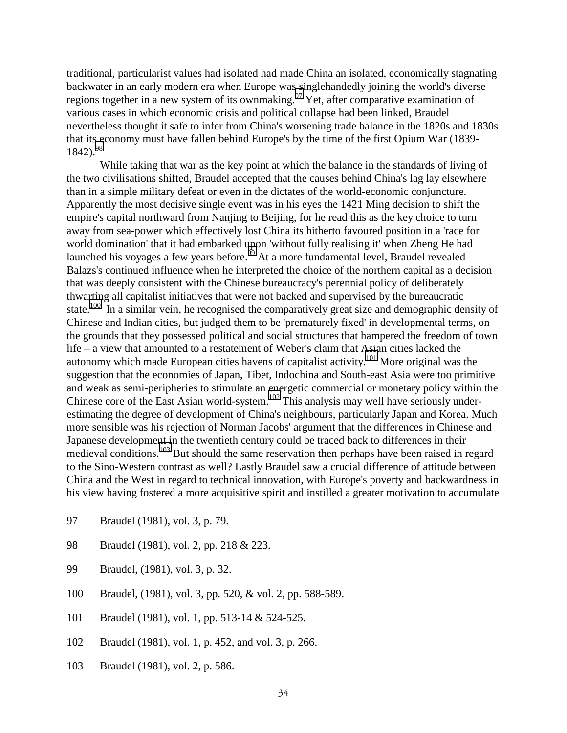traditional, particularist values had isolated had made China an isolated, economically stagnating backwater in an early modern era when Europe was singlehandedly joining the world's diverse regions together in a new system of its ownmaking.<sup>97</sup> Yet, after comparative examination of various cases in which economic crisis and political collapse had been linked, Braudel nevertheless thought it safe to infer from China's worsening trade balance in the 1820s and 1830s that its economy must have fallen behind Europe's by the time of the first Opium War (1839-  $1842.98$ 

While taking that war as the key point at which the balance in the standards of living of the two civilisations shifted, Braudel accepted that the causes behind China's lag lay elsewhere than in a simple military defeat or even in the dictates of the world-economic conjuncture. Apparently the most decisive single event was in his eyes the 1421 Ming decision to shift the empire's capital northward from Nanjing to Beijing, for he read this as the key choice to turn away from sea-power which effectively lost China its hitherto favoured position in a 'race for world domination' that it had embarked upon 'without fully realising it' when Zheng He had launched his voyages a few years before.<sup>99</sup> At a more fundamental level, Braudel revealed Balazs's continued influence when he interpreted the choice of the northern capital as a decision that was deeply consistent with the Chinese bureaucracy's perennial policy of deliberately thwarting all capitalist initiatives that were not backed and supervised by the bureaucratic state.<sup>100</sup> In a similar vein, he recognised the comparatively great size and demographic density of Chinese and Indian cities, but judged them to be 'prematurely fixed' in developmental terms, on the grounds that they possessed political and social structures that hampered the freedom of town life – a view that amounted to a restatement of Weber's claim that Asian cities lacked the autonomy which made European cities havens of capitalist activity.<sup>101</sup> More original was the suggestion that the economies of Japan, Tibet, Indochina and South-east Asia were too primitive and weak as semi-peripheries to stimulate an energetic commercial or monetary policy within the Chinese core of the East Asian world-system.<sup>102</sup> This analysis may well have seriously underestimating the degree of development of China's neighbours, particularly Japan and Korea. Much more sensible was his rejection of Norman Jacobs' argument that the differences in Chinese and Japanese development in the twentieth century could be traced back to differences in their medieval conditions.103 But should the same reservation then perhaps have been raised in regard to the Sino-Western contrast as well? Lastly Braudel saw a crucial difference of attitude between China and the West in regard to technical innovation, with Europe's poverty and backwardness in his view having fostered a more acquisitive spirit and instilled a greater motivation to accumulate

97 Braudel (1981), vol. 3, p. 79.

- 98 Braudel (1981), vol. 2, pp. 218 & 223.
- 99 Braudel, (1981), vol. 3, p. 32.
- 100 Braudel, (1981), vol. 3, pp. 520, & vol. 2, pp. 588-589.
- 101 Braudel (1981), vol. 1, pp. 513-14 & 524-525.
- 102 Braudel (1981), vol. 1, p. 452, and vol. 3, p. 266.
- 103 Braudel (1981), vol. 2, p. 586.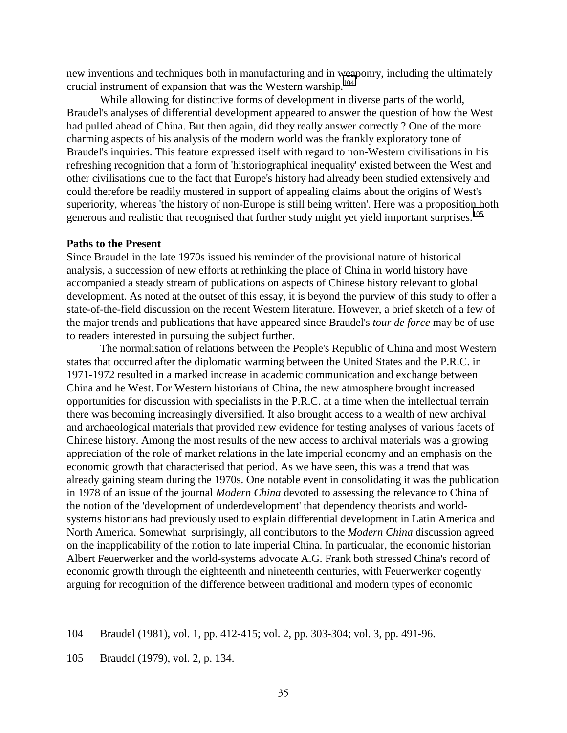new inventions and techniques both in manufacturing and in weaponry, including the ultimately crucial instrument of expansion that was the Western warship.<sup>104</sup>

While allowing for distinctive forms of development in diverse parts of the world, Braudel's analyses of differential development appeared to answer the question of how the West had pulled ahead of China. But then again, did they really answer correctly ? One of the more charming aspects of his analysis of the modern world was the frankly exploratory tone of Braudel's inquiries. This feature expressed itself with regard to non-Western civilisations in his refreshing recognition that a form of 'historiographical inequality' existed between the West and other civilisations due to the fact that Europe's history had already been studied extensively and could therefore be readily mustered in support of appealing claims about the origins of West's superiority, whereas 'the history of non-Europe is still being written'. Here was a proposition both generous and realistic that recognised that further study might yet yield important surprises.<sup>105</sup>

#### **Paths to the Present**

Since Braudel in the late 1970s issued his reminder of the provisional nature of historical analysis, a succession of new efforts at rethinking the place of China in world history have accompanied a steady stream of publications on aspects of Chinese history relevant to global development. As noted at the outset of this essay, it is beyond the purview of this study to offer a state-of-the-field discussion on the recent Western literature. However, a brief sketch of a few of the major trends and publications that have appeared since Braudel's *tour de force* may be of use to readers interested in pursuing the subject further.

The normalisation of relations between the People's Republic of China and most Western states that occurred after the diplomatic warming between the United States and the P.R.C. in 1971-1972 resulted in a marked increase in academic communication and exchange between China and he West. For Western historians of China, the new atmosphere brought increased opportunities for discussion with specialists in the P.R.C. at a time when the intellectual terrain there was becoming increasingly diversified. It also brought access to a wealth of new archival and archaeological materials that provided new evidence for testing analyses of various facets of Chinese history. Among the most results of the new access to archival materials was a growing appreciation of the role of market relations in the late imperial economy and an emphasis on the economic growth that characterised that period. As we have seen, this was a trend that was already gaining steam during the 1970s. One notable event in consolidating it was the publication in 1978 of an issue of the journal *Modern China* devoted to assessing the relevance to China of the notion of the 'development of underdevelopment' that dependency theorists and worldsystems historians had previously used to explain differential development in Latin America and North America. Somewhat surprisingly, all contributors to the *Modern China* discussion agreed on the inapplicability of the notion to late imperial China. In particualar, the economic historian Albert Feuerwerker and the world-systems advocate A.G. Frank both stressed China's record of economic growth through the eighteenth and nineteenth centuries, with Feuerwerker cogently arguing for recognition of the difference between traditional and modern types of economic

<sup>104</sup> Braudel (1981), vol. 1, pp. 412-415; vol. 2, pp. 303-304; vol. 3, pp. 491-96.

<sup>105</sup> Braudel (1979), vol. 2, p. 134.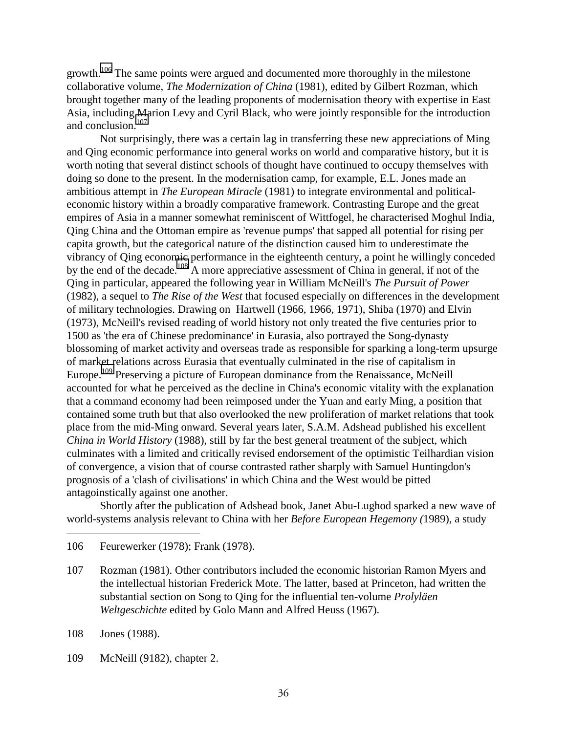growth.<sup>106</sup> The same points were argued and documented more thoroughly in the milestone collaborative volume, *The Modernization of China* (1981), edited by Gilbert Rozman, which brought together many of the leading proponents of modernisation theory with expertise in East Asia, including Marion Levy and Cyril Black, who were jointly responsible for the introduction and conclusion.107

Not surprisingly, there was a certain lag in transferring these new appreciations of Ming and Qing economic performance into general works on world and comparative history, but it is worth noting that several distinct schools of thought have continued to occupy themselves with doing so done to the present. In the modernisation camp, for example, E.L. Jones made an ambitious attempt in *The European Miracle* (1981) to integrate environmental and politicaleconomic history within a broadly comparative framework. Contrasting Europe and the great empires of Asia in a manner somewhat reminiscent of Wittfogel, he characterised Moghul India, Qing China and the Ottoman empire as 'revenue pumps' that sapped all potential for rising per capita growth, but the categorical nature of the distinction caused him to underestimate the vibrancy of Qing economic performance in the eighteenth century, a point he willingly conceded by the end of the decade.<sup>108</sup> A more appreciative assessment of China in general, if not of the Qing in particular, appeared the following year in William McNeill's *The Pursuit of Power* (1982), a sequel to *The Rise of the West* that focused especially on differences in the development of military technologies. Drawing on Hartwell (1966, 1966, 1971), Shiba (1970) and Elvin (1973), McNeill's revised reading of world history not only treated the five centuries prior to 1500 as 'the era of Chinese predominance' in Eurasia, also portrayed the Song-dynasty blossoming of market activity and overseas trade as responsible for sparking a long-term upsurge of market relations across Eurasia that eventually culminated in the rise of capitalism in Europe.<sup>109</sup> Preserving a picture of European dominance from the Renaissance, McNeill accounted for what he perceived as the decline in China's economic vitality with the explanation that a command economy had been reimposed under the Yuan and early Ming, a position that contained some truth but that also overlooked the new proliferation of market relations that took place from the mid-Ming onward. Several years later, S.A.M. Adshead published his excellent *China in World History* (1988), still by far the best general treatment of the subject, which culminates with a limited and critically revised endorsement of the optimistic Teilhardian vision of convergence, a vision that of course contrasted rather sharply with Samuel Huntingdon's prognosis of a 'clash of civilisations' in which China and the West would be pitted antagoinstically against one another.

Shortly after the publication of Adshead book, Janet Abu-Lughod sparked a new wave of world-systems analysis relevant to China with her *Before European Hegemony (*1989), a study

- 106 Feurewerker (1978); Frank (1978).
- 107 Rozman (1981). Other contributors included the economic historian Ramon Myers and the intellectual historian Frederick Mote. The latter, based at Princeton, had written the substantial section on Song to Qing for the influential ten-volume *Prolyläen Weltgeschichte* edited by Golo Mann and Alfred Heuss (1967).

108 Jones (1988).

 $\overline{a}$ 

109 McNeill (9182), chapter 2.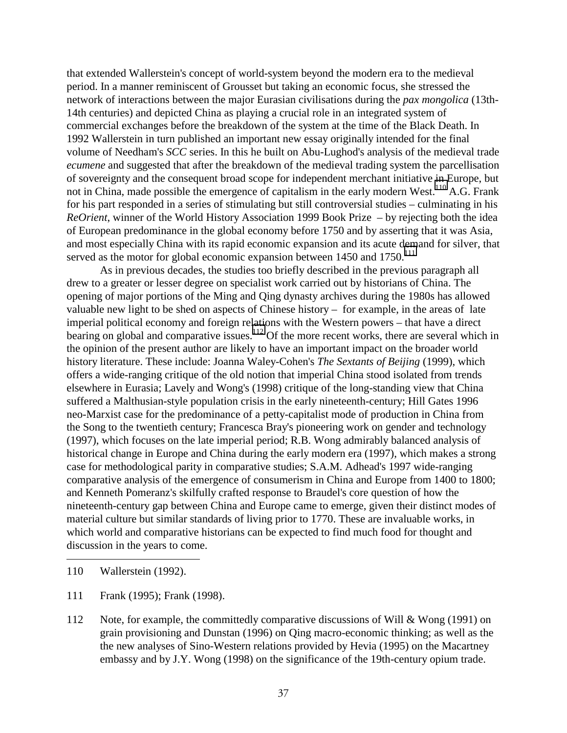that extended Wallerstein's concept of world-system beyond the modern era to the medieval period. In a manner reminiscent of Grousset but taking an economic focus, she stressed the network of interactions between the major Eurasian civilisations during the *pax mongolica* (13th-14th centuries) and depicted China as playing a crucial role in an integrated system of commercial exchanges before the breakdown of the system at the time of the Black Death. In 1992 Wallerstein in turn published an important new essay originally intended for the final volume of Needham's *SCC* series. In this he built on Abu-Lughod's analysis of the medieval trade *ecumene* and suggested that after the breakdown of the medieval trading system the parcellisation of sovereignty and the consequent broad scope for independent merchant initiative in Europe, but not in China, made possible the emergence of capitalism in the early modern West.<sup>110</sup> A.G. Frank for his part responded in a series of stimulating but still controversial studies – culminating in his *ReOrient*, winner of the World History Association 1999 Book Prize – by rejecting both the idea of European predominance in the global economy before 1750 and by asserting that it was Asia, and most especially China with its rapid economic expansion and its acute demand for silver, that served as the motor for global economic expansion between  $1450$  and  $1750$ .<sup>111</sup>

As in previous decades, the studies too briefly described in the previous paragraph all drew to a greater or lesser degree on specialist work carried out by historians of China. The opening of major portions of the Ming and Qing dynasty archives during the 1980s has allowed valuable new light to be shed on aspects of Chinese history – for example, in the areas of late imperial political economy and foreign relations with the Western powers – that have a direct bearing on global and comparative issues.<sup>112</sup> Of the more recent works, there are several which in the opinion of the present author are likely to have an important impact on the broader world history literature. These include: Joanna Waley-Cohen's *The Sextants of Beijing* (1999), which offers a wide-ranging critique of the old notion that imperial China stood isolated from trends elsewhere in Eurasia; Lavely and Wong's (1998) critique of the long-standing view that China suffered a Malthusian-style population crisis in the early nineteenth-century; Hill Gates 1996 neo-Marxist case for the predominance of a petty-capitalist mode of production in China from the Song to the twentieth century; Francesca Bray's pioneering work on gender and technology (1997), which focuses on the late imperial period; R.B. Wong admirably balanced analysis of historical change in Europe and China during the early modern era (1997), which makes a strong case for methodological parity in comparative studies; S.A.M. Adhead's 1997 wide-ranging comparative analysis of the emergence of consumerism in China and Europe from 1400 to 1800; and Kenneth Pomeranz's skilfully crafted response to Braudel's core question of how the nineteenth-century gap between China and Europe came to emerge, given their distinct modes of material culture but similar standards of living prior to 1770. These are invaluable works, in which world and comparative historians can be expected to find much food for thought and discussion in the years to come.

110 Wallerstein (1992).

- 111 Frank (1995); Frank (1998).
- 112 Note, for example, the committedly comparative discussions of Will & Wong (1991) on grain provisioning and Dunstan (1996) on Qing macro-economic thinking; as well as the the new analyses of Sino-Western relations provided by Hevia (1995) on the Macartney embassy and by J.Y. Wong (1998) on the significance of the 19th-century opium trade.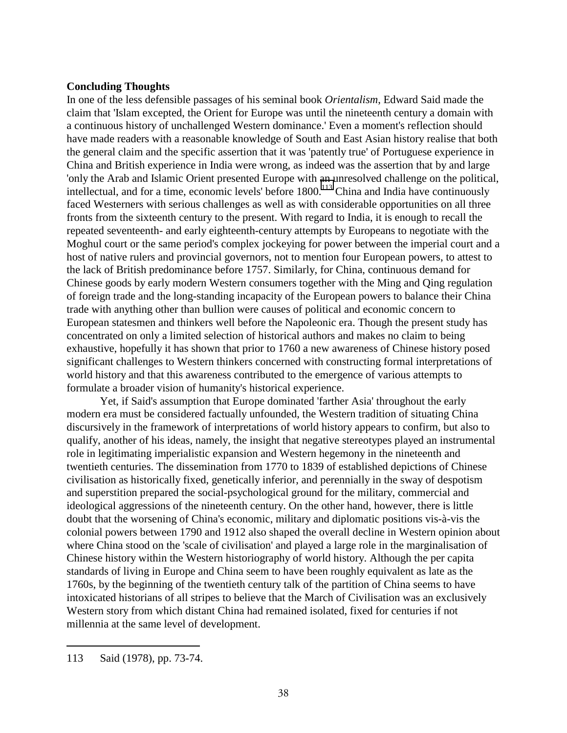## **Concluding Thoughts**

In one of the less defensible passages of his seminal book *Orientalism*, Edward Said made the claim that 'Islam excepted, the Orient for Europe was until the nineteenth century a domain with a continuous history of unchallenged Western dominance.' Even a moment's reflection should have made readers with a reasonable knowledge of South and East Asian history realise that both the general claim and the specific assertion that it was 'patently true' of Portuguese experience in China and British experience in India were wrong, as indeed was the assertion that by and large 'only the Arab and Islamic Orient presented Europe with an unresolved challenge on the political, intellectual, and for a time, economic levels' before  $1800$ .<sup>113</sup> China and India have continuously faced Westerners with serious challenges as well as with considerable opportunities on all three fronts from the sixteenth century to the present. With regard to India, it is enough to recall the repeated seventeenth- and early eighteenth-century attempts by Europeans to negotiate with the Moghul court or the same period's complex jockeying for power between the imperial court and a host of native rulers and provincial governors, not to mention four European powers, to attest to the lack of British predominance before 1757. Similarly, for China, continuous demand for Chinese goods by early modern Western consumers together with the Ming and Qing regulation of foreign trade and the long-standing incapacity of the European powers to balance their China trade with anything other than bullion were causes of political and economic concern to European statesmen and thinkers well before the Napoleonic era. Though the present study has concentrated on only a limited selection of historical authors and makes no claim to being exhaustive, hopefully it has shown that prior to 1760 a new awareness of Chinese history posed significant challenges to Western thinkers concerned with constructing formal interpretations of world history and that this awareness contributed to the emergence of various attempts to formulate a broader vision of humanity's historical experience.

Yet, if Said's assumption that Europe dominated 'farther Asia' throughout the early modern era must be considered factually unfounded, the Western tradition of situating China discursively in the framework of interpretations of world history appears to confirm, but also to qualify, another of his ideas, namely, the insight that negative stereotypes played an instrumental role in legitimating imperialistic expansion and Western hegemony in the nineteenth and twentieth centuries. The dissemination from 1770 to 1839 of established depictions of Chinese civilisation as historically fixed, genetically inferior, and perennially in the sway of despotism and superstition prepared the social-psychological ground for the military, commercial and ideological aggressions of the nineteenth century. On the other hand, however, there is little doubt that the worsening of China's economic, military and diplomatic positions vis-à-vis the colonial powers between 1790 and 1912 also shaped the overall decline in Western opinion about where China stood on the 'scale of civilisation' and played a large role in the marginalisation of Chinese history within the Western historiography of world history. Although the per capita standards of living in Europe and China seem to have been roughly equivalent as late as the 1760s, by the beginning of the twentieth century talk of the partition of China seems to have intoxicated historians of all stripes to believe that the March of Civilisation was an exclusively Western story from which distant China had remained isolated, fixed for centuries if not millennia at the same level of development.

<sup>113</sup> Said (1978), pp. 73-74.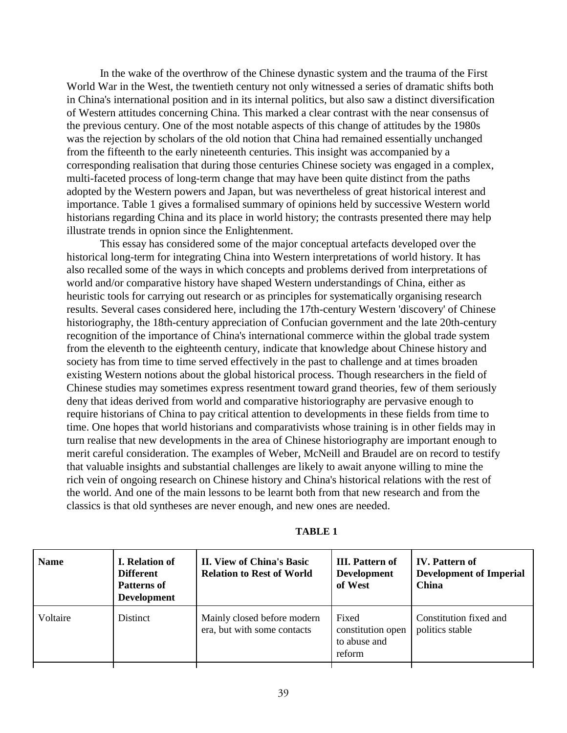In the wake of the overthrow of the Chinese dynastic system and the trauma of the First World War in the West, the twentieth century not only witnessed a series of dramatic shifts both in China's international position and in its internal politics, but also saw a distinct diversification of Western attitudes concerning China. This marked a clear contrast with the near consensus of the previous century. One of the most notable aspects of this change of attitudes by the 1980s was the rejection by scholars of the old notion that China had remained essentially unchanged from the fifteenth to the early nineteenth centuries. This insight was accompanied by a corresponding realisation that during those centuries Chinese society was engaged in a complex, multi-faceted process of long-term change that may have been quite distinct from the paths adopted by the Western powers and Japan, but was nevertheless of great historical interest and importance. Table 1 gives a formalised summary of opinions held by successive Western world historians regarding China and its place in world history; the contrasts presented there may help illustrate trends in opnion since the Enlightenment.

This essay has considered some of the major conceptual artefacts developed over the historical long-term for integrating China into Western interpretations of world history. It has also recalled some of the ways in which concepts and problems derived from interpretations of world and/or comparative history have shaped Western understandings of China, either as heuristic tools for carrying out research or as principles for systematically organising research results. Several cases considered here, including the 17th-century Western 'discovery' of Chinese historiography, the 18th-century appreciation of Confucian government and the late 20th-century recognition of the importance of China's international commerce within the global trade system from the eleventh to the eighteenth century, indicate that knowledge about Chinese history and society has from time to time served effectively in the past to challenge and at times broaden existing Western notions about the global historical process. Though researchers in the field of Chinese studies may sometimes express resentment toward grand theories, few of them seriously deny that ideas derived from world and comparative historiography are pervasive enough to require historians of China to pay critical attention to developments in these fields from time to time. One hopes that world historians and comparativists whose training is in other fields may in turn realise that new developments in the area of Chinese historiography are important enough to merit careful consideration. The examples of Weber, McNeill and Braudel are on record to testify that valuable insights and substantial challenges are likely to await anyone willing to mine the rich vein of ongoing research on Chinese history and China's historical relations with the rest of the world. And one of the main lessons to be learnt both from that new research and from the classics is that old syntheses are never enough, and new ones are needed.

| TABLE 1 |  |
|---------|--|
|---------|--|

| <b>Name</b> | <b>I.</b> Relation of<br><b>Different</b><br><b>Patterns of</b><br><b>Development</b> | <b>II. View of China's Basic</b><br><b>Relation to Rest of World</b> | <b>III.</b> Pattern of<br><b>Development</b><br>of West | <b>IV.</b> Pattern of<br><b>Development of Imperial</b><br>China |
|-------------|---------------------------------------------------------------------------------------|----------------------------------------------------------------------|---------------------------------------------------------|------------------------------------------------------------------|
| Voltaire    | <b>Distinct</b>                                                                       | Mainly closed before modern<br>era, but with some contacts           | Fixed<br>constitution open<br>to abuse and<br>reform    | Constitution fixed and<br>politics stable                        |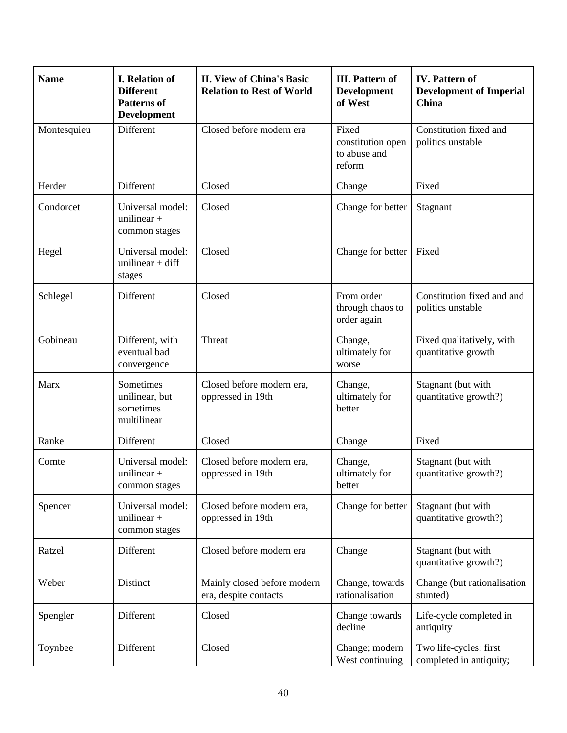| <b>Name</b> | <b>I.</b> Relation of<br><b>Different</b><br><b>Patterns of</b><br><b>Development</b> | <b>II. View of China's Basic</b><br><b>Relation to Rest of World</b> | <b>III.</b> Pattern of<br><b>Development</b><br>of West | <b>IV.</b> Pattern of<br><b>Development of Imperial</b><br>China |
|-------------|---------------------------------------------------------------------------------------|----------------------------------------------------------------------|---------------------------------------------------------|------------------------------------------------------------------|
| Montesquieu | Different                                                                             | Closed before modern era                                             | Fixed<br>constitution open<br>to abuse and<br>reform    | Constitution fixed and<br>politics unstable                      |
| Herder      | Different                                                                             | Closed                                                               | Change                                                  | Fixed                                                            |
| Condorcet   | Universal model:<br>unilinear $+$<br>common stages                                    | Closed                                                               | Change for better                                       | Stagnant                                                         |
| Hegel       | Universal model:<br>unilinear + $diff$<br>stages                                      | Closed                                                               | Change for better                                       | Fixed                                                            |
| Schlegel    | Different                                                                             | Closed                                                               | From order<br>through chaos to<br>order again           | Constitution fixed and and<br>politics unstable                  |
| Gobineau    | Different, with<br>eventual bad<br>convergence                                        | Threat                                                               | Change,<br>ultimately for<br>worse                      | Fixed qualitatively, with<br>quantitative growth                 |
| Marx        | Sometimes<br>unilinear, but<br>sometimes<br>multilinear                               | Closed before modern era,<br>oppressed in 19th                       | Change,<br>ultimately for<br>better                     | Stagnant (but with<br>quantitative growth?)                      |
| Ranke       | Different                                                                             | Closed                                                               | Change                                                  | Fixed                                                            |
| Comte       | Universal model:<br>unilinear $+$<br>common stages                                    | Closed before modern era,<br>oppressed in 19th                       | Change,<br>ultimately for<br>better                     | Stagnant (but with<br>quantitative growth?)                      |
| Spencer     | Universal model:<br>unilinear $+$<br>common stages                                    | Closed before modern era,<br>oppressed in 19th                       | Change for better                                       | Stagnant (but with<br>quantitative growth?)                      |
| Ratzel      | Different                                                                             | Closed before modern era                                             | Change                                                  | Stagnant (but with<br>quantitative growth?)                      |
| Weber       | Distinct                                                                              | Mainly closed before modern<br>era, despite contacts                 | Change, towards<br>rationalisation                      | Change (but rationalisation<br>stunted)                          |
| Spengler    | Different                                                                             | Closed                                                               | Change towards<br>decline                               | Life-cycle completed in<br>antiquity                             |
| Toynbee     | Different                                                                             | Closed                                                               | Change; modern<br>West continuing                       | Two life-cycles: first<br>completed in antiquity;                |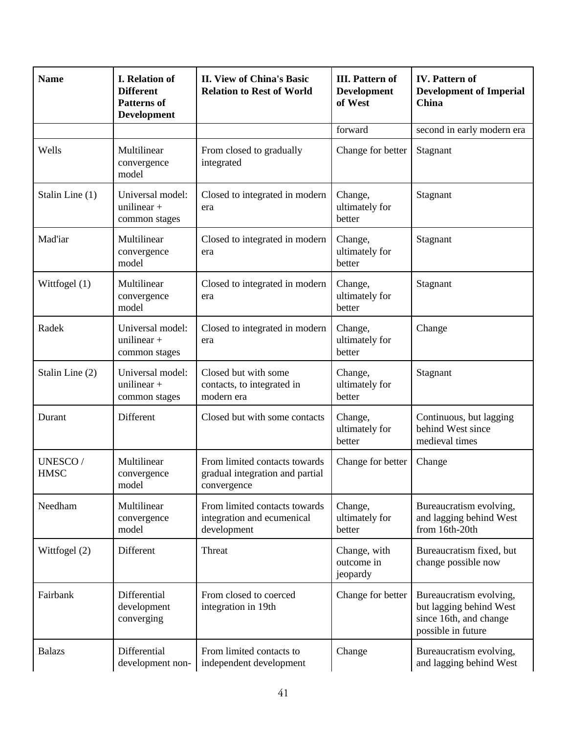| <b>Name</b>            | <b>I.</b> Relation of<br><b>Different</b><br><b>Patterns of</b><br><b>Development</b> | <b>II. View of China's Basic</b><br><b>Relation to Rest of World</b>            | <b>III.</b> Pattern of<br><b>Development</b><br>of West | <b>IV.</b> Pattern of<br><b>Development of Imperial</b><br><b>China</b>                            |
|------------------------|---------------------------------------------------------------------------------------|---------------------------------------------------------------------------------|---------------------------------------------------------|----------------------------------------------------------------------------------------------------|
|                        |                                                                                       |                                                                                 | forward                                                 | second in early modern era                                                                         |
| Wells                  | Multilinear<br>convergence<br>model                                                   | From closed to gradually<br>integrated                                          | Change for better                                       | Stagnant                                                                                           |
| Stalin Line (1)        | Universal model:<br>unilinear $+$<br>common stages                                    | Closed to integrated in modern<br>era                                           | Change,<br>ultimately for<br>better                     | Stagnant                                                                                           |
| Mad'iar                | Multilinear<br>convergence<br>model                                                   | Closed to integrated in modern<br>era                                           | Change,<br>ultimately for<br>better                     | Stagnant                                                                                           |
| Wittfogel (1)          | Multilinear<br>convergence<br>model                                                   | Closed to integrated in modern<br>era                                           | Change,<br>ultimately for<br>better                     | Stagnant                                                                                           |
| Radek                  | Universal model:<br>unilinear $+$<br>common stages                                    | Closed to integrated in modern<br>era                                           | Change,<br>ultimately for<br>better                     | Change                                                                                             |
| Stalin Line (2)        | Universal model:<br>unilinear $+$<br>common stages                                    | Closed but with some<br>contacts, to integrated in<br>modern era                | Change,<br>ultimately for<br>better                     | Stagnant                                                                                           |
| Durant                 | Different                                                                             | Closed but with some contacts                                                   | Change,<br>ultimately for<br>better                     | Continuous, but lagging<br>behind West since<br>medieval times                                     |
| UNESCO/<br><b>HMSC</b> | Multilinear<br>convergence<br>model                                                   | From limited contacts towards<br>gradual integration and partial<br>convergence | Change for better                                       | Change                                                                                             |
| Needham                | Multilinear<br>convergence<br>model                                                   | From limited contacts towards<br>integration and ecumenical<br>development      | Change,<br>ultimately for<br>better                     | Bureaucratism evolving,<br>and lagging behind West<br>from 16th-20th                               |
| Wittfogel (2)          | Different                                                                             | Threat                                                                          | Change, with<br>outcome in<br>jeopardy                  | Bureaucratism fixed, but<br>change possible now                                                    |
| Fairbank               | Differential<br>development<br>converging                                             | From closed to coerced<br>integration in 19th                                   | Change for better                                       | Bureaucratism evolving,<br>but lagging behind West<br>since 16th, and change<br>possible in future |
| <b>Balazs</b>          | Differential<br>development non-                                                      | From limited contacts to<br>independent development                             | Change                                                  | Bureaucratism evolving,<br>and lagging behind West                                                 |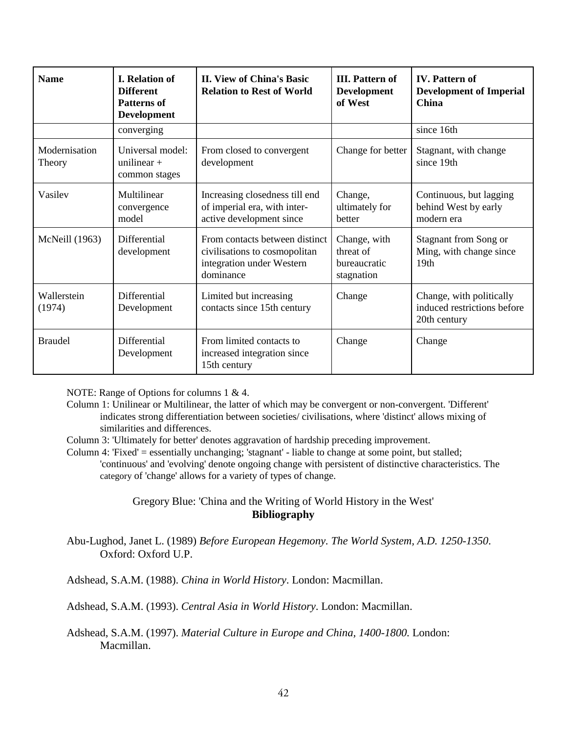| <b>Name</b>             | <b>I. Relation of</b><br><b>Different</b><br><b>Patterns of</b><br><b>Development</b> | <b>II. View of China's Basic</b><br><b>Relation to Rest of World</b>                                      | <b>III.</b> Pattern of<br><b>Development</b><br>of West | <b>IV.</b> Pattern of<br><b>Development of Imperial</b><br>China        |
|-------------------------|---------------------------------------------------------------------------------------|-----------------------------------------------------------------------------------------------------------|---------------------------------------------------------|-------------------------------------------------------------------------|
|                         | converging                                                                            |                                                                                                           |                                                         | since 16th                                                              |
| Modernisation<br>Theory | Universal model:<br>unilinear $+$<br>common stages                                    | From closed to convergent<br>development                                                                  | Change for better                                       | Stagnant, with change<br>since 19th                                     |
| Vasilev                 | Multilinear<br>convergence<br>model                                                   | Increasing closedness till end<br>of imperial era, with inter-<br>active development since                | Change,<br>ultimately for<br>better                     | Continuous, but lagging<br>behind West by early<br>modern era           |
| McNeill (1963)          | <b>Differential</b><br>development                                                    | From contacts between distinct<br>civilisations to cosmopolitan<br>integration under Western<br>dominance | Change, with<br>threat of<br>bureaucratic<br>stagnation | Stagnant from Song or<br>Ming, with change since<br>19 <sub>th</sub>    |
| Wallerstein<br>(1974)   | Differential<br>Development                                                           | Limited but increasing<br>contacts since 15th century                                                     | Change                                                  | Change, with politically<br>induced restrictions before<br>20th century |
| <b>Braudel</b>          | Differential<br>Development                                                           | From limited contacts to<br>increased integration since<br>15th century                                   | Change                                                  | Change                                                                  |

NOTE: Range of Options for columns 1 & 4.

Column 1: Unilinear or Multilinear, the latter of which may be convergent or non-convergent. 'Different' indicates strong differentiation between societies/ civilisations, where 'distinct' allows mixing of similarities and differences.

Column 3: 'Ultimately for better' denotes aggravation of hardship preceding improvement.

Column 4: 'Fixed' = essentially unchanging; 'stagnant' - liable to change at some point, but stalled; 'continuous' and 'evolving' denote ongoing change with persistent of distinctive characteristics. The category of 'change' allows for a variety of types of change.

> Gregory Blue: 'China and the Writing of World History in the West' **Bibliography**

Abu-Lughod, Janet L. (1989) *Before European Hegemony. The World System, A.D. 1250-1350*. Oxford: Oxford U.P.

Adshead, S.A.M. (1988). *China in World History*. London: Macmillan.

Adshead, S.A.M. (1993). *Central Asia in World History*. London: Macmillan.

Adshead, S.A.M. (1997). *Material Culture in Europe and China, 1400-1800.* London: Macmillan.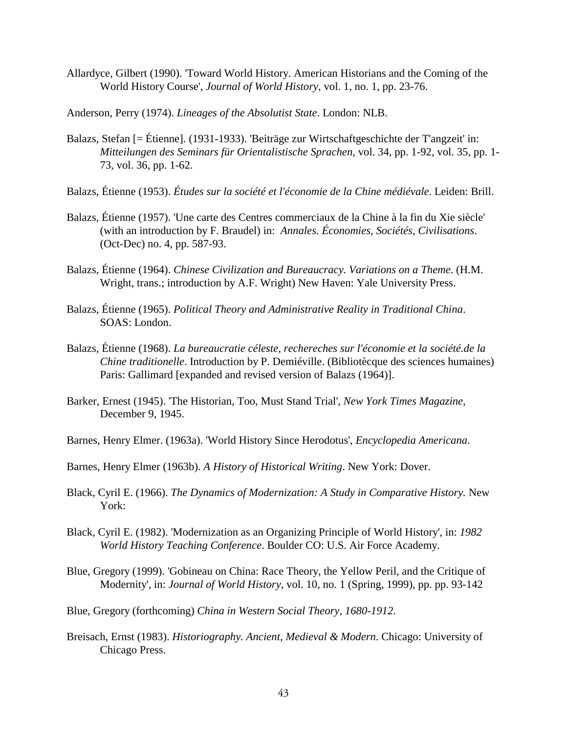Allardyce, Gilbert (1990). 'Toward World History. American Historians and the Coming of the World History Course', *Journal of World History*, vol. 1, no. 1, pp. 23-76.

Anderson, Perry (1974). *Lineages of the Absolutist State*. London: NLB.

- Balazs, Stefan [= Étienne]. (1931-1933). 'Beiträge zur Wirtschaftgeschichte der T'angzeit' in: *Mitteilungen des Seminars für Orientalistische Sprachen*, vol. 34, pp. 1-92, vol. 35, pp. 1- 73, vol. 36, pp. 1-62.
- Balazs, Étienne (1953). *Études sur la société et l'économie de la Chine médiévale*. Leiden: Brill.
- Balazs, Étienne (1957). 'Une carte des Centres commerciaux de la Chine à la fin du Xie siècle' (with an introduction by F. Braudel) in: *Annales. Économies, Sociétés, Civilisations*. (Oct-Dec) no. 4, pp. 587-93.
- Balazs, Étienne (1964). *Chinese Civilization and Bureaucracy. Variations on a Theme*. (H.M. Wright, trans.; introduction by A.F. Wright) New Haven: Yale University Press.
- Balazs, Étienne (1965). *Political Theory and Administrative Reality in Traditional China*. SOAS: London.
- Balazs, Étienne (1968). *La bureaucratie céleste, rechereches sur l'économie et la société.de la Chine traditionelle*. Introduction by P. Demiéville. (Bibliotècque des sciences humaines) Paris: Gallimard [expanded and revised version of Balazs (1964)].
- Barker, Ernest (1945). 'The Historian, Too, Must Stand Trial', *New York Times Magazine*, December 9, 1945.
- Barnes, Henry Elmer. (1963a). 'World History Since Herodotus', *Encyclopedia Americana*.
- Barnes, Henry Elmer (1963b). *A History of Historical Writing*. New York: Dover.
- Black, Cyril E. (1966). *The Dynamics of Modernization: A Study in Comparative History.* New York:
- Black, Cyril E. (1982). 'Modernization as an Organizing Principle of World History', in: *1982 World History Teaching Conference*. Boulder CO: U.S. Air Force Academy.
- Blue, Gregory (1999). 'Gobineau on China: Race Theory, the Yellow Peril, and the Critique of Modernity', in: *Journal of World History*, vol. 10, no. 1 (Spring, 1999), pp. pp. 93-142
- Blue, Gregory (forthcoming) *China in Western Social Theory, 1680-1912*.
- Breisach, Ernst (1983). *Historiography. Ancient, Medieval & Modern*. Chicago: University of Chicago Press.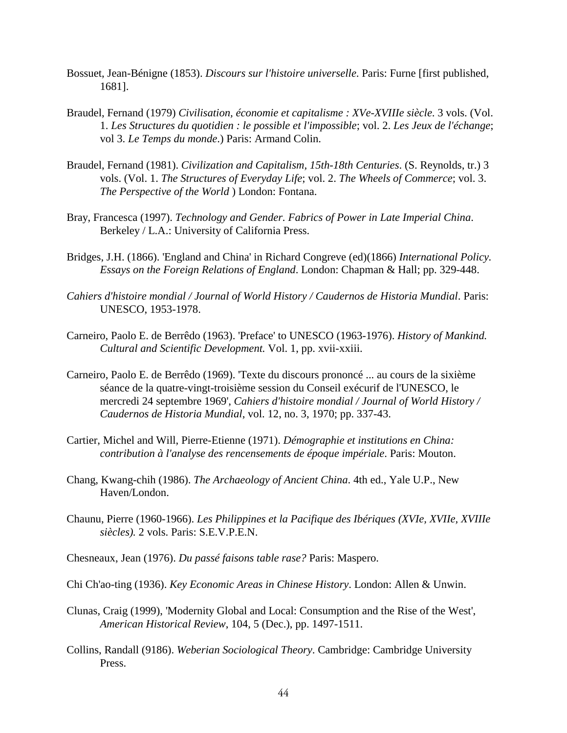- Bossuet, Jean-Bénigne (1853). *Discours sur l'histoire universelle*. Paris: Furne [first published, 1681].
- Braudel, Fernand (1979) *Civilisation, économie et capitalisme : XVe-XVIIIe siècle*. 3 vols. (Vol. 1. *Les Structures du quotidien : le possible et l'impossible*; vol. 2. *Les Jeux de l'échange*; vol 3. *Le Temps du monde*.) Paris: Armand Colin.
- Braudel, Fernand (1981). *Civilization and Capitalism, 15th-18th Centuries*. (S. Reynolds, tr.) 3 vols. (Vol. 1. *The Structures of Everyday Life*; vol. 2. *The Wheels of Commerce*; vol. 3. *The Perspective of the World* ) London: Fontana.
- Bray, Francesca (1997). *Technology and Gender. Fabrics of Power in Late Imperial China*. Berkeley / L.A.: University of California Press.
- Bridges, J.H. (1866). 'England and China' in Richard Congreve (ed)(1866) *International Policy. Essays on the Foreign Relations of England*. London: Chapman & Hall; pp. 329-448.
- *Cahiers d'histoire mondial / Journal of World History / Caudernos de Historia Mundial*. Paris: UNESCO, 1953-1978.
- Carneiro, Paolo E. de Berrêdo (1963). 'Preface' to UNESCO (1963-1976). *History of Mankind. Cultural and Scientific Development.* Vol. 1, pp. xvii-xxiii.
- Carneiro, Paolo E. de Berrêdo (1969). 'Texte du discours prononcé ... au cours de la sixième séance de la quatre-vingt-troisième session du Conseil exécurif de l'UNESCO, le mercredi 24 septembre 1969', *Cahiers d'histoire mondial / Journal of World History / Caudernos de Historia Mundial*, vol. 12, no. 3, 1970; pp. 337-43.
- Cartier, Michel and Will, Pierre-Etienne (1971). *Démographie et institutions en China: contribution à l'analyse des rencensements de époque impériale*. Paris: Mouton.
- Chang, Kwang-chih (1986). *The Archaeology of Ancient China*. 4th ed., Yale U.P., New Haven/London.
- Chaunu, Pierre (1960-1966). *Les Philippines et la Pacifique des Ibériques (XVIe, XVIIe, XVIIIe siècles).* 2 vols. Paris: S.E.V.P.E.N.
- Chesneaux, Jean (1976). *Du passé faisons table rase?* Paris: Maspero.
- Chi Ch'ao-ting (1936). *Key Economic Areas in Chinese History*. London: Allen & Unwin.
- Clunas, Craig (1999), 'Modernity Global and Local: Consumption and the Rise of the West', *American Historical Review*, 104, 5 (Dec.), pp. 1497-1511.
- Collins, Randall (9186). *Weberian Sociological Theory*. Cambridge: Cambridge University Press.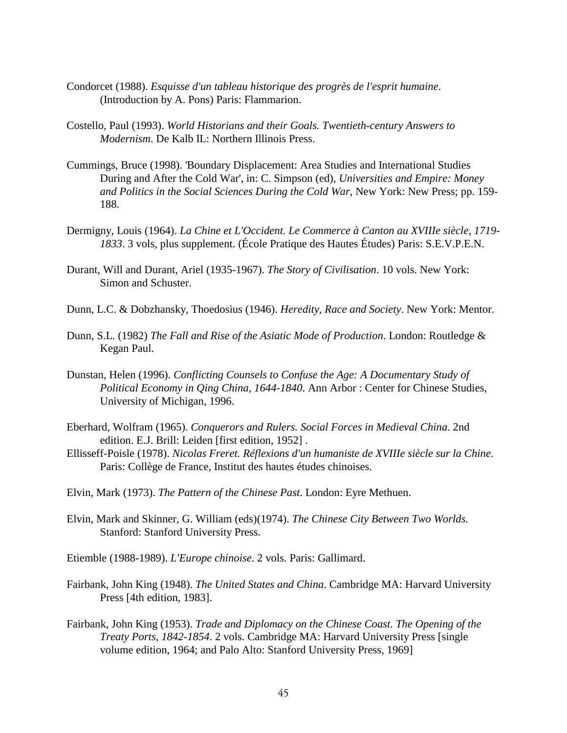- Condorcet (1988). *Esquisse d'un tableau historique des progrès de l'esprit humaine*. (Introduction by A. Pons) Paris: Flammarion.
- Costello, Paul (1993). *World Historians and their Goals. Twentieth-century Answers to Modernism*. De Kalb IL: Northern Illinois Press.
- Cummings, Bruce (1998). 'Boundary Displacement: Area Studies and International Studies During and After the Cold War', in: C. Simpson (ed), *Universities and Empire: Money and Politics in the Social Sciences During the Cold War*, New York: New Press; pp. 159- 188.
- Dermigny, Louis (1964). *La Chine et L'Occident. Le Commerce à Canton au XVIIIe siècle, 1719- 1833*. 3 vols, plus supplement. (École Pratique des Hautes Études) Paris: S.E.V.P.E.N.
- Durant, Will and Durant, Ariel (1935-1967). *The Story of Civilisation*. 10 vols. New York: Simon and Schuster.
- Dunn, L.C. & Dobzhansky, Thoedosius (1946). *Heredity, Race and Society*. New York: Mentor.
- Dunn, S.L. (1982) *The Fall and Rise of the Asiatic Mode of Production*. London: Routledge & Kegan Paul.
- Dunstan, Helen (1996). *Conflicting Counsels to Confuse the Age: A Documentary Study of Political Economy in Qing China, 1644-1840*. Ann Arbor : Center for Chinese Studies, University of Michigan, 1996.
- Eberhard, Wolfram (1965). *Conquerors and Rulers. Social Forces in Medieval China*. 2nd edition. E.J. Brill: Leiden [first edition, 1952] .
- Ellisseff-Poisle (1978). *Nicolas Freret. Réflexions d'un humaniste de XVIIIe siècle sur la Chine*. Paris: Collège de France, Institut des hautes études chinoises.
- Elvin, Mark (1973). *The Pattern of the Chinese Past*. London: Eyre Methuen.
- Elvin, Mark and Skinner, G. William (eds)(1974). *The Chinese City Between Two Worlds.* Stanford: Stanford University Press.
- Etiemble (1988-1989). *L'Europe chinoise*. 2 vols. Paris: Gallimard.
- Fairbank, John King (1948). *The United States and China*. Cambridge MA: Harvard University Press [4th edition, 1983].
- Fairbank, John King (1953). *Trade and Diplomacy on the Chinese Coast. The Opening of the Treaty Ports, 1842-1854*. 2 vols. Cambridge MA: Harvard University Press [single volume edition, 1964; and Palo Alto: Stanford University Press, 1969]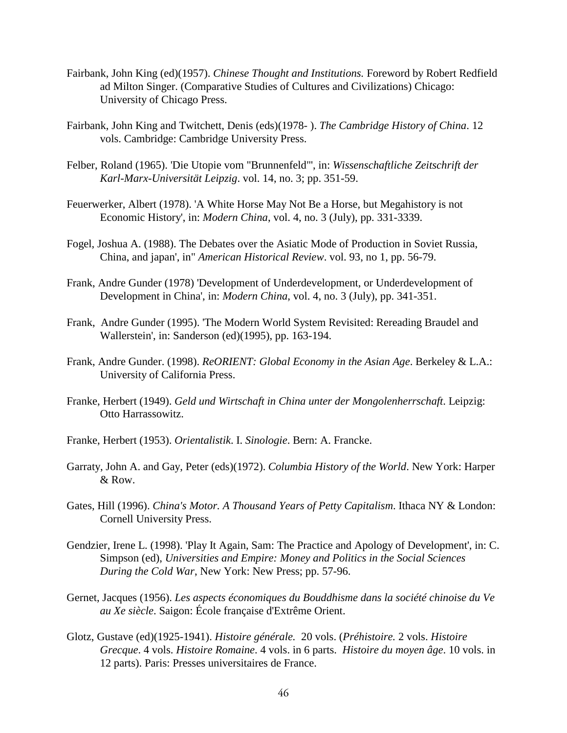- Fairbank, John King (ed)(1957). *Chinese Thought and Institutions.* Foreword by Robert Redfield ad Milton Singer. (Comparative Studies of Cultures and Civilizations) Chicago: University of Chicago Press.
- Fairbank, John King and Twitchett, Denis (eds)(1978- ). *The Cambridge History of China*. 12 vols. Cambridge: Cambridge University Press.
- Felber, Roland (1965). 'Die Utopie vom "Brunnenfeld"', in: *Wissenschaftliche Zeitschrift der Karl-Marx-Universität Leipzig*. vol. 14, no. 3; pp. 351-59.
- Feuerwerker, Albert (1978). 'A White Horse May Not Be a Horse, but Megahistory is not Economic History', in: *Modern China*, vol. 4, no. 3 (July), pp. 331-3339.
- Fogel, Joshua A. (1988). The Debates over the Asiatic Mode of Production in Soviet Russia, China, and japan', in" *American Historical Review*. vol. 93, no 1, pp. 56-79.
- Frank, Andre Gunder (1978) 'Development of Underdevelopment, or Underdevelopment of Development in China', in: *Modern China*, vol. 4, no. 3 (July), pp. 341-351.
- Frank, Andre Gunder (1995). 'The Modern World System Revisited: Rereading Braudel and Wallerstein', in: Sanderson (ed)(1995), pp. 163-194.
- Frank, Andre Gunder. (1998). *ReORIENT: Global Economy in the Asian Age*. Berkeley & L.A.: University of California Press.
- Franke, Herbert (1949). *Geld und Wirtschaft in China unter der Mongolenherrschaft*. Leipzig: Otto Harrassowitz.
- Franke, Herbert (1953). *Orientalistik*. I. *Sinologie*. Bern: A. Francke.
- Garraty, John A. and Gay, Peter (eds)(1972). *Columbia History of the World*. New York: Harper & Row.
- Gates, Hill (1996). *China's Motor. A Thousand Years of Petty Capitalism*. Ithaca NY & London: Cornell University Press.
- Gendzier, Irene L. (1998). 'Play It Again, Sam: The Practice and Apology of Development', in: C. Simpson (ed), *Universities and Empire: Money and Politics in the Social Sciences During the Cold War*, New York: New Press; pp. 57-96.
- Gernet, Jacques (1956). *Les aspects économiques du Bouddhisme dans la société chinoise du Ve au Xe siècle*. Saigon: École française d'Extrême Orient.
- Glotz, Gustave (ed)(1925-1941). *Histoire générale.* 20 vols. (*Préhistoire.* 2 vols. *Histoire Grecque*. 4 vols. *Histoire Romaine*. 4 vols. in 6 parts. *Histoire du moyen âge*. 10 vols. in 12 parts). Paris: Presses universitaires de France.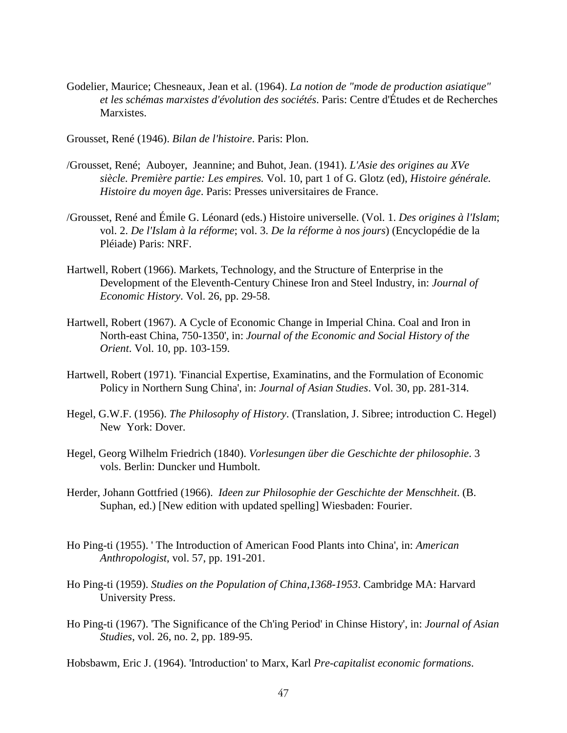- Godelier, Maurice; Chesneaux, Jean et al. (1964). *La notion de "mode de production asiatique" et les schémas marxistes d'évolution des sociétés*. Paris: Centre d'Études et de Recherches Marxistes.
- Grousset, René (1946). *Bilan de l'histoire*. Paris: Plon.
- /Grousset, René; Auboyer, Jeannine; and Buhot, Jean. (1941). *L'Asie des origines au XVe siècle. Première partie: Les empires.* Vol. 10, part 1 of G. Glotz (ed), *Histoire générale. Histoire du moyen âge*. Paris: Presses universitaires de France.
- /Grousset, René and Émile G. Léonard (eds.) Histoire universelle. (Vol. 1. *Des origines à l'Islam*; vol. 2. *De l'Islam à la réforme*; vol. 3. *De la réforme à nos jours*) (Encyclopédie de la Pléiade) Paris: NRF.
- Hartwell, Robert (1966). Markets, Technology, and the Structure of Enterprise in the Development of the Eleventh-Century Chinese Iron and Steel Industry, in: *Journal of Economic History*. Vol. 26, pp. 29-58.
- Hartwell, Robert (1967). A Cycle of Economic Change in Imperial China. Coal and Iron in North-east China, 750-1350', in: *Journal of the Economic and Social History of the Orient*. Vol. 10, pp. 103-159.
- Hartwell, Robert (1971). 'Financial Expertise, Examinatins, and the Formulation of Economic Policy in Northern Sung China', in: *Journal of Asian Studies*. Vol. 30, pp. 281-314.
- Hegel, G.W.F. (1956). *The Philosophy of History*. (Translation, J. Sibree; introduction C. Hegel) New York: Dover.
- Hegel, Georg Wilhelm Friedrich (1840). *Vorlesungen über die Geschichte der philosophie*. 3 vols. Berlin: Duncker und Humbolt.
- Herder, Johann Gottfried (1966). *Ideen zur Philosophie der Geschichte der Menschheit*. (B. Suphan, ed.) [New edition with updated spelling] Wiesbaden: Fourier.
- Ho Ping-ti (1955). ' The Introduction of American Food Plants into China', in: *American Anthropologist*, vol. 57, pp. 191-201.
- Ho Ping-ti (1959). *Studies on the Population of China,1368-1953*. Cambridge MA: Harvard University Press.
- Ho Ping-ti (1967). 'The Significance of the Ch'ing Period' in Chinse History', in: *Journal of Asian Studies*, vol. 26, no. 2, pp. 189-95.

Hobsbawm, Eric J. (1964). 'Introduction' to Marx, Karl *Pre-capitalist economic formations*.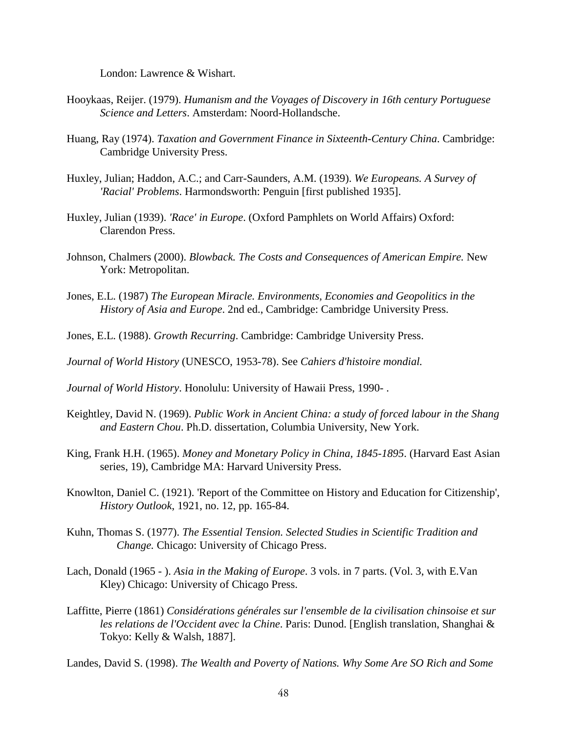London: Lawrence & Wishart.

- Hooykaas, Reijer. (1979). *Humanism and the Voyages of Discovery in 16th century Portuguese Science and Letters*. Amsterdam: Noord-Hollandsche.
- Huang, Ray (1974). *Taxation and Government Finance in Sixteenth-Century China*. Cambridge: Cambridge University Press.
- Huxley, Julian; Haddon, A.C.; and Carr-Saunders, A.M. (1939). *We Europeans. A Survey of 'Racial' Problems*. Harmondsworth: Penguin [first published 1935].
- Huxley, Julian (1939). *'Race' in Europe*. (Oxford Pamphlets on World Affairs) Oxford: Clarendon Press.
- Johnson, Chalmers (2000). *Blowback. The Costs and Consequences of American Empire.* New York: Metropolitan.
- Jones, E.L. (1987) *The European Miracle. Environments, Economies and Geopolitics in the History of Asia and Europe*. 2nd ed., Cambridge: Cambridge University Press.
- Jones, E.L. (1988). *Growth Recurring*. Cambridge: Cambridge University Press.

*Journal of World History* (UNESCO, 1953-78). See *Cahiers d'histoire mondial.*

*Journal of World History*. Honolulu: University of Hawaii Press, 1990- .

- Keightley, David N. (1969). *Public Work in Ancient China: a study of forced labour in the Shang and Eastern Chou*. Ph.D. dissertation, Columbia University, New York.
- King, Frank H.H. (1965). *Money and Monetary Policy in China, 1845-1895*. (Harvard East Asian series, 19), Cambridge MA: Harvard University Press.
- Knowlton, Daniel C. (1921). 'Report of the Committee on History and Education for Citizenship', *History Outlook*, 1921, no. 12, pp. 165-84.
- Kuhn, Thomas S. (1977). *The Essential Tension. Selected Studies in Scientific Tradition and Change.* Chicago: University of Chicago Press.
- Lach, Donald (1965 ). *Asia in the Making of Europe*. 3 vols. in 7 parts. (Vol. 3, with E.Van Kley) Chicago: University of Chicago Press.
- Laffitte, Pierre (1861) *Considérations générales sur l'ensemble de la civilisation chinsoise et sur les relations de l'Occident avec la Chine*. Paris: Dunod. [English translation, Shanghai & Tokyo: Kelly & Walsh, 1887].

Landes, David S. (1998). *The Wealth and Poverty of Nations. Why Some Are SO Rich and Some*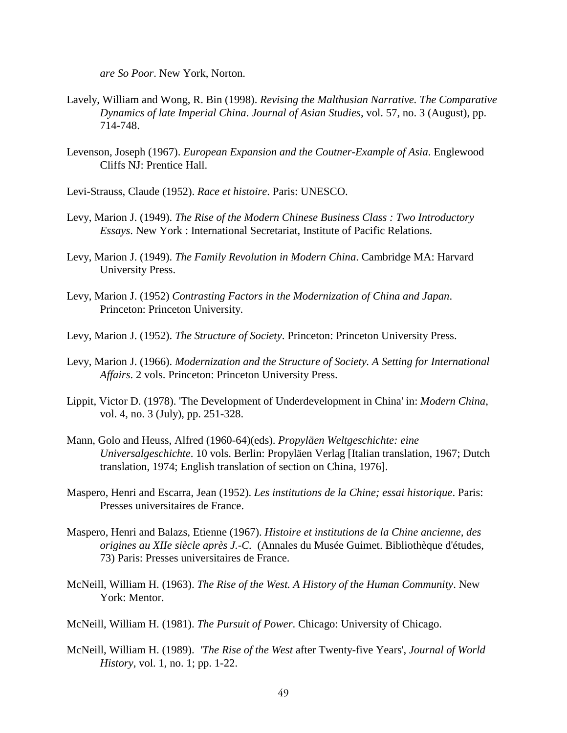*are So Poor*. New York, Norton.

- Lavely, William and Wong, R. Bin (1998). *Revising the Malthusian Narrative. The Comparative Dynamics of late Imperial China*. *Journal of Asian Studies*, vol. 57, no. 3 (August), pp. 714-748.
- Levenson, Joseph (1967). *European Expansion and the Coutner-Example of Asia*. Englewood Cliffs NJ: Prentice Hall.
- Levi-Strauss, Claude (1952). *Race et histoire*. Paris: UNESCO.
- Levy, Marion J. (1949). *The Rise of the Modern Chinese Business Class : Two Introductory Essays*. New York : International Secretariat, Institute of Pacific Relations.
- Levy, Marion J. (1949). *The Family Revolution in Modern China*. Cambridge MA: Harvard University Press.
- Levy, Marion J. (1952) *Contrasting Factors in the Modernization of China and Japan*. Princeton: Princeton University.
- Levy, Marion J. (1952). *The Structure of Society*. Princeton: Princeton University Press.
- Levy, Marion J. (1966). *Modernization and the Structure of Society. A Setting for International Affairs*. 2 vols. Princeton: Princeton University Press.
- Lippit, Victor D. (1978). 'The Development of Underdevelopment in China' in: *Modern China*, vol. 4, no. 3 (July), pp. 251-328.
- Mann, Golo and Heuss, Alfred (1960-64)(eds). *Propyläen Weltgeschichte: eine Universalgeschichte*. 10 vols. Berlin: Propyläen Verlag [Italian translation, 1967; Dutch translation, 1974; English translation of section on China, 1976].
- Maspero, Henri and Escarra, Jean (1952). *Les institutions de la Chine; essai historique*. Paris: Presses universitaires de France.
- Maspero, Henri and Balazs, Etienne (1967). *Histoire et institutions de la Chine ancienne, des origines au XIIe siècle après J.-C.* (Annales du Musée Guimet. Bibliothèque d'études, 73) Paris: Presses universitaires de France.
- McNeill, William H. (1963). *The Rise of the West. A History of the Human Community*. New York: Mentor.
- McNeill, William H. (1981). *The Pursuit of Power*. Chicago: University of Chicago.
- McNeill, William H. (1989). *'The Rise of the West* after Twenty-five Years', *Journal of World History*, vol. 1, no. 1; pp. 1-22.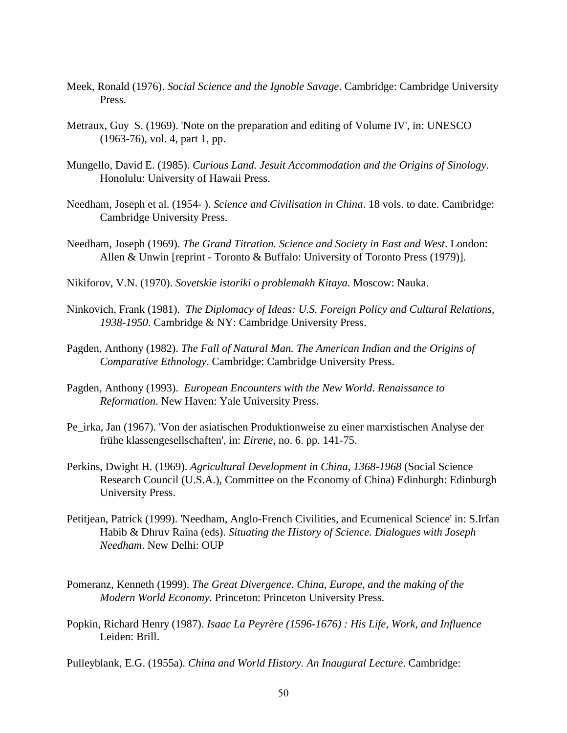- Meek, Ronald (1976). *Social Science and the Ignoble Savage*. Cambridge: Cambridge University Press.
- Metraux, Guy S. (1969). 'Note on the preparation and editing of Volume IV', in: UNESCO (1963-76), vol. 4, part 1, pp.
- Mungello, David E. (1985). *Curious Land. Jesuit Accommodation and the Origins of Sinology*. Honolulu: University of Hawaii Press.
- Needham, Joseph et al. (1954- ). *Science and Civilisation in China*. 18 vols. to date. Cambridge: Cambridge University Press.
- Needham, Joseph (1969). *The Grand Titration. Science and Society in East and West*. London: Allen & Unwin [reprint - Toronto & Buffalo: University of Toronto Press (1979)].
- Nikiforov, V.N. (1970). *Sovetskie istoriki o problemakh Kitaya*. Moscow: Nauka.
- Ninkovich, Frank (1981). *The Diplomacy of Ideas: U.S. Foreign Policy and Cultural Relations, 1938-1950.* Cambridge & NY: Cambridge University Press.
- Pagden, Anthony (1982). *The Fall of Natural Man. The American Indian and the Origins of Comparative Ethnology*. Cambridge: Cambridge University Press.
- Pagden, Anthony (1993). *European Encounters with the New World. Renaissance to Reformation*. New Haven: Yale University Press.
- Pe\_irka, Jan (1967). 'Von der asiatischen Produktionweise zu einer marxistischen Analyse der frühe klassengesellschaften', in: *Eirene*, no. 6. pp. 141-75.
- Perkins, Dwight H. (1969). *Agricultural Development in China, 1368-1968* (Social Science Research Council (U.S.A.), Committee on the Economy of China) Edinburgh: Edinburgh University Press.
- Petitjean, Patrick (1999). 'Needham, Anglo-French Civilities, and Ecumenical Science' in: S.Irfan Habib & Dhruv Raina (eds). *Situating the History of Science. Dialogues with Joseph Needham*. New Delhi: OUP
- Pomeranz, Kenneth (1999). *The Great Divergence. China, Europe, and the making of the Modern World Economy*. Princeton: Princeton University Press.
- Popkin, Richard Henry (1987). *Isaac La Peyrère (1596-1676) : His Life, Work, and Influence* Leiden: Brill.

Pulleyblank, E.G. (1955a). *China and World History. An Inaugural Lecture*. Cambridge: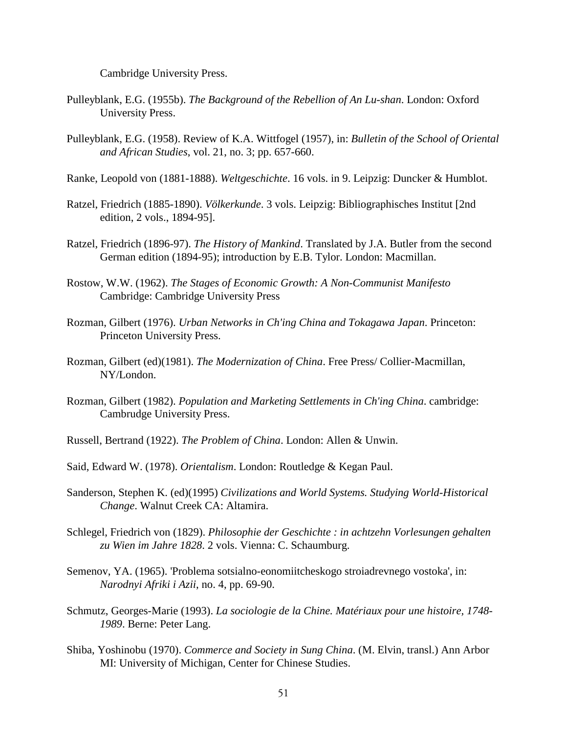Cambridge University Press.

- Pulleyblank, E.G. (1955b). *The Background of the Rebellion of An Lu-shan*. London: Oxford University Press.
- Pulleyblank, E.G. (1958). Review of K.A. Wittfogel (1957), in: *Bulletin of the School of Oriental and African Studies*, vol. 21, no. 3; pp. 657-660.
- Ranke, Leopold von (1881-1888). *Weltgeschichte*. 16 vols. in 9. Leipzig: Duncker & Humblot.
- Ratzel, Friedrich (1885-1890). *Völkerkunde*. 3 vols. Leipzig: Bibliographisches Institut [2nd edition, 2 vols., 1894-95].
- Ratzel, Friedrich (1896-97). *The History of Mankind*. Translated by J.A. Butler from the second German edition (1894-95); introduction by E.B. Tylor. London: Macmillan.
- Rostow, W.W. (1962). *The Stages of Economic Growth: A Non-Communist Manifesto* Cambridge: Cambridge University Press
- Rozman, Gilbert (1976). *Urban Networks in Ch'ing China and Tokagawa Japan*. Princeton: Princeton University Press.
- Rozman, Gilbert (ed)(1981). *The Modernization of China*. Free Press/ Collier-Macmillan, NY/London.
- Rozman, Gilbert (1982). *Population and Marketing Settlements in Ch'ing China*. cambridge: Cambrudge University Press.
- Russell, Bertrand (1922). *The Problem of China*. London: Allen & Unwin.
- Said, Edward W. (1978). *Orientalism*. London: Routledge & Kegan Paul.
- Sanderson, Stephen K. (ed)(1995) *Civilizations and World Systems. Studying World-Historical Change*. Walnut Creek CA: Altamira.
- Schlegel, Friedrich von (1829). *Philosophie der Geschichte : in achtzehn Vorlesungen gehalten zu Wien im Jahre 1828*. 2 vols. Vienna: C. Schaumburg.
- Semenov, YA. (1965). 'Problema sotsialno-eonomiitcheskogo stroiadrevnego vostoka', in: *Narodnyi Afriki i Azii*, no. 4, pp. 69-90.
- Schmutz, Georges-Marie (1993). *La sociologie de la Chine. Matériaux pour une histoire, 1748- 1989*. Berne: Peter Lang.
- Shiba, Yoshinobu (1970). *Commerce and Society in Sung China*. (M. Elvin, transl.) Ann Arbor MI: University of Michigan, Center for Chinese Studies.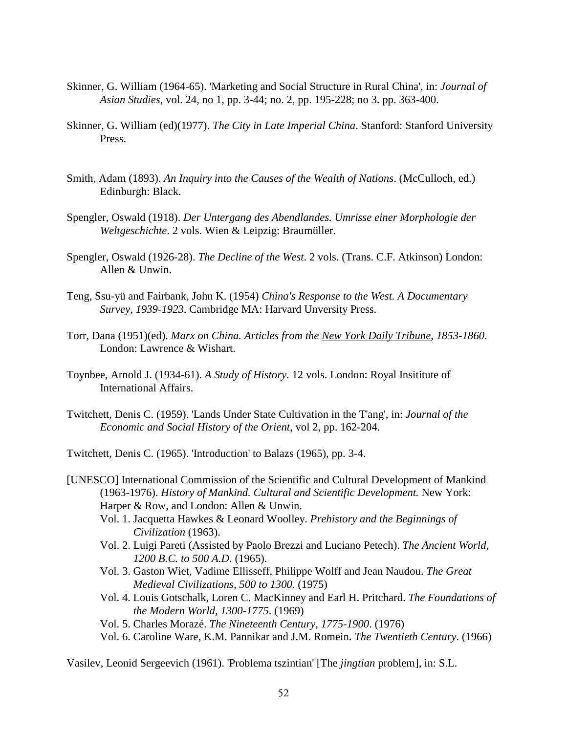- Skinner, G. William (1964-65). 'Marketing and Social Structure in Rural China', in: *Journal of Asian Studies*, vol. 24, no 1, pp. 3-44; no. 2, pp. 195-228; no 3. pp. 363-400.
- Skinner, G. William (ed)(1977). *The City in Late Imperial China*. Stanford: Stanford University Press.
- Smith, Adam (1893). *An Inquiry into the Causes of the Wealth of Nations*. (McCulloch, ed.) Edinburgh: Black.
- Spengler, Oswald (1918). *Der Untergang des Abendlandes. Umrisse einer Morphologie der Weltgeschichte*. 2 vols. Wien & Leipzig: Braumüller.
- Spengler, Oswald (1926-28). *The Decline of the West*. 2 vols. (Trans. C.F. Atkinson) London: Allen & Unwin.
- Teng, Ssu-yü and Fairbank, John K. (1954) *China's Response to the West. A Documentary Survey, 1939-1923*. Cambridge MA: Harvard Unversity Press.
- Torr, Dana (1951)(ed). *Marx on China. Articles from the New York Daily Tribune, 1853-1860*. London: Lawrence & Wishart.
- Toynbee, Arnold J. (1934-61). *A Study of History*. 12 vols. London: Royal Insititute of International Affairs.
- Twitchett, Denis C. (1959). 'Lands Under State Cultivation in the T'ang', in: *Journal of the Economic and Social History of the Orient*, vol 2, pp. 162-204.

Twitchett, Denis C. (1965). 'Introduction' to Balazs (1965), pp. 3-4.

- [UNESCO] International Commission of the Scientific and Cultural Development of Mankind (1963-1976). *History of Mankind. Cultural and Scientific Development.* New York: Harper & Row, and London: Allen & Unwin.
	- Vol. 1. Jacquetta Hawkes & Leonard Woolley. *Prehistory and the Beginnings of Civilization* (1963).
	- Vol. 2. Luigi Pareti (Assisted by Paolo Brezzi and Luciano Petech). *The Ancient World, 1200 B.C. to 500 A.D.* (1965).
	- Vol. 3. Gaston Wiet, Vadime Ellisseff, Philippe Wolff and Jean Naudou. *The Great Medieval Civilizations, 500 to 1300*. (1975)
	- Vol. 4. Louis Gotschalk, Loren C. MacKinney and Earl H. Pritchard. *The Foundations of the Modern World, 1300-1775*. (1969)
	- Vol. 5. Charles Morazé. *The Nineteenth Century, 1775-1900*. (1976)
	- Vol. 6. Caroline Ware, K.M. Pannikar and J.M. Romein. *The Twentieth Century*. (1966)

Vasilev, Leonid Sergeevich (1961). 'Problema tszintian' [The *jingtian* problem], in: S.L.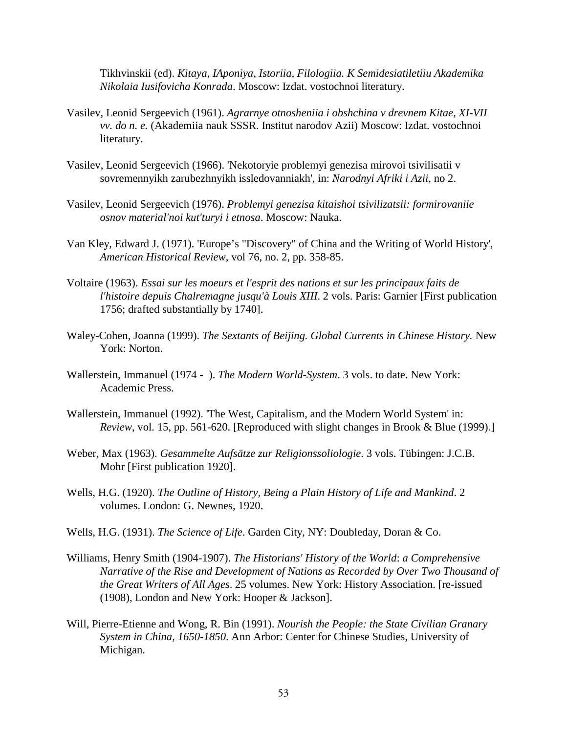Tikhvinskii (ed). *Kitaya, IAponiya, Istoriia, Filologiia. K Semidesiatiletiiu Akademika Nikolaia Iusifovicha Konrada*. Moscow: Izdat. vostochnoi literatury.

- Vasilev, Leonid Sergeevich (1961). *Agrarnye otnosheniia i obshchina v drevnem Kitae, XI-VII vv. do n. e.* (Akademiia nauk SSSR. Institut narodov Azii) Moscow: Izdat. vostochnoi literatury.
- Vasilev, Leonid Sergeevich (1966). 'Nekotoryie problemyi genezisa mirovoi tsivilisatii v sovremennyikh zarubezhnyikh issledovanniakh', in: *Narodnyi Afriki i Azii*, no 2.
- Vasilev, Leonid Sergeevich (1976). *Problemyi genezisa kitaishoi tsivilizatsii: formirovaniie osnov material'noi kut'turyi i etnosa*. Moscow: Nauka.
- Van Kley, Edward J. (1971). 'Europe's "Discovery" of China and the Writing of World History', *American Historical Review*, vol 76, no. 2, pp. 358-85.
- Voltaire (1963). *Essai sur les moeurs et l'esprit des nations et sur les principaux faits de l'histoire depuis Chalremagne jusqu'à Louis XIII*. 2 vols. Paris: Garnier [First publication 1756; drafted substantially by 1740].
- Waley-Cohen, Joanna (1999). *The Sextants of Beijing. Global Currents in Chinese History.* New York: Norton.
- Wallerstein, Immanuel (1974 ). *The Modern World-System*. 3 vols. to date. New York: Academic Press.
- Wallerstein, Immanuel (1992). 'The West, Capitalism, and the Modern World System' in: *Review*, vol. 15, pp. 561-620. [Reproduced with slight changes in Brook & Blue (1999).]
- Weber, Max (1963). *Gesammelte Aufsätze zur Religionssoliologie*. 3 vols. Tübingen: J.C.B. Mohr [First publication 1920].
- Wells, H.G. (1920). *The Outline of History, Being a Plain History of Life and Mankind*. 2 volumes. London: G. Newnes, 1920.
- Wells, H.G. (1931). *The Science of Life*. Garden City, NY: Doubleday, Doran & Co.
- Williams, Henry Smith (1904-1907). *The Historians' History of the World*: *a Comprehensive Narrative of the Rise and Development of Nations as Recorded by Over Two Thousand of the Great Writers of All Ages*. 25 volumes. New York: History Association. [re-issued (1908), London and New York: Hooper & Jackson].
- Will, Pierre-Etienne and Wong, R. Bin (1991). *Nourish the People: the State Civilian Granary System in China, 1650-1850*. Ann Arbor: Center for Chinese Studies, University of Michigan.